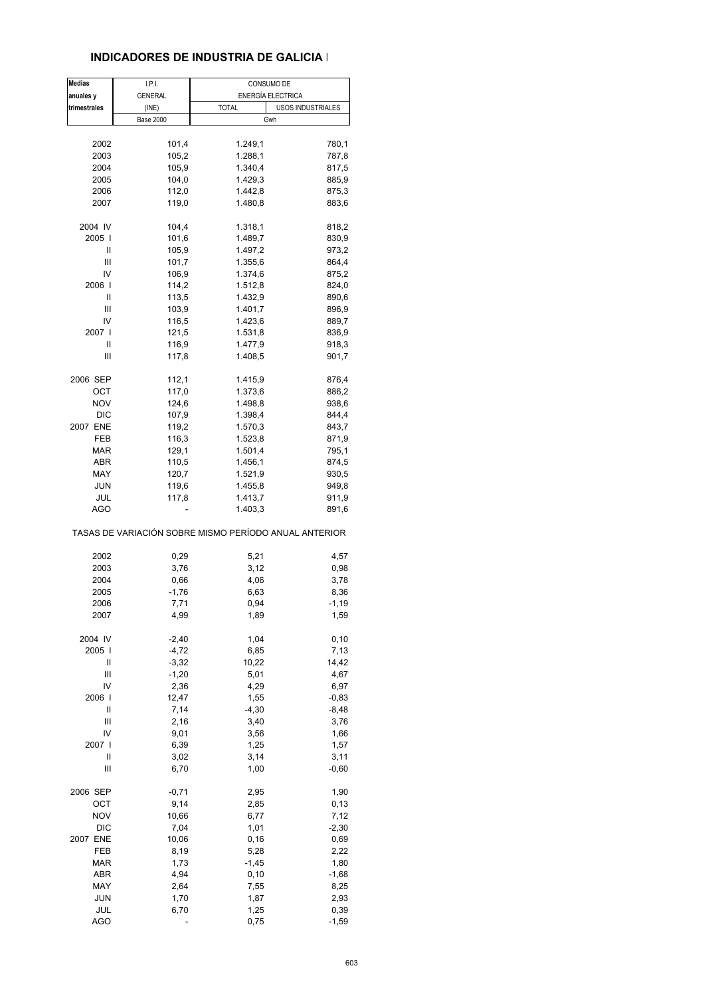#### **INDICADORES DE INDUSTRIA DE GALICIA I**

| <b>Medias</b> | I.P.I.           | CONSUMO DE                                            |
|---------------|------------------|-------------------------------------------------------|
| anuales y     | <b>GENERAL</b>   | ENERGÍA ELECTRICA                                     |
| trimestrales  | (INE)            | <b>TOTAL</b><br>USOS INDUSTRIALES                     |
|               | <b>Base 2000</b> | Gwh                                                   |
|               |                  |                                                       |
| 2002          | 101,4            | 1.249,1<br>780,1                                      |
| 2003          | 105,2            | 1.288,1<br>787,8                                      |
| 2004          | 105,9            | 1.340,4<br>817,5                                      |
| 2005          | 104,0            | 1.429,3<br>885,9                                      |
| 2006          | 112,0            | 1.442,8<br>875,3                                      |
| 2007          | 119,0            | 1.480,8<br>883,6                                      |
|               |                  |                                                       |
| 2004 IV       | 104,4            | 1.318,1<br>818,2                                      |
| 2005          | 101,6            | 1.489,7<br>830,9                                      |
| Ш             | 105,9            | 1.497,2<br>973,2                                      |
| Ш             | 101,7            | 1.355,6<br>864,4                                      |
| IV            | 106,9            | 1.374,6<br>875,2                                      |
| 2006          | 114,2            | 1.512,8<br>824,0                                      |
| Ш             | 113,5            | 1.432,9<br>890,6                                      |
| Ш             | 103,9            | 1.401,7<br>896,9                                      |
| IV            | 116,5            | 1.423,6<br>889,7                                      |
| 2007 I        | 121,5            | 1.531,8<br>836,9                                      |
| Ш             | 116,9            | 1.477,9<br>918,3                                      |
| Ш             | 117,8            | 901,7                                                 |
|               |                  | 1.408,5                                               |
| 2006 SEP      | 112,1            | 1.415,9                                               |
|               |                  | 876,4                                                 |
| ОСТ           | 117,0            | 1.373,6<br>886,2<br>1.498,8                           |
| <b>NOV</b>    | 124,6            | 938,6                                                 |
| <b>DIC</b>    | 107,9            | 1.398,4<br>844,4                                      |
| 2007 ENE      | 119,2            | 1.570,3<br>843,7                                      |
| FEB           | 116,3            | 871,9<br>1.523,8                                      |
| <b>MAR</b>    | 129,1            | 1.501,4<br>795,1                                      |
| ABR           | 110,5            | 1.456,1<br>874,5                                      |
| MAY           | 120,7            | 1.521,9<br>930,5                                      |
| <b>JUN</b>    | 119,6            | 1.455,8<br>949,8                                      |
| JUL           | 117,8            | 1.413,7<br>911,9                                      |
| AGO           |                  | 1.403,3<br>891,6                                      |
|               |                  | TASAS DE VARIACIÓN SOBRE MISMO PERÍODO ANUAL ANTERIOR |
|               |                  |                                                       |
| 2002          | 0,29             | 5,21<br>4,57                                          |
| 2003          | 3,76             | 3,12<br>0,98                                          |
| 2004          | 0,66             | 4,06<br>3,78                                          |
| 2005          | $-1,76$          | 6,63<br>8,36                                          |
| 2006          | 7,71             | 0,94<br>-1,19                                         |
| 2007          | 4,99             | 1,89<br>1,59                                          |
|               |                  |                                                       |
| 2004 IV       | $-2,40$          | 1,04<br>0, 10                                         |
| 2005          | $-4,72$          | 6,85<br>7,13                                          |
| Ш             | $-3,32$          | 10,22<br>14,42                                        |
| Ш             | $-1,20$          | 5,01<br>4,67                                          |
| IV            | 2,36             | 4,29<br>6,97                                          |
| 2006          | 12,47            | 1,55<br>$-0,83$                                       |
| Ш             | 7,14             | $-4,30$<br>$-8,48$                                    |
| Ш             | 2,16             | 3,40<br>3,76                                          |
| IV            | 9,01             | 3,56<br>1,66                                          |
| 2007 l        | 6,39             | 1,25<br>1,57                                          |
| Ш             | 3,02             | 3,14<br>3,11                                          |
| Ш             | 6,70             | 1,00<br>$-0,60$                                       |
|               |                  |                                                       |
| 2006 SEP      | $-0,71$          | 2,95<br>1,90                                          |
| ОСТ           | 9,14             | 0, 13<br>2,85                                         |
| <b>NOV</b>    | 10,66            | 6,77<br>7,12                                          |
| <b>DIC</b>    | 7,04             | 1,01<br>$-2,30$                                       |
| 2007 ENE      | 10,06            | 0, 16<br>0,69                                         |
| FEB           | 8,19             | 5,28<br>2,22                                          |
| <b>MAR</b>    | 1,73             | $-1,45$<br>1,80                                       |
| ABR           | 4,94             | $-1,68$<br>0, 10                                      |
| MAY           | 2,64             | 7,55<br>8,25                                          |
| <b>JUN</b>    | 1,70             | 1,87<br>2,93                                          |
| JUL           | 6,70             | 1,25<br>0,39                                          |
| <b>AGO</b>    | ÷                | 0,75<br>$-1,59$                                       |
|               |                  |                                                       |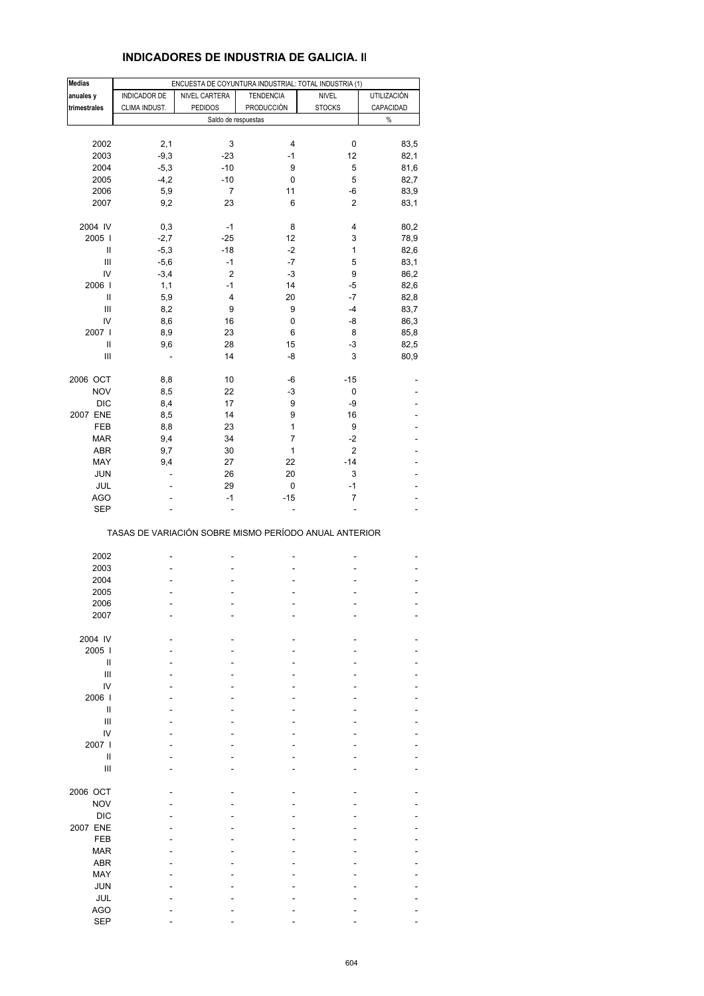| <b>Medias</b>                      |                              | ENCUESTA DE COYUNTURA INDUSTRIAL: TOTAL INDUSTRIA (1) |                  |                |                          |
|------------------------------------|------------------------------|-------------------------------------------------------|------------------|----------------|--------------------------|
| anuales y                          | INDICADOR DE                 | NIVEL CARTERA                                         | <b>TENDENCIA</b> | <b>NIVEL</b>   | <b>UTILIZACIÓN</b>       |
| trimestrales                       | CLIMA INDUST.                | <b>PEDIDOS</b>                                        | PRODUCCIÓN       | <b>STOCKS</b>  | CAPACIDAD                |
|                                    |                              | Saldo de respuestas                                   |                  |                | $\%$                     |
|                                    |                              |                                                       |                  |                |                          |
| 2002                               | 2,1                          | 3                                                     | 4                | 0              | 83,5                     |
| 2003                               | $-9,3$                       | $-23$                                                 | $-1$             | 12             | 82,1                     |
| 2004                               | $-5,3$                       | $-10$                                                 | 9                | 5              | 81,6                     |
| 2005                               | $-4,2$                       | $-10$                                                 | 0                | 5              | 82,7                     |
| 2006                               | 5,9                          | $\overline{7}$                                        | 11               | -6             | 83,9                     |
| 2007                               | 9,2                          | 23                                                    | 6                | $\overline{2}$ | 83,1                     |
|                                    |                              |                                                       |                  |                |                          |
| 2004 IV                            | 0,3                          | $-1$                                                  | 8                | 4              | 80,2                     |
| 2005                               | $-2,7$                       | $-25$                                                 | 12               | 3              | 78,9                     |
| $\sf II$                           | $-5,3$                       | $-18$                                                 | $-2$             | 1              | 82,6                     |
| Ш                                  | $-5,6$                       | $-1$                                                  | $-7$             | 5              | 83,1                     |
| IV                                 | $-3,4$                       | $\overline{c}$                                        | $-3$             | 9              | 86,2                     |
| 2006                               | 1,1                          | $-1$                                                  | 14               | $-5$           | 82,6                     |
| Ш                                  | 5,9                          | 4                                                     | 20               | $-7$           | 82,8                     |
| $\ensuremath{\mathsf{III}}\xspace$ | 8,2                          | 9                                                     | 9                | -4             | 83,7                     |
| IV                                 | 8,6                          | 16                                                    | 0                | -8             | 86,3                     |
| 2007                               | 8,9                          | 23                                                    | 6                | 8              | 85,8                     |
| $\sf II$                           | 9,6                          | 28                                                    | 15               | $-3$           | 82,5                     |
| III                                | $\qquad \qquad \blacksquare$ | 14                                                    | -8               | 3              | 80,9                     |
|                                    |                              |                                                       |                  |                |                          |
| 2006 OCT                           | 8,8                          | 10                                                    | -6               | $-15$          |                          |
| <b>NOV</b>                         | 8,5                          | 22                                                    | $-3$             | 0              |                          |
| <b>DIC</b>                         | 8,4                          | 17                                                    | 9                | -9             |                          |
| 2007 ENE                           | 8,5                          | 14                                                    | 9                | 16             |                          |
| FEB                                | 8,8                          | 23                                                    | 1                | 9              |                          |
| <b>MAR</b>                         | 9,4                          | 34                                                    | $\overline{7}$   | $-2$           |                          |
| <b>ABR</b>                         | 9,7                          | 30                                                    | 1                | $\overline{2}$ |                          |
| MAY                                | 9,4                          | 27                                                    | 22               | $-14$          |                          |
| <b>JUN</b>                         | ä,                           | 26                                                    | 20               | 3              |                          |
| JUL                                |                              | 29                                                    | 0                | $-1$           |                          |
| <b>AGO</b>                         | ÷,                           | $-1$                                                  | $-15$            | 7              | $\overline{\phantom{0}}$ |
| <b>SEP</b>                         |                              |                                                       |                  |                |                          |
|                                    |                              | TASAS DE VARIACIÓN SOBRE MISMO PERÍODO ANUAL ANTERIOR |                  |                |                          |
| 2002                               |                              |                                                       |                  |                |                          |
| 2003                               |                              |                                                       |                  |                |                          |
| 2004                               |                              |                                                       |                  |                |                          |
|                                    |                              |                                                       |                  |                |                          |
| 2005<br>2006                       |                              |                                                       |                  |                |                          |
|                                    |                              |                                                       |                  |                |                          |
| 2007                               |                              |                                                       |                  |                |                          |
| 2004 IV                            |                              |                                                       |                  |                |                          |
| 2005                               |                              |                                                       |                  |                |                          |
| Ш                                  |                              |                                                       |                  |                |                          |
| III                                |                              |                                                       |                  |                |                          |
| IV                                 |                              |                                                       |                  |                |                          |
| 2006                               |                              |                                                       |                  |                |                          |
| $\mathbf{I}$                       |                              |                                                       |                  |                |                          |
| III                                |                              |                                                       |                  |                |                          |
| IV                                 |                              |                                                       |                  |                |                          |
| 2007                               |                              |                                                       |                  |                |                          |
| $\mathbf{I}$                       |                              |                                                       |                  |                |                          |
| III                                |                              |                                                       |                  |                |                          |
|                                    |                              |                                                       |                  |                |                          |
| 2006 OCT                           |                              |                                                       |                  |                |                          |
| <b>NOV</b>                         |                              |                                                       |                  |                |                          |
| <b>DIC</b>                         |                              |                                                       |                  |                |                          |
| 2007 ENE                           |                              |                                                       |                  |                |                          |
| <b>FEB</b>                         |                              |                                                       |                  |                |                          |
| <b>MAR</b>                         |                              |                                                       |                  |                |                          |
| <b>ABR</b>                         |                              |                                                       |                  |                |                          |
| MAY                                |                              |                                                       |                  |                |                          |
| <b>JUN</b>                         |                              |                                                       |                  |                |                          |
| <b>JUL</b>                         |                              |                                                       |                  |                |                          |
| <b>AGO</b>                         |                              |                                                       |                  |                |                          |
| <b>SEP</b>                         |                              |                                                       |                  |                |                          |
|                                    |                              |                                                       |                  |                |                          |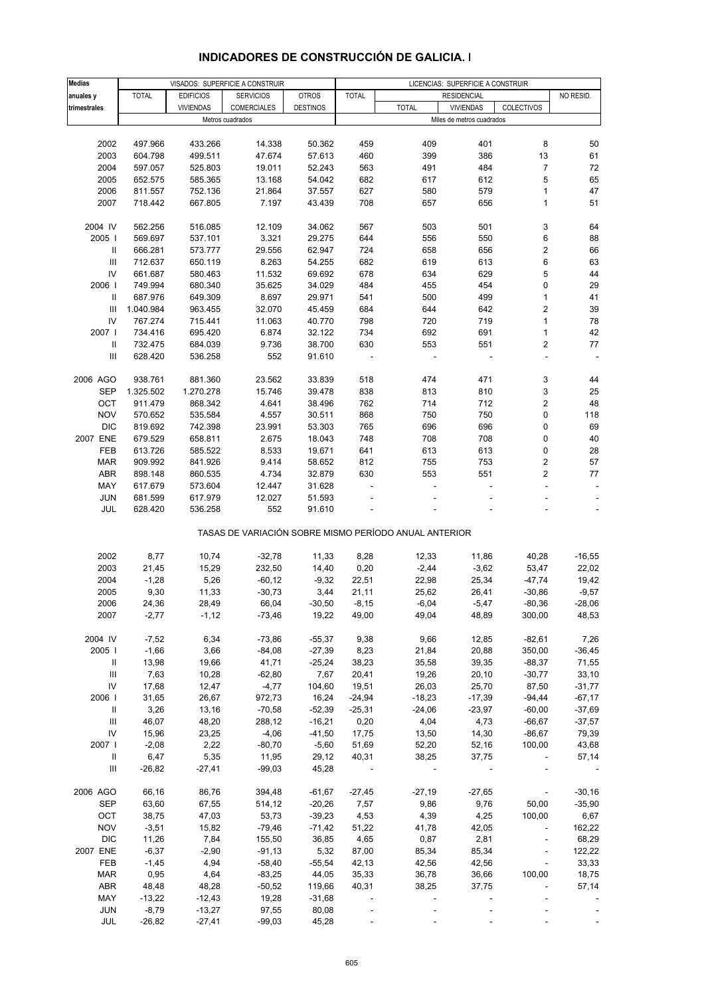| <b>Medias</b>                      |              |                  | VISADOS: SUPERFICIE A CONSTRUIR |                 | LICENCIAS: SUPERFICIE A CONSTRUIR |                                                       |                           |                |           |
|------------------------------------|--------------|------------------|---------------------------------|-----------------|-----------------------------------|-------------------------------------------------------|---------------------------|----------------|-----------|
| anuales y                          | <b>TOTAL</b> | <b>EDIFICIOS</b> | <b>SERVICIOS</b>                | <b>OTROS</b>    | <b>TOTAL</b>                      |                                                       | <b>RESIDENCIAL</b>        |                | NO RESID. |
|                                    |              | <b>VIVIENDAS</b> | <b>COMERCIALES</b>              | <b>DESTINOS</b> |                                   | <b>TOTAL</b>                                          | <b>VIVIENDAS</b>          | COLECTIVOS     |           |
| trimestrales                       |              |                  |                                 |                 |                                   |                                                       |                           |                |           |
|                                    |              |                  | Metros cuadrados                |                 |                                   |                                                       | Miles de metros cuadrados |                |           |
|                                    |              |                  |                                 |                 |                                   |                                                       |                           |                |           |
| 2002                               | 497.966      | 433.266          | 14.338                          | 50.362          | 459                               | 409                                                   | 401                       | 8              | 50        |
| 2003                               | 604.798      | 499.511          | 47.674                          | 57.613          | 460                               | 399                                                   | 386                       | 13             | 61        |
| 2004                               | 597.057      | 525.803          | 19.011                          | 52.243          | 563                               | 491                                                   | 484                       | 7              | 72        |
| 2005                               | 652.575      | 585.365          | 13.168                          | 54.042          | 682                               | 617                                                   | 612                       | 5              | 65        |
|                                    |              |                  |                                 |                 |                                   |                                                       |                           |                | 47        |
| 2006                               | 811.557      | 752.136          | 21.864                          | 37.557          | 627                               | 580                                                   | 579                       | 1              |           |
| 2007                               | 718.442      | 667.805          | 7.197                           | 43.439          | 708                               | 657                                                   | 656                       | 1              | 51        |
|                                    |              |                  |                                 |                 |                                   |                                                       |                           |                |           |
| 2004 IV                            | 562.256      | 516.085          | 12.109                          | 34.062          | 567                               | 503                                                   | 501                       | 3              | 64        |
| 2005                               | 569.697      | 537.101          | 3.321                           | 29.275          | 644                               | 556                                                   | 550                       | 6              | 88        |
| Ш                                  | 666.281      | 573.777          | 29.556                          | 62.947          | 724                               | 658                                                   | 656                       | 2              | 66        |
| $\ensuremath{\mathsf{III}}\xspace$ | 712.637      | 650.119          | 8.263                           | 54.255          | 682                               | 619                                                   | 613                       | 6              | 63        |
| ${\sf IV}$                         | 661.687      | 580.463          | 11.532                          | 69.692          | 678                               | 634                                                   | 629                       | 5              | 44        |
|                                    |              |                  |                                 |                 |                                   |                                                       |                           | 0              |           |
| 2006                               | 749.994      | 680.340          | 35.625                          | 34.029          | 484                               | 455                                                   | 454                       |                | 29        |
| Ш                                  | 687.976      | 649.309          | 8.697                           | 29.971          | 541                               | 500                                                   | 499                       | 1              | 41        |
| Ш                                  | 1.040.984    | 963.455          | 32.070                          | 45.459          | 684                               | 644                                                   | 642                       | 2              | 39        |
| IV                                 | 767.274      | 715.441          | 11.063                          | 40.770          | 798                               | 720                                                   | 719                       | $\mathbf{1}$   | 78        |
| 2007 l                             | 734.416      | 695.420          | 6.874                           | 32.122          | 734                               | 692                                                   | 691                       | 1              | 42        |
| Ш                                  | 732.475      | 684.039          | 9.736                           | 38.700          | 630                               | 553                                                   | 551                       | 2              | 77        |
| $\ensuremath{\mathsf{III}}\xspace$ | 628.420      | 536.258          | 552                             | 91.610          |                                   |                                                       | $\overline{\phantom{a}}$  |                |           |
|                                    |              |                  |                                 |                 |                                   |                                                       |                           |                |           |
|                                    |              |                  |                                 |                 |                                   |                                                       |                           |                |           |
| 2006 AGO                           | 938.761      | 881.360          | 23.562                          | 33.839          | 518                               | 474                                                   | 471                       | 3              | 44        |
| <b>SEP</b>                         | 1.325.502    | 1.270.278        | 15.746                          | 39.478          | 838                               | 813                                                   | 810                       | 3              | 25        |
| OCT                                | 911.479      | 868.342          | 4.641                           | 38.496          | 762                               | 714                                                   | 712                       | 2              | 48        |
| <b>NOV</b>                         | 570.652      | 535.584          | 4.557                           | 30.511          | 868                               | 750                                                   | 750                       | 0              | 118       |
| <b>DIC</b>                         | 819.692      | 742.398          | 23.991                          | 53.303          | 765                               | 696                                                   | 696                       | 0              | 69        |
| 2007 ENE                           | 679.529      | 658.811          | 2.675                           | 18.043          | 748                               | 708                                                   | 708                       | 0              | 40        |
| FEB                                | 613.726      | 585.522          | 8.533                           | 19.671          | 641                               | 613                                                   | 613                       | 0              | 28        |
|                                    |              |                  | 9.414                           |                 | 812                               | 755                                                   | 753                       | 2              |           |
| <b>MAR</b>                         | 909.992      | 841.926          |                                 | 58.652          |                                   |                                                       |                           |                | 57        |
| <b>ABR</b>                         | 898.148      | 860.535          | 4.734                           | 32.879          | 630                               | 553                                                   | 551                       | 2              | 77        |
| MAY                                | 617.679      | 573.604          | 12.447                          | 31.628          |                                   |                                                       |                           |                |           |
| <b>JUN</b>                         | 681.599      | 617.979          | 12.027                          | 51.593          |                                   |                                                       |                           |                |           |
| JUL                                | 628.420      | 536.258          | 552                             | 91.610          |                                   |                                                       |                           |                |           |
|                                    |              |                  |                                 |                 |                                   |                                                       |                           |                |           |
|                                    |              |                  |                                 |                 |                                   | TASAS DE VARIACIÓN SOBRE MISMO PERÍODO ANUAL ANTERIOR |                           |                |           |
|                                    |              |                  |                                 |                 |                                   |                                                       |                           |                |           |
| 2002                               | 8,77         | 10,74            | $-32,78$                        | 11,33           | 8,28                              | 12,33                                                 | 11,86                     | 40,28          | $-16,55$  |
| 2003                               | 21,45        | 15,29            | 232,50                          | 14,40           | 0,20                              | $-2,44$                                               | $-3,62$                   | 53,47          | 22,02     |
|                                    |              |                  |                                 |                 |                                   |                                                       |                           |                |           |
| 2004                               | $-1,28$      | 5,26             | $-60, 12$                       | $-9,32$         | 22,51                             | 22,98                                                 | 25,34                     | $-47,74$       | 19,42     |
| 2005                               | 9,30         | 11,33            | $-30,73$                        | 3,44            | 21,11                             | 25,62                                                 | 26,41                     | $-30,86$       | $-9,57$   |
| 2006                               | 24,36        | 28,49            | 66,04                           | $-30,50$        | $-8,15$                           | $-6,04$                                               | $-5,47$                   | $-80,36$       | $-28,06$  |
| 2007                               | $-2,77$      | $-1, 12$         | $-73,46$                        | 19,22           | 49,00                             | 49,04                                                 | 48,89                     | 300,00         | 48,53     |
|                                    |              |                  |                                 |                 |                                   |                                                       |                           |                |           |
| 2004 IV                            | $-7,52$      | 6,34             | $-73,86$                        | $-55,37$        | 9,38                              | 9,66                                                  | 12,85                     | $-82,61$       | 7,26      |
| 2005                               | $-1,66$      | 3,66             | $-84,08$                        | $-27,39$        | 8,23                              | 21,84                                                 | 20,88                     | 350,00         | $-36,45$  |
| $\mathbf{I}$                       | 13,98        | 19,66            | 41,71                           | $-25,24$        | 38,23                             | 35,58                                                 | 39,35                     | $-88,37$       | 71,55     |
| $\ensuremath{\mathsf{III}}\xspace$ | 7,63         | 10,28            | $-62,80$                        | 7,67            | 20,41                             | 19,26                                                 | 20,10                     | $-30,77$       | 33,10     |
|                                    |              |                  |                                 |                 |                                   |                                                       |                           |                |           |
| IV                                 | 17,68        | 12,47            | $-4,77$                         | 104,60          | 19,51                             | 26,03                                                 | 25,70                     | 87,50          | $-31,77$  |
| 2006                               | 31,65        | 26,67            | 972,73                          | 16,24           | $-24,94$                          | $-18,23$                                              | $-17,39$                  | $-94,44$       | $-67,17$  |
| $\mathbf{H}$                       | 3,26         | 13,16            | $-70,58$                        | $-52,39$        | $-25,31$                          | $-24,06$                                              | $-23,97$                  | $-60,00$       | $-37,69$  |
| Ш                                  | 46,07        | 48,20            | 288,12                          | $-16,21$        | 0,20                              | 4,04                                                  | 4,73                      | $-66,67$       | $-37,57$  |
| IV                                 | 15,96        | 23,25            | $-4,06$                         | $-41,50$        | 17,75                             | 13,50                                                 | 14,30                     | $-86,67$       | 79,39     |
| 2007                               | $-2,08$      | 2,22             | $-80,70$                        | $-5,60$         | 51,69                             | 52,20                                                 | 52,16                     | 100,00         | 43,68     |
| $\mathbf{II}$                      | 6,47         | 5,35             | 11,95                           | 29,12           | 40,31                             | 38,25                                                 | 37,75                     | $\blacksquare$ | 57,14     |
| Ш                                  | $-26,82$     | $-27,41$         | $-99,03$                        | 45,28           | $\sim 100$                        |                                                       |                           |                |           |
|                                    |              |                  |                                 |                 |                                   |                                                       |                           |                |           |
|                                    |              |                  |                                 |                 |                                   |                                                       |                           |                |           |
| 2006 AGO                           | 66,16        | 86,76            | 394,48                          | $-61,67$        | $-27,45$                          | $-27,19$                                              | $-27,65$                  | $\sim$         | $-30,16$  |
| <b>SEP</b>                         | 63,60        | 67,55            | 514,12                          | $-20,26$        | 7,57                              | 9,86                                                  | 9,76                      | 50,00          | $-35,90$  |
| OCT                                | 38,75        | 47,03            | 53,73                           | $-39,23$        | 4,53                              | 4,39                                                  | 4,25                      | 100,00         | 6,67      |
| <b>NOV</b>                         | $-3,51$      | 15,82            | $-79,46$                        | $-71,42$        | 51,22                             | 41,78                                                 | 42,05                     |                | 162,22    |
| <b>DIC</b>                         | 11,26        | 7,84             | 155,50                          | 36,85           | 4,65                              | 0,87                                                  | 2,81                      | $\blacksquare$ | 68,29     |
| 2007 ENE                           | $-6,37$      | $-2,90$          | $-91,13$                        | 5,32            | 87,00                             | 85,34                                                 | 85,34                     | ÷,             | 122,22    |
| FEB                                | $-1,45$      | 4,94             | $-58,40$                        | $-55,54$        | 42,13                             | 42,56                                                 | 42,56                     | $\Box$         | 33,33     |
| <b>MAR</b>                         | 0,95         | 4,64             | $-83,25$                        | 44,05           | 35,33                             | 36,78                                                 | 36,66                     | 100,00         | 18,75     |
|                                    |              |                  |                                 |                 |                                   |                                                       |                           |                |           |
| <b>ABR</b>                         | 48,48        | 48,28            | $-50,52$                        | 119,66          | 40,31                             | 38,25                                                 | 37,75                     |                | 57,14     |
| MAY                                | $-13,22$     | $-12,43$         | 19,28                           | $-31,68$        |                                   |                                                       |                           |                |           |
| <b>JUN</b>                         | $-8,79$      | $-13,27$         | 97,55                           | 80,08           |                                   |                                                       |                           |                |           |
| <b>JUL</b>                         | $-26,82$     | $-27,41$         | $-99,03$                        | 45,28           |                                   |                                                       |                           |                |           |

# **INDICADORES DE CONSTRUCCIÓN DE GALICIA. I**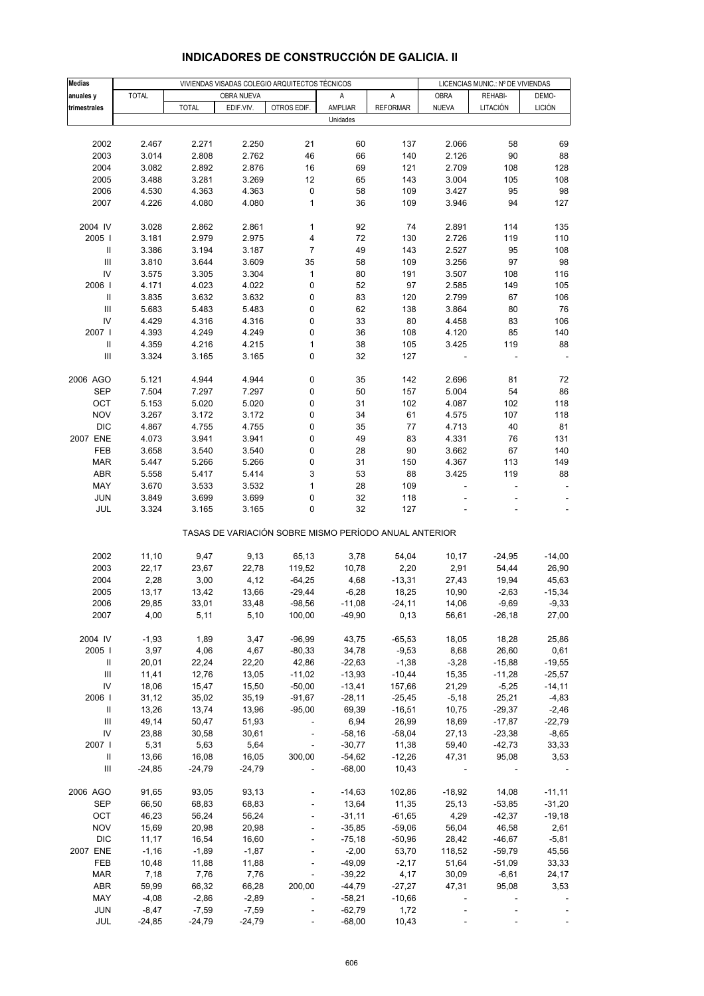| <b>Medias</b>                      | VIVIENDAS VISADAS COLEGIO ARQUITECTOS TÉCNICOS |              |            |                                                       |          |                 | LICENCIAS MUNIC.: Nº DE VIVIENDAS |          |               |
|------------------------------------|------------------------------------------------|--------------|------------|-------------------------------------------------------|----------|-----------------|-----------------------------------|----------|---------------|
| anuales y                          | <b>TOTAL</b>                                   |              | OBRA NUEVA |                                                       | Α        | A               | <b>OBRA</b>                       | REHABI-  | DEMO-         |
| trimestrales                       |                                                | <b>TOTAL</b> | EDIF.VIV.  | OTROS EDIF.                                           | AMPLIAR  | <b>REFORMAR</b> | <b>NUEVA</b>                      | LITACIÓN | <b>LICIÓN</b> |
|                                    |                                                |              |            |                                                       | Unidades |                 |                                   |          |               |
|                                    |                                                |              |            |                                                       |          |                 |                                   |          |               |
|                                    |                                                |              | 2.250      |                                                       |          |                 |                                   |          |               |
| 2002                               | 2.467                                          | 2.271        |            | 21                                                    | 60       | 137             | 2.066                             | 58       | 69            |
| 2003                               | 3.014                                          | 2.808        | 2.762      | 46                                                    | 66       | 140             | 2.126                             | 90       | 88            |
| 2004                               | 3.082                                          | 2.892        | 2.876      | 16                                                    | 69       | 121             | 2.709                             | 108      | 128           |
| 2005                               | 3.488                                          | 3.281        | 3.269      | 12                                                    | 65       | 143             | 3.004                             | 105      | 108           |
| 2006                               | 4.530                                          | 4.363        | 4.363      | 0                                                     | 58       | 109             | 3.427                             | 95       | 98            |
| 2007                               | 4.226                                          | 4.080        | 4.080      | $\mathbf{1}$                                          | 36       | 109             | 3.946                             | 94       | 127           |
|                                    |                                                |              |            |                                                       |          |                 |                                   |          |               |
| 2004 IV                            | 3.028                                          | 2.862        | 2.861      | 1                                                     | 92       | 74              | 2.891                             | 114      | 135           |
| 2005                               | 3.181                                          | 2.979        | 2.975      | 4                                                     | 72       | 130             | 2.726                             | 119      | 110           |
| $\mathsf{I}$                       | 3.386                                          | 3.194        | 3.187      | $\overline{7}$                                        | 49       | 143             | 2.527                             | 95       | 108           |
| $\ensuremath{\mathsf{III}}\xspace$ | 3.810                                          | 3.644        | 3.609      | 35                                                    | 58       | 109             | 3.256                             | 97       | 98            |
| IV                                 | 3.575                                          | 3.305        | 3.304      | 1                                                     | 80       | 191             | 3.507                             | 108      | 116           |
| 2006                               | 4.171                                          | 4.023        | 4.022      | 0                                                     | 52       | 97              | 2.585                             | 149      | 105           |
|                                    | 3.835                                          | 3.632        | 3.632      | 0                                                     | 83       | 120             | 2.799                             | 67       | 106           |
| $\ensuremath{\mathsf{III}}\xspace$ | 5.683                                          | 5.483        | 5.483      | 0                                                     | 62       | 138             | 3.864                             | 80       | 76            |
| IV                                 | 4.429                                          | 4.316        | 4.316      | 0                                                     | 33       | 80              | 4.458                             | 83       | 106           |
| 2007 l                             | 4.393                                          | 4.249        | 4.249      | 0                                                     | 36       | 108             | 4.120                             | 85       | 140           |
| Ш                                  | 4.359                                          | 4.216        | 4.215      | 1                                                     | 38       | 105             | 3.425                             | 119      | 88            |
| $\ensuremath{\mathsf{III}}\xspace$ | 3.324                                          | 3.165        | 3.165      | 0                                                     | 32       | 127             |                                   |          |               |
|                                    |                                                |              |            |                                                       |          |                 |                                   |          |               |
| 2006 AGO                           | 5.121                                          | 4.944        | 4.944      | 0                                                     | 35       | 142             | 2.696                             | 81       | 72            |
| SEP                                | 7.504                                          | 7.297        | 7.297      | 0                                                     | 50       | 157             | 5.004                             | 54       | 86            |
| OCT                                | 5.153                                          | 5.020        | 5.020      | 0                                                     | 31       | 102             | 4.087                             | 102      | 118           |
| <b>NOV</b>                         | 3.267                                          | 3.172        | 3.172      | 0                                                     | 34       | 61              | 4.575                             | 107      | 118           |
| <b>DIC</b>                         | 4.867                                          | 4.755        | 4.755      | 0                                                     | 35       | 77              | 4.713                             | 40       | 81            |
| 2007 ENE                           | 4.073                                          | 3.941        | 3.941      | 0                                                     | 49       | 83              | 4.331                             | 76       | 131           |
| FEB                                | 3.658                                          | 3.540        | 3.540      | 0                                                     | 28       | 90              | 3.662                             | 67       | 140           |
| <b>MAR</b>                         | 5.447                                          | 5.266        | 5.266      | 0                                                     | 31       | 150             | 4.367                             | 113      | 149           |
| <b>ABR</b>                         | 5.558                                          | 5.417        | 5.414      | 3                                                     | 53       | 88              | 3.425                             | 119      | 88            |
| MAY                                | 3.670                                          | 3.533        | 3.532      | $\mathbf{1}$                                          | 28       | 109             |                                   |          |               |
| <b>JUN</b>                         | 3.849                                          | 3.699        | 3.699      | 0                                                     | 32       | 118             |                                   |          |               |
| JUL                                | 3.324                                          | 3.165        | 3.165      | 0                                                     | 32       | 127             |                                   |          |               |
|                                    |                                                |              |            | TASAS DE VARIACIÓN SOBRE MISMO PERÍODO ANUAL ANTERIOR |          |                 |                                   |          |               |
|                                    |                                                |              |            |                                                       |          |                 |                                   |          |               |
| 2002                               | 11,10                                          | 9,47         | 9,13       | 65,13                                                 | 3,78     | 54,04           | 10, 17                            | $-24,95$ | $-14,00$      |
| 2003                               | 22,17                                          | 23,67        | 22,78      | 119,52                                                | 10,78    | 2,20            | 2,91                              | 54,44    | 26,90         |
| 2004                               | 2,28                                           | 3,00         | 4,12       | $-64,25$                                              | 4,68     | $-13,31$        | 27,43                             | 19,94    | 45,63         |
| 2005                               | 13,17                                          | 13,42        | 13,66      | $-29,44$                                              | $-6,28$  | 18,25           | 10,90                             | $-2,63$  | $-15,34$      |
| 2006                               | 29,85                                          | 33,01        | 33,48      | $-98,56$                                              | $-11,08$ | $-24,11$        | 14,06                             | $-9,69$  | $-9,33$       |
| 2007                               | 4,00                                           | 5,11         | 5,10       | 100,00                                                | $-49,90$ | 0, 13           | 56,61                             | $-26,18$ | 27,00         |
| 2004 IV                            | $-1,93$                                        | 1,89         | 3,47       | $-96,99$                                              | 43,75    | $-65,53$        | 18,05                             | 18,28    | 25,86         |
| 2005                               | 3,97                                           | 4,06         | 4,67       | $-80,33$                                              | 34,78    | $-9,53$         | 8,68                              | 26,60    | 0,61          |
| Ш                                  | 20,01                                          | 22,24        | 22,20      | 42,86                                                 | $-22,63$ | $-1,38$         | $-3,28$                           | $-15,88$ | $-19,55$      |
| $\ensuremath{\mathsf{III}}\xspace$ | 11,41                                          | 12,76        | 13,05      | $-11,02$                                              | $-13,93$ | $-10,44$        | 15,35                             | $-11,28$ | $-25,57$      |
| IV                                 | 18,06                                          | 15,47        | 15,50      | $-50,00$                                              | $-13,41$ | 157,66          | 21,29                             | $-5,25$  | $-14, 11$     |
| 2006                               | 31,12                                          | 35,02        | 35,19      | $-91,67$                                              | $-28,11$ | $-25,45$        | $-5,18$                           | 25,21    | $-4,83$       |
| Ш                                  | 13,26                                          | 13,74        | 13,96      | $-95,00$                                              | 69,39    | $-16,51$        | 10,75                             | $-29,37$ | $-2,46$       |
| Ш                                  | 49,14                                          | 50,47        | 51,93      | $\overline{\phantom{a}}$                              | 6,94     | 26,99           | 18,69                             | $-17,87$ | $-22,79$      |
| IV                                 | 23,88                                          | 30,58        | 30,61      | $\overline{\phantom{a}}$                              | $-58,16$ | $-58,04$        | 27,13                             | $-23,38$ | $-8,65$       |
| 2007                               | 5,31                                           | 5,63         | 5,64       | $\overline{\phantom{a}}$                              | $-30,77$ | 11,38           | 59,40                             | $-42,73$ | 33,33         |
| Ш                                  | 13,66                                          | 16,08        | 16,05      | 300,00                                                | $-54,62$ | $-12,26$        | 47,31                             | 95,08    | 3,53          |
| Ш                                  | $-24,85$                                       | $-24,79$     | $-24,79$   |                                                       | $-68,00$ | 10,43           |                                   |          |               |
|                                    |                                                |              |            |                                                       |          |                 |                                   |          |               |
| 2006 AGO                           | 91,65                                          | 93,05        | 93,13      |                                                       | $-14,63$ | 102,86          | $-18,92$                          | 14,08    | $-11,11$      |
| <b>SEP</b>                         | 66,50                                          | 68,83        | 68,83      | $\overline{\phantom{a}}$                              | 13,64    | 11,35           | 25,13                             | $-53,85$ | $-31,20$      |
| OCT                                | 46,23                                          | 56,24        | 56,24      | $\Box$                                                | $-31,11$ | $-61,65$        | 4,29                              | $-42,37$ | $-19,18$      |
| <b>NOV</b>                         | 15,69                                          | 20,98        | 20,98      |                                                       | $-35,85$ | $-59,06$        | 56,04                             | 46,58    | 2,61          |
| <b>DIC</b>                         | 11,17                                          | 16,54        | 16,60      |                                                       | $-75,18$ | $-50,96$        | 28,42                             | $-46,67$ | $-5,81$       |
| 2007 ENE                           | $-1,16$                                        | $-1,89$      | $-1,87$    | $\Box$                                                | $-2,00$  | 53,70           | 118,52                            | $-59,79$ | 45,56         |
| FEB                                | 10,48                                          | 11,88        | 11,88      |                                                       | $-49,09$ | $-2,17$         | 51,64                             | $-51,09$ | 33,33         |
| <b>MAR</b>                         | 7,18                                           | 7,76         | 7,76       | $\blacksquare$                                        | $-39,22$ | 4,17            | 30,09                             | $-6,61$  | 24,17         |
| <b>ABR</b>                         | 59,99                                          | 66,32        | 66,28      | 200,00                                                | $-44,79$ | $-27,27$        | 47,31                             | 95,08    | 3,53          |
| MAY                                | $-4,08$                                        | $-2,86$      | $-2,89$    |                                                       | $-58,21$ | $-10,66$        |                                   |          |               |
| <b>JUN</b>                         | $-8,47$                                        | $-7,59$      | $-7,59$    |                                                       | $-62,79$ | 1,72            |                                   |          |               |
| JUL                                | $-24,85$                                       | $-24,79$     | $-24,79$   | $\mathcal{L}_{\mathcal{A}}$                           | $-68,00$ | 10,43           |                                   |          |               |

# **INDICADORES DE CONSTRUCCIÓN DE GALICIA. II**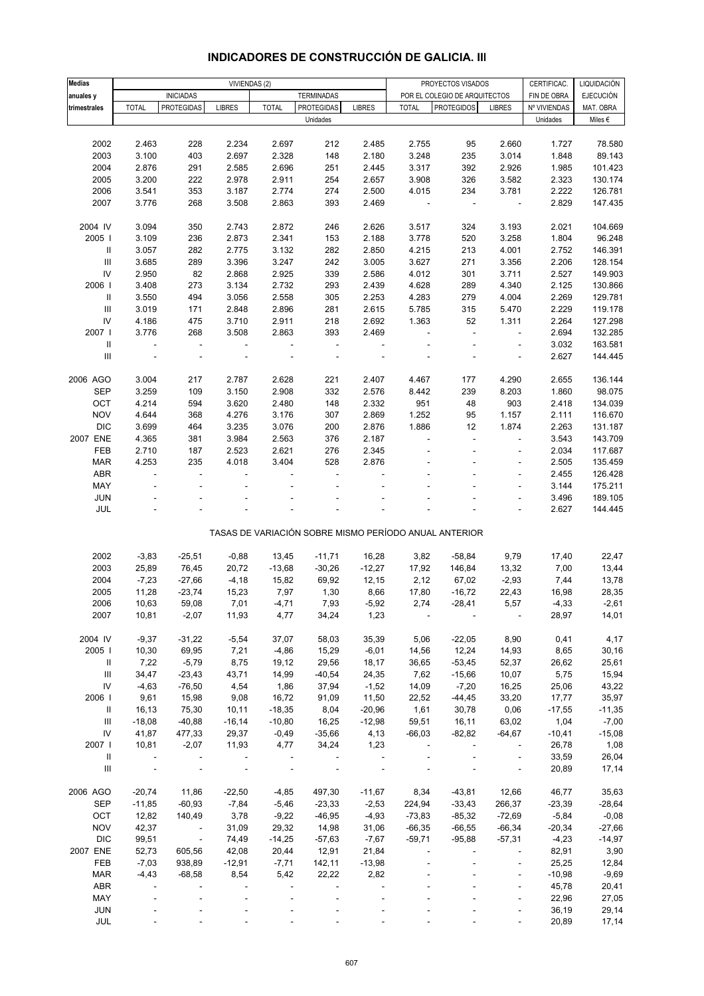| <b>Medias</b>                      | VIVIENDAS (2) |                          |                          |              |                   | PROYECTOS VISADOS<br>CERTIFICAC. |                |                                                       |                          |              |                                 |
|------------------------------------|---------------|--------------------------|--------------------------|--------------|-------------------|----------------------------------|----------------|-------------------------------------------------------|--------------------------|--------------|---------------------------------|
|                                    |               | <b>INICIADAS</b>         |                          |              | <b>TERMINADAS</b> |                                  |                | POR EL COLEGIO DE ARQUITECTOS                         |                          | FIN DE OBRA  | LIQUIDACIÓN<br><b>EJECUCIÓN</b> |
| anuales y                          | <b>TOTAL</b>  | <b>PROTEGIDAS</b>        | <b>LIBRES</b>            | <b>TOTAL</b> | <b>PROTEGIDAS</b> | <b>LIBRES</b>                    | <b>TOTAL</b>   | <b>PROTEGIDOS</b>                                     | <b>LIBRES</b>            | Nº VIVIENDAS | MAT. OBRA                       |
| trimestrales                       |               |                          |                          |              | Unidades          |                                  |                |                                                       |                          | Unidades     | Miles $\epsilon$                |
|                                    |               |                          |                          |              |                   |                                  |                |                                                       |                          |              |                                 |
| 2002                               | 2.463         | 228                      | 2.234                    | 2.697        | 212               | 2.485                            | 2.755          | 95                                                    | 2.660                    | 1.727        | 78.580                          |
| 2003                               | 3.100         | 403                      | 2.697                    |              |                   | 2.180                            | 3.248          |                                                       | 3.014                    |              | 89.143                          |
|                                    |               |                          |                          | 2.328        | 148               |                                  |                | 235                                                   |                          | 1.848        |                                 |
| 2004                               | 2.876         | 291                      | 2.585                    | 2.696        | 251               | 2.445                            | 3.317          | 392                                                   | 2.926                    | 1.985        | 101.423                         |
| 2005                               | 3.200         | 222                      | 2.978                    | 2.911        | 254               | 2.657                            | 3.908          | 326                                                   | 3.582                    | 2.323        | 130.174                         |
| 2006                               | 3.541         | 353                      | 3.187                    | 2.774        | 274               | 2.500                            | 4.015          | 234                                                   | 3.781                    | 2.222        | 126.781                         |
| 2007                               | 3.776         | 268                      | 3.508                    | 2.863        | 393               | 2.469                            | $\blacksquare$ | Ĭ.                                                    | $\overline{\phantom{a}}$ | 2.829        | 147.435                         |
|                                    |               |                          |                          |              |                   |                                  |                |                                                       |                          |              |                                 |
| 2004 IV                            | 3.094         | 350                      | 2.743                    | 2.872        | 246               | 2.626                            | 3.517          | 324                                                   | 3.193                    | 2.021        | 104.669                         |
| 2005                               | 3.109         | 236                      | 2.873                    | 2.341        | 153               | 2.188                            | 3.778          | 520                                                   | 3.258                    | 1.804        | 96.248                          |
| Ш                                  | 3.057         | 282                      | 2.775                    | 3.132        | 282               | 2.850                            | 4.215          | 213                                                   | 4.001                    | 2.752        | 146.391                         |
| $\ensuremath{\mathsf{III}}\xspace$ | 3.685         | 289                      | 3.396                    | 3.247        | 242               | 3.005                            | 3.627          | 271                                                   | 3.356                    | 2.206        | 128.154                         |
| IV                                 | 2.950         | 82                       | 2.868                    | 2.925        | 339               | 2.586                            | 4.012          | 301                                                   | 3.711                    | 2.527        | 149.903                         |
| 2006                               | 3.408         | 273                      | 3.134                    | 2.732        | 293               | 2.439                            | 4.628          | 289                                                   | 4.340                    | 2.125        | 130.866                         |
| $\mathbf{II}$                      | 3.550         | 494                      | 3.056                    | 2.558        | 305               | 2.253                            | 4.283          | 279                                                   | 4.004                    | 2.269        | 129.781                         |
| $\ensuremath{\mathsf{III}}\xspace$ | 3.019         | 171                      | 2.848                    | 2.896        | 281               | 2.615                            | 5.785          | 315                                                   | 5.470                    | 2.229        | 119.178                         |
| IV                                 | 4.186         | 475                      | 3.710                    | 2.911        | 218               | 2.692                            | 1.363          | 52                                                    | 1.311                    | 2.264        | 127.298                         |
| 2007 l                             | 3.776         | 268                      | 3.508                    | 2.863        | 393               | 2.469                            |                | l,                                                    | $\overline{\phantom{a}}$ | 2.694        | 132.285                         |
| $\sf II$                           | ÷             | $\blacksquare$           | $\overline{\phantom{a}}$ |              | $\blacksquare$    | $\qquad \qquad \blacksquare$     |                |                                                       | ÷,                       | 3.032        | 163.581                         |
| III                                |               |                          |                          |              |                   |                                  |                |                                                       |                          | 2.627        | 144.445                         |
|                                    |               |                          |                          |              |                   |                                  |                |                                                       |                          |              |                                 |
| 2006 AGO                           | 3.004         | 217                      | 2.787                    | 2.628        | 221               | 2.407                            | 4.467          | 177                                                   | 4.290                    | 2.655        | 136.144                         |
| <b>SEP</b>                         | 3.259         | 109                      | 3.150                    | 2.908        | 332               | 2.576                            | 8.442          | 239                                                   | 8.203                    | 1.860        | 98.075                          |
| OCT                                | 4.214         | 594                      | 3.620                    | 2.480        | 148               | 2.332                            | 951            | 48                                                    | 903                      | 2.418        | 134.039                         |
| <b>NOV</b>                         | 4.644         | 368                      | 4.276                    | 3.176        | 307               | 2.869                            | 1.252          | 95                                                    | 1.157                    | 2.111        | 116.670                         |
| <b>DIC</b>                         | 3.699         | 464                      | 3.235                    | 3.076        | 200               | 2.876                            | 1.886          | 12                                                    | 1.874                    | 2.263        | 131.187                         |
| 2007 ENE                           | 4.365         | 381                      | 3.984                    | 2.563        | 376               | 2.187                            |                |                                                       |                          | 3.543        | 143.709                         |
| FEB                                | 2.710         | 187                      | 2.523                    | 2.621        | 276               | 2.345                            |                | ä,                                                    | $\overline{\phantom{a}}$ | 2.034        | 117.687                         |
| <b>MAR</b>                         | 4.253         | 235                      | 4.018                    | 3.404        | 528               | 2.876                            |                |                                                       | ÷,                       | 2.505        | 135.459                         |
| <b>ABR</b>                         | ÷,            | ÷,                       |                          |              | ÷,                |                                  |                |                                                       | ÷,                       |              | 126.428                         |
|                                    |               |                          |                          |              |                   |                                  |                |                                                       |                          | 2.455        |                                 |
| MAY                                |               |                          |                          |              |                   |                                  |                |                                                       | ÷,                       | 3.144        | 175.211                         |
| <b>JUN</b>                         |               |                          |                          |              |                   |                                  |                |                                                       |                          | 3.496        | 189.105                         |
| JUL                                |               |                          |                          |              |                   |                                  |                |                                                       | $\bar{a}$                | 2.627        | 144.445                         |
|                                    |               |                          |                          |              |                   |                                  |                | TASAS DE VARIACIÓN SOBRE MISMO PERÍODO ANUAL ANTERIOR |                          |              |                                 |
|                                    |               |                          |                          |              |                   |                                  |                |                                                       |                          |              |                                 |
| 2002                               | $-3,83$       | $-25,51$                 | $-0,88$                  | 13,45        | $-11,71$          | 16,28                            | 3,82           | $-58,84$                                              | 9,79                     | 17,40        | 22,47                           |
| 2003                               | 25,89         | 76,45                    | 20,72                    | $-13,68$     | $-30,26$          | $-12,27$                         | 17,92          | 146,84                                                | 13,32                    | 7,00         | 13,44                           |
| 2004                               | $-7,23$       | $-27,66$                 | $-4,18$                  | 15,82        | 69,92             | 12,15                            | 2,12           | 67,02                                                 | $-2,93$                  | 7,44         | 13,78                           |
| 2005                               | 11,28         | $-23,74$                 | 15,23                    | 7,97         | 1,30              | 8,66                             | 17,80          | $-16,72$                                              | 22,43                    | 16,98        | 28,35                           |
| 2006                               | 10,63         | 59,08                    | 7,01                     | -4,71        | 7,93              | -5,92                            | 2,74           | -28,41                                                | 5,57                     | -4,33        | -2,61                           |
| 2007                               | 10,81         | $-2,07$                  | 11,93                    | 4,77         | 34,24             | 1,23                             |                |                                                       |                          | 28,97        | 14,01                           |
|                                    |               |                          |                          |              |                   |                                  |                |                                                       |                          |              |                                 |
| 2004 IV                            | $-9,37$       | $-31,22$                 | $-5,54$                  | 37,07        | 58,03             | 35,39                            | 5,06           | $-22,05$                                              | 8,90                     | 0,41         | 4,17                            |
| 2005                               | 10,30         | 69,95                    | 7,21                     | $-4,86$      | 15,29             | $-6,01$                          | 14,56          | 12,24                                                 | 14,93                    | 8,65         | 30, 16                          |
| Ш                                  | 7,22          | $-5,79$                  | 8,75                     | 19,12        | 29,56             | 18,17                            | 36,65          | $-53,45$                                              | 52,37                    | 26,62        | 25,61                           |
| $\mathbf{III}$                     | 34,47         | $-23,43$                 | 43,71                    | 14,99        | $-40,54$          | 24,35                            | 7,62           | $-15,66$                                              | 10,07                    | 5,75         | 15,94                           |
| IV                                 | $-4,63$       | $-76,50$                 | 4,54                     | 1,86         | 37,94             | $-1,52$                          | 14,09          | $-7,20$                                               | 16,25                    | 25,06        | 43,22                           |
| 2006                               | 9,61          | 15,98                    | 9,08                     | 16,72        | 91,09             | 11,50                            | 22,52          | $-44,45$                                              | 33,20                    | 17,77        | 35,97                           |
| Ш                                  | 16,13         | 75,30                    | 10,11                    | $-18,35$     | 8,04              | $-20,96$                         | 1,61           | 30,78                                                 | 0,06                     | $-17,55$     | $-11,35$                        |
| $\ensuremath{\mathsf{III}}\xspace$ | $-18,08$      | $-40,88$                 | $-16,14$                 | $-10,80$     | 16,25             | $-12,98$                         | 59,51          | 16,11                                                 | 63,02                    | 1,04         | $-7,00$                         |
| IV                                 | 41,87         | 477,33                   | 29,37                    | $-0,49$      | $-35,66$          | 4,13                             | $-66,03$       | $-82,82$                                              | $-64,67$                 | $-10,41$     | $-15,08$                        |
| 2007 l                             | 10,81         | $-2,07$                  | 11,93                    | 4,77         | 34,24             | 1,23                             |                |                                                       |                          | 26,78        | 1,08                            |
|                                    |               |                          |                          |              |                   |                                  |                |                                                       | $\overline{\phantom{a}}$ |              |                                 |
| Ш<br>$\mathbf{III}$                |               |                          |                          |              |                   |                                  |                |                                                       |                          | 33,59        | 26,04<br>17,14                  |
|                                    |               |                          |                          |              |                   |                                  |                |                                                       | $\blacksquare$           | 20,89        |                                 |
| 2006 AGO                           | $-20,74$      | 11,86                    | $-22,50$                 | $-4,85$      | 497,30            | $-11,67$                         | 8,34           | $-43,81$                                              | 12,66                    | 46,77        | 35,63                           |
| <b>SEP</b>                         | $-11,85$      | $-60,93$                 | $-7,84$                  | $-5,46$      | $-23,33$          | $-2,53$                          | 224,94         | $-33,43$                                              | 266,37                   | $-23,39$     | $-28,64$                        |
| OCT                                | 12,82         | 140,49                   | 3,78                     | $-9,22$      | $-46,95$          | $-4,93$                          | $-73,83$       | $-85,32$                                              | $-72,69$                 | $-5,84$      | $-0,08$                         |
| <b>NOV</b>                         | 42,37         | $\sim 100$               | 31,09                    | 29,32        | 14,98             | 31,06                            | $-66,35$       | $-66,55$                                              | $-66,34$                 | $-20,34$     | $-27,66$                        |
| <b>DIC</b>                         | 99,51         | $\overline{\phantom{a}}$ | 74,49                    | $-14,25$     | $-57,63$          | $-7,67$                          | $-59,71$       | $-95,88$                                              | $-57,31$                 | $-4,23$      | $-14,97$                        |
| 2007 ENE                           | 52,73         | 605,56                   | 42,08                    | 20,44        | 12,91             | 21,84                            |                |                                                       |                          | 82,91        | 3,90                            |
| FEB                                |               |                          | $-12,91$                 | $-7,71$      |                   |                                  |                |                                                       |                          |              |                                 |
|                                    | $-7,03$       | 938,89                   |                          |              | 142,11            | $-13,98$                         |                |                                                       | ÷,                       | 25,25        | 12,84                           |
| <b>MAR</b>                         | $-4,43$       | $-68,58$                 | 8,54                     | 5,42         | 22,22             | 2,82                             |                |                                                       | $\blacksquare$           | $-10,98$     | $-9,69$                         |
| <b>ABR</b>                         |               |                          |                          |              |                   |                                  |                |                                                       | $\overline{\phantom{a}}$ | 45,78        | 20,41                           |
| MAY                                |               |                          |                          |              |                   |                                  |                |                                                       | ÷,                       | 22,96        | 27,05                           |
| <b>JUN</b>                         |               |                          |                          |              |                   |                                  |                |                                                       |                          | 36,19        | 29,14                           |
| JUL                                |               |                          |                          |              |                   |                                  |                |                                                       |                          | 20,89        | 17,14                           |

## **INDICADORES DE CONSTRUCCIÓN DE GALICIA. III**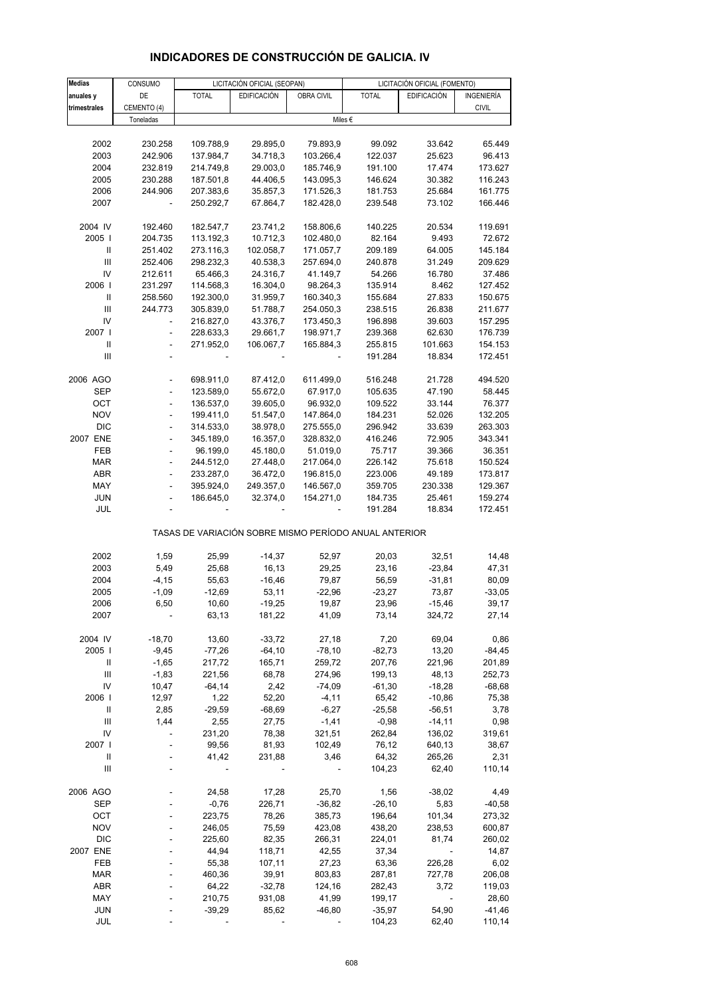| Medias                                                | CONSUMO                  |                          | LICITACIÓN OFICIAL (SEOPAN) |            |                  | LICITACIÓN OFICIAL (FOMENTO) |              |  |  |
|-------------------------------------------------------|--------------------------|--------------------------|-----------------------------|------------|------------------|------------------------------|--------------|--|--|
| anuales y                                             | DE                       | <b>TOTAL</b>             | <b>EDIFICACIÓN</b>          | OBRA CIVIL | <b>TOTAL</b>     | <b>EDIFICACIÓN</b>           | INGENIERÍA   |  |  |
| trimestrales                                          | CEMENTO (4)              |                          |                             |            |                  |                              | <b>CIVIL</b> |  |  |
|                                                       | Toneladas                |                          |                             |            | Miles $\epsilon$ |                              |              |  |  |
|                                                       |                          |                          |                             |            |                  |                              |              |  |  |
| 2002                                                  | 230.258                  | 109.788,9                | 29.895,0                    | 79.893,9   | 99.092           | 33.642                       | 65.449       |  |  |
| 2003                                                  | 242.906                  | 137.984,7                | 34.718,3                    | 103.266,4  | 122.037          | 25.623                       | 96.413       |  |  |
| 2004                                                  | 232.819                  | 214.749,8                | 29.003,0                    | 185.746,9  | 191.100          | 17.474                       | 173.627      |  |  |
| 2005                                                  | 230.288                  | 187.501,8                | 44.406,5                    | 143.095,3  | 146.624          | 30.382                       | 116.243      |  |  |
| 2006                                                  | 244.906                  | 207.383,6                | 35.857,3                    | 171.526,3  | 181.753          | 25.684                       | 161.775      |  |  |
| 2007                                                  |                          | 250.292,7                | 67.864,7                    | 182.428,0  | 239.548          | 73.102                       | 166.446      |  |  |
|                                                       |                          |                          |                             |            |                  |                              |              |  |  |
| 2004 IV                                               | 192.460                  | 182.547,7                | 23.741,2                    | 158.806,6  | 140.225          | 20.534                       | 119.691      |  |  |
| 2005                                                  | 204.735                  | 113.192,3                | 10.712,3                    | 102.480,0  | 82.164           | 9.493                        | 72.672       |  |  |
|                                                       | 251.402                  | 273.116,3                | 102.058,7                   | 171.057,7  | 209.189          | 64.005                       | 145.184      |  |  |
| $\ensuremath{\mathsf{III}}\xspace$                    | 252.406                  | 298.232,3                | 40.538,3                    | 257.694,0  | 240.878          | 31.249                       | 209.629      |  |  |
| IV                                                    | 212.611                  | 65.466,3                 | 24.316,7                    | 41.149,7   | 54.266           | 16.780                       | 37.486       |  |  |
| 2006                                                  | 231.297                  | 114.568,3                | 16.304,0                    | 98.264,3   | 135.914          | 8.462                        | 127.452      |  |  |
|                                                       | 258.560                  | 192.300,0                | 31.959,7                    | 160.340,3  | 155.684          | 27.833                       | 150.675      |  |  |
| Ш                                                     | 244.773                  | 305.839,0                | 51.788,7                    | 254.050,3  | 238.515          | 26.838                       | 211.677      |  |  |
| IV                                                    |                          | 216.827,0                | 43.376,7                    | 173.450,3  | 196.898          | 39.603                       | 157.295      |  |  |
| 2007 I                                                | $\frac{1}{2}$            | 228.633,3                | 29.661,7                    | 198.971,7  | 239.368          | 62.630                       | 176.739      |  |  |
| Ш                                                     | $\overline{a}$           | 271.952,0                | 106.067,7                   | 165.884,3  | 255.815          | 101.663                      | 154.153      |  |  |
| III                                                   |                          |                          |                             |            |                  |                              |              |  |  |
|                                                       |                          |                          |                             |            | 191.284          | 18.834                       | 172.451      |  |  |
|                                                       |                          |                          |                             |            |                  |                              |              |  |  |
| 2006 AGO                                              |                          | 698.911,0                | 87.412,0                    | 611.499,0  | 516.248          | 21.728<br>47.190             | 494.520      |  |  |
| <b>SEP</b>                                            |                          | 123.589,0                | 55.672,0                    | 67.917,0   | 105.635          |                              | 58.445       |  |  |
| OCT                                                   | $\overline{\phantom{a}}$ | 136.537,0                | 39.605,0                    | 96.932,0   | 109.522          | 33.144                       | 76.377       |  |  |
| <b>NOV</b>                                            | $\frac{1}{2}$            | 199.411,0                | 51.547,0                    | 147.864,0  | 184.231          | 52.026                       | 132.205      |  |  |
| <b>DIC</b>                                            | $\overline{a}$           | 314.533,0                | 38.978,0                    | 275.555,0  | 296.942          | 33.639                       | 263.303      |  |  |
| 2007 ENE                                              | $\overline{\phantom{a}}$ | 345.189,0                | 16.357,0                    | 328.832,0  | 416.246          | 72.905                       | 343.341      |  |  |
| FEB                                                   | ÷,                       | 96.199,0                 | 45.180,0                    | 51.019,0   | 75.717           | 39.366                       | 36.351       |  |  |
| <b>MAR</b>                                            | ÷,                       | 244.512,0                | 27.448,0                    | 217.064,0  | 226.142          | 75.618                       | 150.524      |  |  |
| <b>ABR</b>                                            | $\blacksquare$           | 233.287,0                | 36.472,0                    | 196.815,0  | 223.006          | 49.189                       | 173.817      |  |  |
| MAY                                                   | ÷,                       | 395.924,0                | 249.357,0                   | 146.567,0  | 359.705          | 230.338                      | 129.367      |  |  |
| JUN                                                   |                          | 186.645,0                | 32.374,0                    | 154.271,0  | 184.735          | 25.461                       | 159.274      |  |  |
| JUL                                                   |                          |                          |                             |            | 191.284          | 18.834                       | 172.451      |  |  |
| TASAS DE VARIACIÓN SOBRE MISMO PERÍODO ANUAL ANTERIOR |                          |                          |                             |            |                  |                              |              |  |  |
| 2002                                                  | 1,59                     | 25,99                    | $-14,37$                    | 52,97      | 20,03            | 32,51                        | 14,48        |  |  |
| 2003                                                  | 5,49                     | 25,68                    | 16,13                       | 29,25      | 23,16            | $-23,84$                     | 47,31        |  |  |
| 2004                                                  | $-4, 15$                 | 55,63                    | $-16,46$                    | 79,87      | 56,59            | $-31,81$                     | 80,09        |  |  |
| 2005                                                  | $-1,09$                  | $-12,69$                 | 53,11                       | $-22,96$   | $-23,27$         | 73,87                        | $-33,05$     |  |  |
| 2006                                                  | 6,50                     | 10,60                    | $-19,25$                    | 19,87      | 23,96            | $-15,46$                     | 39,17        |  |  |
| 2007                                                  |                          | 63,13                    | 181,22                      | 41,09      | 73,14            | 324,72                       | 27,14        |  |  |
|                                                       |                          |                          |                             |            |                  |                              |              |  |  |
| 2004 IV                                               | $-18,70$                 | 13,60                    | $-33,72$                    | 27,18      | 7,20             | 69,04                        | 0,86         |  |  |
| 2005                                                  | $-9,45$                  | $-77,26$                 | $-64, 10$                   | $-78,10$   | $-82,73$         | 13,20                        | $-84,45$     |  |  |
| Ш                                                     | $-1,65$                  | 217,72                   | 165,71                      | 259,72     | 207,76           | 221,96                       | 201,89       |  |  |
| Ш                                                     | $-1,83$                  | 221,56                   | 68,78                       | 274,96     | 199,13           | 48,13                        | 252,73       |  |  |
| IV                                                    | 10,47                    | $-64,14$                 | 2,42                        | $-74,09$   | $-61,30$         | $-18,28$                     | $-68,68$     |  |  |
| 2006                                                  | 12,97                    | 1,22                     | 52,20                       | $-4, 11$   | 65,42            | $-10,86$                     | 75,38        |  |  |
| Ш                                                     | 2,85                     | $-29,59$                 | $-68,69$                    | $-6,27$    | $-25,58$         | $-56,51$                     | 3,78         |  |  |
| Ш                                                     | 1,44                     | 2,55                     | 27,75                       | $-1,41$    | $-0,98$          | $-14, 11$                    | 0,98         |  |  |
| IV                                                    |                          | 231,20                   | 78,38                       | 321,51     | 262,84           | 136,02                       | 319,61       |  |  |
| 2007                                                  |                          | 99,56                    | 81,93                       | 102,49     | 76,12            | 640,13                       | 38,67        |  |  |
| Ш                                                     |                          | 41,42                    | 231,88                      | 3,46       | 64,32            | 265,26                       | 2,31         |  |  |
| Ш                                                     |                          | $\overline{\phantom{a}}$ |                             |            | 104,23           | 62,40                        | 110,14       |  |  |
|                                                       |                          |                          |                             |            |                  |                              |              |  |  |
| 2006 AGO                                              |                          | 24,58                    | 17,28                       | 25,70      | 1,56             | $-38,02$                     | 4,49         |  |  |
| <b>SEP</b>                                            |                          | $-0,76$                  | 226,71                      | $-36,82$   | $-26,10$         | 5,83                         | $-40,58$     |  |  |
| OCT                                                   |                          | 223,75                   | 78,26                       | 385,73     | 196,64           | 101,34                       | 273,32       |  |  |
| <b>NOV</b>                                            |                          | 246,05                   | 75,59                       | 423,08     | 438,20           | 238,53                       | 600,87       |  |  |
| <b>DIC</b>                                            |                          | 225,60                   | 82,35                       | 266,31     | 224,01           | 81,74                        | 260,02       |  |  |
| 2007 ENE                                              |                          | 44,94                    | 118,71                      | 42,55      | 37,34            | $\overline{\phantom{a}}$     | 14,87        |  |  |
| FEB                                                   |                          | 55,38                    | 107,11                      | 27,23      | 63,36            | 226,28                       | 6,02         |  |  |
| <b>MAR</b>                                            |                          | 460,36                   | 39,91                       | 803,83     | 287,81           | 727,78                       | 206,08       |  |  |
| <b>ABR</b>                                            |                          | 64,22                    | $-32,78$                    | 124,16     | 282,43           | 3,72                         | 119,03       |  |  |
| MAY                                                   |                          | 210,75                   | 931,08                      | 41,99      | 199,17           |                              | 28,60        |  |  |
| <b>JUN</b>                                            |                          | $-39,29$                 | 85,62                       | $-46,80$   | $-35,97$         | 54,90                        | $-41,46$     |  |  |
| JUL                                                   |                          |                          |                             |            | 104,23           | 62,40                        | 110,14       |  |  |

### **INDICADORES DE CONSTRUCCIÓN DE GALICIA. IV**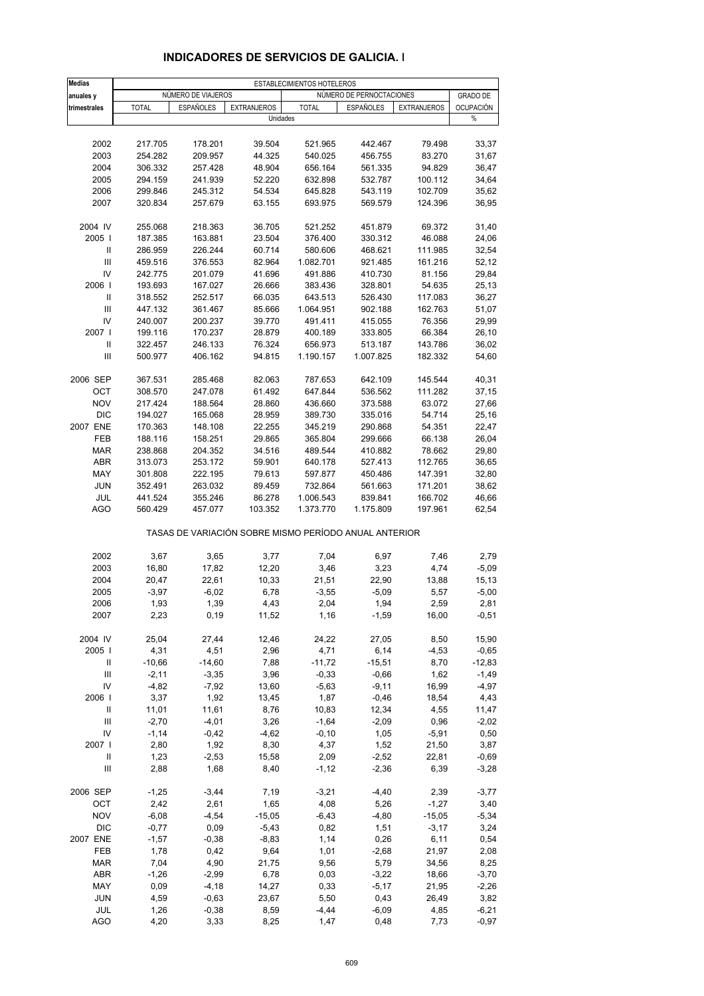| <b>Medias</b>                      |              |                    |                    | ESTABLECIMIENTOS HOTELEROS                            |                          |                    |                  |
|------------------------------------|--------------|--------------------|--------------------|-------------------------------------------------------|--------------------------|--------------------|------------------|
| anuales y                          |              | NUMERO DE VIAJEROS |                    |                                                       | NÚMERO DE PERNOCTACIONES |                    | <b>GRADO DE</b>  |
| trimestrales                       | <b>TOTAL</b> | <b>ESPAÑOLES</b>   | <b>EXTRANJEROS</b> | <b>TOTAL</b>                                          | ESPAÑOLES                | <b>EXTRANJEROS</b> | <b>OCUPACIÓN</b> |
|                                    |              |                    | Unidades           |                                                       |                          |                    | $\%$             |
|                                    |              |                    |                    |                                                       |                          |                    |                  |
| 2002                               | 217.705      | 178.201            | 39.504             | 521.965                                               | 442.467                  | 79.498             | 33,37            |
| 2003                               | 254.282      | 209.957            | 44.325             | 540.025                                               | 456.755                  | 83.270             | 31,67            |
| 2004                               | 306.332      | 257.428            | 48.904             | 656.164                                               | 561.335                  | 94.829             | 36,47            |
| 2005                               | 294.159      | 241.939            | 52.220             | 632.898                                               | 532.787                  | 100.112            | 34,64            |
| 2006                               | 299.846      | 245.312            | 54.534             | 645.828                                               | 543.119                  | 102.709            | 35,62            |
| 2007                               | 320.834      | 257.679            | 63.155             | 693.975                                               | 569.579                  | 124.396            | 36,95            |
| 2004 IV                            | 255.068      | 218.363            | 36.705             | 521.252                                               | 451.879                  | 69.372             | 31,40            |
| 2005                               | 187.385      | 163.881            | 23.504             | 376.400                                               | 330.312                  | 46.088             | 24,06            |
| Ш                                  | 286.959      | 226.244            | 60.714             | 580.606                                               | 468.621                  | 111.985            | 32,54            |
| III                                | 459.516      | 376.553            | 82.964             | 1.082.701                                             | 921.485                  | 161.216            | 52,12            |
| IV                                 | 242.775      | 201.079            | 41.696             | 491.886                                               | 410.730                  | 81.156             | 29,84            |
| 2006                               | 193.693      | 167.027            | 26.666             | 383.436                                               | 328.801                  | 54.635             | 25,13            |
| Ш                                  | 318.552      | 252.517            | 66.035             | 643.513                                               | 526.430                  | 117.083            | 36,27            |
| Ш                                  | 447.132      | 361.467            | 85.666             | 1.064.951                                             | 902.188                  | 162.763            | 51,07            |
| IV                                 | 240.007      | 200.237            | 39.770             | 491.411                                               | 415.055                  | 76.356             | 29,99            |
| 2007                               | 199.116      | 170.237            | 28.879             | 400.189                                               | 333.805                  | 66.384             | 26,10            |
| Ш                                  | 322.457      | 246.133            | 76.324             | 656.973                                               | 513.187                  | 143.786            | 36,02            |
| III                                | 500.977      | 406.162            | 94.815             | 1.190.157                                             | 1.007.825                | 182.332            | 54,60            |
| 2006 SEP                           | 367.531      | 285.468            | 82.063             | 787.653                                               | 642.109                  | 145.544            | 40,31            |
| OCT                                | 308.570      | 247.078            | 61.492             | 647.844                                               | 536.562                  | 111.282            | 37,15            |
| <b>NOV</b>                         | 217.424      | 188.564            | 28.860             | 436.660                                               | 373.588                  | 63.072             | 27,66            |
| <b>DIC</b>                         | 194.027      | 165.068            | 28.959             | 389.730                                               | 335.016                  | 54.714             | 25,16            |
| 2007 ENE                           | 170.363      | 148.108            | 22.255             | 345.219                                               | 290.868                  | 54.351             | 22,47            |
| FEB                                | 188.116      | 158.251            | 29.865             | 365.804                                               | 299.666                  | 66.138             | 26,04            |
| <b>MAR</b>                         | 238.868      | 204.352            | 34.516             | 489.544                                               | 410.882                  | 78.662             | 29,80            |
| ABR                                | 313.073      | 253.172            | 59.901             | 640.178                                               | 527.413                  | 112.765            | 36,65            |
| MAY                                | 301.808      | 222.195            | 79.613             | 597.877                                               | 450.486                  | 147.391            | 32,80            |
| <b>JUN</b>                         | 352.491      | 263.032            | 89.459             | 732.864                                               | 561.663                  | 171.201            | 38,62            |
| JUL                                | 441.524      | 355.246            | 86.278             | 1.006.543                                             | 839.841                  | 166.702            | 46,66            |
| <b>AGO</b>                         | 560.429      | 457.077            | 103.352            | 1.373.770                                             | 1.175.809                | 197.961            | 62,54            |
|                                    |              |                    |                    | TASAS DE VARIACIÓN SOBRE MISMO PERÍODO ANUAL ANTERIOR |                          |                    |                  |
| 2002                               | 3,67         | 3,65               | 3,77               | 7,04                                                  | 6,97                     | 7,46               | 2,79             |
| 2003                               | 16,80        | 17,82              | 12,20              | 3,46                                                  | 3,23                     | 4,74               | $-5,09$          |
| 2004                               | 20,47        | 22,61              | 10,33              | 21,51                                                 | 22,90                    | 13,88              | 15,13            |
| 2005                               | $-3,97$      | $-6,02$            | 6,78               | $-3,55$                                               | $-5,09$                  | 5,57               | $-5,00$          |
| 2006                               | 1,93         | 1,39               | 4,43               | 2,04                                                  | 1,94                     | 2,59               | 2,81             |
| 2007                               | 2,23         | 0, 19              | 11,52              | 1,16                                                  | $-1,59$                  | 16,00              | $-0,51$          |
| 2004 IV                            | 25,04        | 27,44              | 12,46              | 24,22                                                 | 27,05                    | 8,50               | 15,90            |
| 2005                               | 4,31         | 4,51               | 2,96               | 4,71                                                  | 6,14                     | $-4,53$            | $-0,65$          |
| Ш                                  | $-10,66$     | $-14,60$           | 7,88               | $-11,72$                                              | $-15,51$                 | 8,70               | $-12,83$         |
| Ш                                  | $-2,11$      | $-3,35$            | 3,96               | $-0,33$                                               | $-0,66$                  | 1,62               | $-1,49$          |
| IV                                 | $-4,82$      | $-7,92$            | 13,60              | $-5,63$                                               | $-9,11$                  | 16,99              | $-4,97$          |
| 2006                               | 3,37         | 1,92               | 13,45              | 1,87                                                  | $-0,46$                  | 18,54              | 4,43             |
| Ш                                  | 11,01        | 11,61              | 8,76               | 10,83                                                 | 12,34                    | 4,55               | 11,47            |
| $\ensuremath{\mathsf{III}}\xspace$ | $-2,70$      | $-4,01$            | 3,26               | $-1,64$                                               | $-2,09$                  | 0,96               | $-2,02$          |
| IV                                 | $-1,14$      | $-0,42$            | $-4,62$            | $-0, 10$                                              | 1,05                     | $-5,91$            | 0,50             |
| 2007                               | 2,80         | 1,92               | 8,30               | 4,37                                                  | 1,52                     | 21,50              | 3,87             |
| Ш                                  | 1,23         | $-2,53$            | 15,58              | 2,09                                                  | $-2,52$                  | 22,81              | $-0,69$          |
| Ш                                  | 2,88         | 1,68               | 8,40               | $-1, 12$                                              | $-2,36$                  | 6,39               | $-3,28$          |
| 2006 SEP                           | $-1,25$      | $-3,44$            | 7,19               | $-3,21$                                               | $-4,40$                  | 2,39               | $-3,77$          |
| OCT                                | 2,42         | 2,61               | 1,65               | 4,08                                                  | 5,26                     | $-1,27$            | 3,40             |
| <b>NOV</b>                         | $-6,08$      | $-4,54$            | $-15,05$           | $-6,43$                                               | $-4,80$                  | $-15,05$           | $-5,34$          |
| DIC                                | $-0,77$      | 0,09               | $-5,43$            | 0,82                                                  | 1,51                     | $-3,17$            | 3,24             |
| 2007 ENE                           | $-1,57$      | $-0,38$            | $-8,83$            | 1,14                                                  | 0,26                     | 6,11               | 0,54             |
| FEB                                | 1,78         | 0,42               | 9,64               | 1,01                                                  | $-2,68$                  | 21,97              | 2,08             |
| <b>MAR</b>                         | 7,04         | 4,90               | 21,75              | 9,56                                                  | 5,79                     | 34,56              | 8,25             |
| ABR                                | $-1,26$      | $-2,99$            | 6,78               | 0,03                                                  | $-3,22$                  | 18,66              | $-3,70$          |
| MAY                                | 0,09         | $-4,18$            | 14,27              | 0,33                                                  | $-5,17$                  | 21,95              | $-2,26$          |
| <b>JUN</b>                         | 4,59         | $-0,63$            | 23,67              | 5,50                                                  | 0,43                     | 26,49              | 3,82             |
| JUL                                | 1,26         | $-0,38$            | 8,59               | $-4,44$                                               | $-6,09$                  | 4,85               | $-6,21$          |
| <b>AGO</b>                         | 4,20         | 3,33               | 8,25               | 1,47                                                  | 0,48                     | 7,73               | $-0,97$          |

### **INDICADORES DE SERVICIOS DE GALICIA. I**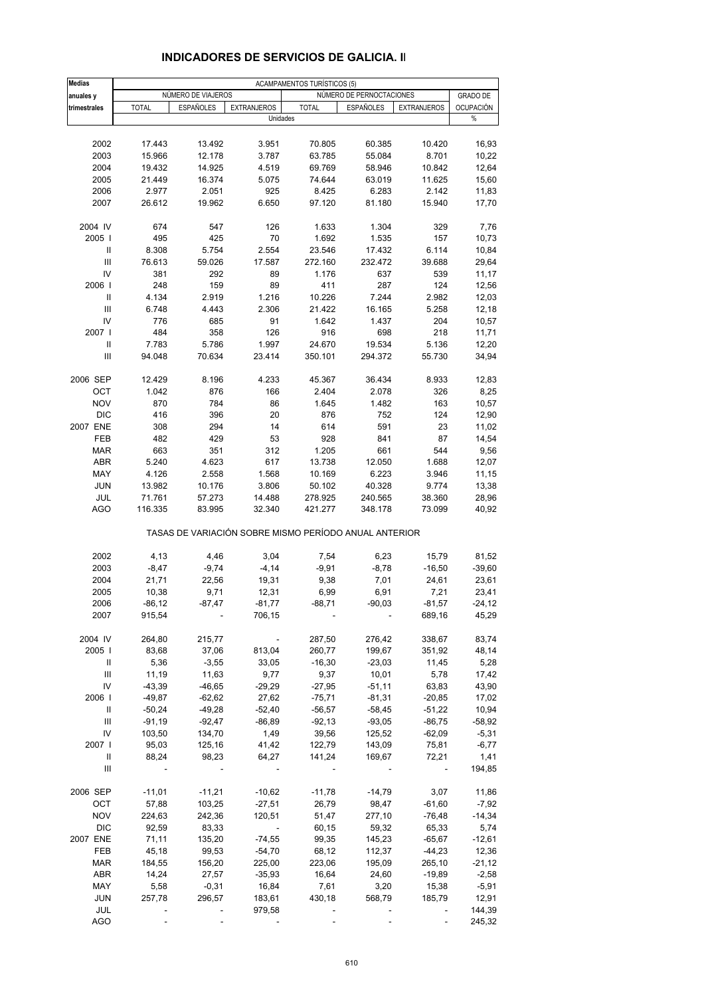| <b>Medias</b>                      | ACAMPAMENTOS TURÍSTICOS (5) |                          |                                                       |              |                          |                    |                  |
|------------------------------------|-----------------------------|--------------------------|-------------------------------------------------------|--------------|--------------------------|--------------------|------------------|
| anuales y                          |                             | NÚMERO DE VIAJEROS       |                                                       |              | NÚMERO DE PERNOCTACIONES |                    | <b>GRADO DE</b>  |
| trimestrales                       | <b>TOTAL</b>                | <b>ESPAÑOLES</b>         | <b>EXTRANJEROS</b>                                    | <b>TOTAL</b> | <b>ESPAÑOLES</b>         | <b>EXTRANJEROS</b> | <b>OCUPACIÓN</b> |
|                                    |                             |                          | Unidades                                              |              |                          |                    | %                |
|                                    |                             |                          |                                                       |              |                          |                    |                  |
| 2002                               | 17.443                      | 13.492                   | 3.951                                                 | 70.805       | 60.385                   | 10.420             | 16,93            |
| 2003                               | 15.966                      | 12.178                   | 3.787                                                 | 63.785       | 55.084                   | 8.701              | 10,22            |
| 2004                               | 19.432                      | 14.925                   | 4.519                                                 | 69.769       | 58.946                   | 10.842             | 12,64            |
| 2005                               | 21.449                      | 16.374                   | 5.075                                                 | 74.644       | 63.019                   | 11.625             | 15,60            |
| 2006                               | 2.977                       | 2.051                    | 925                                                   | 8.425        | 6.283                    | 2.142              | 11,83            |
| 2007                               | 26.612                      | 19.962                   | 6.650                                                 | 97.120       | 81.180                   | 15.940             | 17,70            |
| 2004 IV                            | 674                         | 547                      | 126                                                   | 1.633        | 1.304                    | 329                | 7,76             |
| 2005                               | 495                         | 425                      | 70                                                    | 1.692        | 1.535                    | 157                | 10,73            |
| Ш                                  | 8.308                       | 5.754                    | 2.554                                                 | 23.546       | 17.432                   | 6.114              | 10,84            |
| III                                | 76.613                      | 59.026                   | 17.587                                                | 272.160      | 232.472                  | 39.688             | 29,64            |
| IV                                 | 381                         | 292                      | 89                                                    | 1.176        | 637                      | 539                | 11,17            |
| 2006                               | 248                         | 159                      | 89                                                    | 411          | 287                      | 124                | 12,56            |
| Ш                                  | 4.134                       | 2.919                    | 1.216                                                 | 10.226       | 7.244                    | 2.982              | 12,03            |
| Ш                                  | 6.748                       | 4.443                    | 2.306                                                 | 21.422       | 16.165                   | 5.258              | 12,18            |
| IV                                 | 776                         | 685                      | 91                                                    | 1.642        | 1.437                    | 204                | 10,57            |
| 2007 l                             | 484                         | 358                      | 126                                                   | 916          | 698                      | 218                | 11,71            |
| Ш                                  | 7.783                       | 5.786                    | 1.997                                                 | 24.670       | 19.534                   | 5.136              | 12,20            |
| III                                |                             |                          | 23.414                                                |              |                          | 55.730             |                  |
|                                    | 94.048                      | 70.634                   |                                                       | 350.101      | 294.372                  |                    | 34,94            |
| 2006 SEP                           | 12.429                      | 8.196                    | 4.233                                                 | 45.367       | 36.434                   | 8.933              | 12,83            |
| OCT                                | 1.042                       | 876                      | 166                                                   | 2.404        | 2.078                    | 326                | 8,25             |
| <b>NOV</b>                         | 870                         | 784                      | 86                                                    | 1.645        | 1.482                    | 163                | 10,57            |
| <b>DIC</b>                         | 416                         | 396                      | 20                                                    | 876          | 752                      | 124                | 12,90            |
| 2007 ENE                           | 308                         | 294                      | 14                                                    | 614          | 591                      | 23                 | 11,02            |
| FEB                                | 482                         | 429                      | 53                                                    | 928          | 841                      | 87                 | 14,54            |
| <b>MAR</b>                         | 663                         | 351                      | 312                                                   | 1.205        | 661                      | 544                | 9,56             |
| ABR                                | 5.240                       | 4.623                    | 617                                                   | 13.738       | 12.050                   | 1.688              | 12,07            |
| MAY                                | 4.126                       | 2.558                    | 1.568                                                 | 10.169       | 6.223                    | 3.946              | 11,15            |
| <b>JUN</b>                         | 13.982                      | 10.176                   | 3.806                                                 | 50.102       | 40.328                   | 9.774              | 13,38            |
| JUL                                | 71.761                      | 57.273                   | 14.488                                                | 278.925      | 240.565                  | 38.360             | 28,96            |
| <b>AGO</b>                         | 116.335                     | 83.995                   | 32.340                                                | 421.277      | 348.178                  | 73.099             | 40,92            |
|                                    |                             |                          | TASAS DE VARIACIÓN SOBRE MISMO PERÍODO ANUAL ANTERIOR |              |                          |                    |                  |
| 2002                               | 4,13                        | 4,46                     | 3,04                                                  | 7,54         | 6,23                     | 15,79              | 81,52            |
| 2003                               | $-8,47$                     | $-9,74$                  | $-4,14$                                               | $-9,91$      | $-8,78$                  | $-16,50$           | $-39,60$         |
| 2004                               | 21,71                       | 22,56                    | 19,31                                                 | 9,38         | 7,01                     | 24,61              | 23,61            |
| 2005                               | 10,38                       | 9,71                     | 12,31                                                 | 6,99         | 6,91                     | 7,21               | 23,41            |
| 2006                               | $-86,12$                    | $-87,47$                 | $-81,77$                                              | $-88,71$     | $-90,03$                 | $-81,57$           | $-24, 12$        |
| 2007                               | 915,54                      |                          | 706,15                                                |              |                          | 689,16             | 45,29            |
| 2004 IV                            | 264,80                      | 215,77                   |                                                       | 287,50       | 276,42                   | 338,67             | 83,74            |
| 2005                               | 83,68                       | 37,06                    | 813,04                                                | 260,77       | 199,67                   | 351,92             | 48,14            |
|                                    |                             |                          |                                                       |              |                          |                    |                  |
| Ш                                  | 5,36                        | $-3,55$                  | 33,05                                                 | $-16,30$     | $-23,03$                 | 11,45              | 5,28             |
| $\ensuremath{\mathsf{III}}\xspace$ | 11,19                       | 11,63                    | 9,77                                                  | 9,37         | 10,01                    | 5,78               | 17,42            |
| IV                                 | $-43,39$                    | $-46,65$                 | $-29,29$                                              | $-27,95$     | $-51,11$                 | 63,83              | 43,90            |
| 2006                               | $-49,87$                    | $-62,62$                 | 27,62                                                 | $-75,71$     | $-81,31$                 | $-20,85$           | 17,02            |
| Ш                                  | $-50,24$                    | $-49,28$                 | $-52,40$                                              | $-56,57$     | $-58,45$                 | $-51,22$           | 10,94            |
| $\ensuremath{\mathsf{III}}\xspace$ | $-91,19$                    | $-92,47$                 | $-86,89$                                              | $-92,13$     | $-93,05$                 | $-86,75$           | $-58,92$         |
| IV                                 | 103,50                      | 134,70                   | 1,49                                                  | 39,56        | 125,52                   | $-62,09$           | $-5,31$          |
| 2007                               | 95,03                       | 125,16                   | 41,42                                                 | 122,79       | 143,09                   | 75,81              | $-6,77$          |
| Ш                                  | 88,24                       | 98,23                    | 64,27                                                 | 141,24       | 169,67                   | 72,21              | 1,41             |
| Ш                                  |                             | $\overline{\phantom{a}}$ |                                                       |              |                          |                    | 194,85           |
| 2006 SEP                           | $-11,01$                    | $-11,21$                 | $-10,62$                                              | $-11,78$     | $-14,79$                 | 3,07               | 11,86            |
| OCT                                | 57,88                       | 103,25                   | $-27,51$                                              | 26,79        | 98,47                    | $-61,60$           | $-7,92$          |
| <b>NOV</b>                         | 224,63                      | 242,36                   | 120,51                                                | 51,47        | 277,10                   | $-76,48$           | $-14,34$         |
| <b>DIC</b>                         | 92,59                       | 83,33                    |                                                       | 60,15        | 59,32                    | 65,33              | 5,74             |
| 2007 ENE                           | 71,11                       | 135,20                   | $-74,55$                                              | 99,35        | 145,23                   | $-65,67$           | $-12,61$         |
| FEB                                | 45,18                       | 99,53                    | $-54,70$                                              | 68,12        | 112,37                   | $-44,23$           | 12,36            |
| <b>MAR</b>                         | 184,55                      | 156,20                   | 225,00                                                | 223,06       | 195,09                   | 265,10             | $-21,12$         |
| ABR                                | 14,24                       | 27,57                    | $-35,93$                                              | 16,64        | 24,60                    | $-19,89$           | $-2,58$          |
| MAY                                | 5,58                        | $-0,31$                  | 16,84                                                 | 7,61         | 3,20                     | 15,38              | $-5,91$          |
|                                    |                             |                          |                                                       |              |                          |                    |                  |
| <b>JUN</b>                         | 257,78                      | 296,57                   | 183,61                                                | 430,18       | 568,79                   | 185,79             | 12,91            |
| JUL                                |                             |                          | 979,58                                                |              |                          |                    | 144,39           |
| <b>AGO</b>                         |                             |                          |                                                       |              |                          |                    | 245,32           |

### **INDICADORES DE SERVICIOS DE GALICIA. II**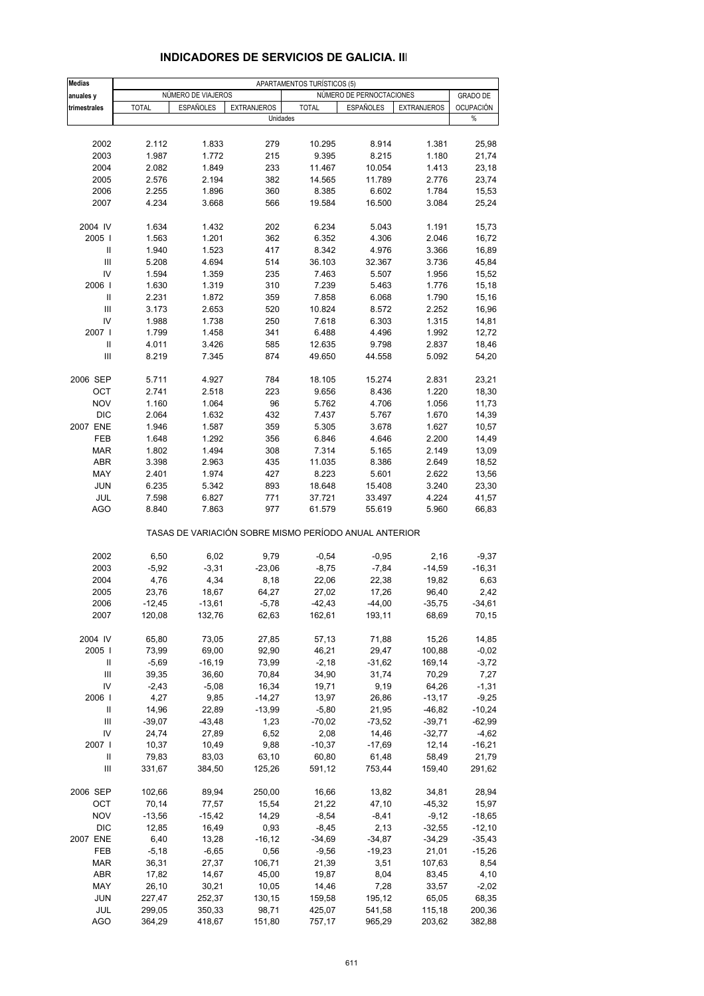| <b>Medias</b>                      |                    |                    |                    | APARTAMENTOS TURÍSTICOS (5)                           |                          |                    |                   |
|------------------------------------|--------------------|--------------------|--------------------|-------------------------------------------------------|--------------------------|--------------------|-------------------|
| anuales y                          |                    | NÚMERO DE VIAJEROS |                    |                                                       | NÚMERO DE PERNOCTACIONES |                    | <b>GRADO DE</b>   |
| trimestrales                       | <b>TOTAL</b>       | <b>ESPAÑOLES</b>   | <b>EXTRANJEROS</b> | <b>TOTAL</b>                                          | <b>ESPAÑOLES</b>         | <b>EXTRANJEROS</b> | <b>OCUPACIÓN</b>  |
|                                    |                    |                    | Unidades           |                                                       |                          |                    | %                 |
|                                    |                    |                    |                    |                                                       |                          |                    |                   |
| 2002                               | 2.112              | 1.833              | 279                | 10.295                                                | 8.914                    | 1.381              | 25,98             |
| 2003                               | 1.987              | 1.772              | 215                | 9.395                                                 | 8.215                    | 1.180              | 21,74             |
| 2004                               | 2.082              | 1.849              | 233                | 11.467                                                | 10.054                   | 1.413              | 23,18             |
| 2005                               | 2.576              | 2.194              | 382                | 14.565                                                | 11.789                   | 2.776              | 23,74             |
| 2006                               | 2.255              | 1.896              | 360                | 8.385                                                 | 6.602                    | 1.784              | 15,53             |
| 2007                               | 4.234              | 3.668              | 566                | 19.584                                                | 16.500                   | 3.084              | 25,24             |
| 2004 IV                            | 1.634              | 1.432              | 202                | 6.234                                                 | 5.043                    | 1.191              | 15,73             |
| 2005                               | 1.563              | 1.201              | 362                | 6.352                                                 | 4.306                    | 2.046              | 16,72             |
| Ш                                  | 1.940              | 1.523              | 417                | 8.342                                                 | 4.976                    | 3.366              | 16,89             |
| Ш                                  | 5.208              | 4.694              | 514                | 36.103                                                | 32.367                   | 3.736              | 45,84             |
| IV                                 | 1.594              | 1.359              | 235                | 7.463                                                 | 5.507                    | 1.956              | 15,52             |
| 2006                               | 1.630              | 1.319              | 310                | 7.239                                                 | 5.463                    | 1.776              | 15,18             |
| Ш                                  | 2.231              | 1.872              | 359                | 7.858                                                 | 6.068                    | 1.790              | 15,16             |
| Ш                                  | 3.173              | 2.653              | 520                | 10.824                                                | 8.572                    | 2.252              | 16,96             |
| IV                                 | 1.988              | 1.738              | 250                | 7.618                                                 | 6.303                    | 1.315              | 14,81             |
| 2007                               | 1.799              | 1.458              | 341                | 6.488                                                 | 4.496                    | 1.992              | 12,72             |
| Ш                                  | 4.011              | 3.426              | 585                | 12.635                                                | 9.798                    | 2.837              | 18,46             |
| $\ensuremath{\mathsf{III}}\xspace$ | 8.219              | 7.345              | 874                | 49.650                                                | 44.558                   | 5.092              | 54,20             |
|                                    |                    |                    |                    |                                                       |                          |                    |                   |
| 2006 SEP                           | 5.711              | 4.927              | 784                | 18.105                                                | 15.274                   | 2.831              | 23,21             |
| OCT                                | 2.741              | 2.518              | 223                | 9.656                                                 | 8.436                    | 1.220              | 18,30             |
| <b>NOV</b>                         | 1.160              | 1.064              | 96                 | 5.762                                                 | 4.706                    | 1.056              | 11,73             |
| <b>DIC</b>                         | 2.064              | 1.632              | 432                | 7.437                                                 | 5.767                    | 1.670              | 14,39             |
| 2007 ENE                           | 1.946              | 1.587              | 359                | 5.305                                                 | 3.678                    | 1.627              | 10,57             |
| FEB                                | 1.648              | 1.292              | 356                | 6.846                                                 | 4.646                    | 2.200              | 14,49             |
| <b>MAR</b>                         | 1.802              | 1.494              | 308                | 7.314                                                 | 5.165                    | 2.149              | 13,09             |
| ABR                                | 3.398              | 2.963              | 435                | 11.035                                                | 8.386                    | 2.649              | 18,52             |
| MAY                                | 2.401              | 1.974              | 427                | 8.223                                                 | 5.601                    | 2.622              | 13,56             |
| <b>JUN</b>                         | 6.235              | 5.342              | 893                | 18.648                                                | 15.408                   | 3.240              | 23,30             |
| JUL                                | 7.598              | 6.827              | 771                | 37.721                                                | 33.497                   | 4.224              | 41,57             |
| AGO                                | 8.840              | 7.863              | 977                | 61.579                                                | 55.619                   | 5.960              | 66,83             |
|                                    |                    |                    |                    | TASAS DE VARIACIÓN SOBRE MISMO PERÍODO ANUAL ANTERIOR |                          |                    |                   |
|                                    |                    |                    |                    |                                                       |                          |                    |                   |
| 2002                               | 6,50               | 6,02               | 9,79               | $-0,54$                                               | $-0,95$                  | 2,16               | $-9,37$           |
| 2003                               | $-5,92$            | $-3,31$            | $-23,06$           | $-8,75$                                               | $-7,84$                  | $-14,59$           | $-16,31$          |
| 2004                               | 4,76               | 4,34               | 8,18               | 22,06                                                 | 22,38                    | 19,82              | 6,63              |
| 2005                               | 23,76              | 18,67              | 64,27              | 27,02                                                 | 17,26                    | 96,40              | 2,42              |
| 2006<br>2007                       | $-12,45$<br>120,08 | $-13,61$<br>132,76 | $-5,78$<br>62,63   | $-42,43$<br>162,61                                    | $-44,00$<br>193,11       | $-35,75$<br>68,69  | $-34,61$<br>70,15 |
|                                    |                    |                    |                    |                                                       |                          |                    |                   |
| 2004 IV                            | 65,80              | 73,05              | 27,85              | 57,13                                                 | 71,88                    | 15,26              | 14,85             |
| 2005                               | 73,99              | 69,00              | 92,90              | 46,21                                                 | 29,47                    | 100,88             | $-0,02$           |
| Ш                                  | $-5,69$            | $-16, 19$          | 73,99              | $-2,18$                                               | $-31,62$                 | 169,14             | $-3,72$           |
| Ш                                  | 39,35              | 36,60              | 70,84              | 34,90                                                 | 31,74                    | 70,29              | 7,27              |
| IV                                 | $-2,43$            | $-5,08$            | 16,34              | 19,71                                                 | 9,19                     | 64,26              | $-1,31$           |
| 2006                               | 4,27               | 9,85               | $-14,27$           | 13,97                                                 | 26,86                    | $-13,17$           | $-9,25$           |
| Ш                                  | 14,96              | 22,89              | $-13,99$           | $-5,80$                                               | 21,95                    | $-46,82$           | $-10,24$          |
| $\ensuremath{\mathsf{III}}\xspace$ | $-39,07$           | $-43,48$           | 1,23               | $-70,02$                                              | $-73,52$                 | $-39,71$           | $-62,99$          |
| IV                                 | 24,74              | 27,89              | 6,52               | 2,08                                                  | 14,46                    | $-32,77$           | $-4,62$           |
| 2007                               | 10,37              | 10,49              | 9,88               | $-10,37$                                              | $-17,69$                 | 12,14              | $-16,21$          |
| Ш                                  | 79,83              | 83,03              | 63,10              | 60,80                                                 | 61,48                    | 58,49              | 21,79             |
| Ш                                  | 331,67             | 384,50             | 125,26             | 591,12                                                | 753,44                   | 159,40             | 291,62            |
|                                    |                    |                    |                    |                                                       |                          |                    |                   |
| 2006 SEP                           | 102,66             | 89,94              | 250,00             | 16,66                                                 | 13,82                    | 34,81              | 28,94             |
| OCT                                | 70,14              | 77,57              | 15,54              | 21,22                                                 | 47,10                    | $-45,32$           | 15,97             |
| <b>NOV</b>                         | $-13,56$           | $-15,42$           | 14,29              | $-8,54$                                               | $-8,41$                  | $-9,12$            | $-18,65$          |
| <b>DIC</b>                         | 12,85              | 16,49              | 0,93               | $-8,45$                                               | 2,13                     | $-32,55$           | $-12,10$          |
| 2007 ENE                           | 6,40               | 13,28              | $-16, 12$          | $-34,69$                                              | $-34,87$                 | $-34,29$           | $-35,43$          |
| FEB                                | $-5,18$            | $-6,65$            | 0,56               | $-9,56$                                               | $-19,23$                 | 21,01              | $-15,26$          |
| <b>MAR</b>                         | 36,31              | 27,37              | 106,71             | 21,39                                                 | 3,51                     | 107,63             | 8,54              |
| ABR                                | 17,82              | 14,67              | 45,00              | 19,87                                                 | 8,04                     | 83,45              | 4,10              |
| MAY                                | 26,10              | 30,21              | 10,05              | 14,46                                                 | 7,28                     | 33,57              | $-2,02$           |
| <b>JUN</b>                         | 227,47             | 252,37             | 130,15             | 159,58                                                | 195,12                   | 65,05              | 68,35             |
| JUL                                | 299,05             | 350,33             | 98,71              | 425,07                                                | 541,58                   | 115,18             | 200,36            |
| AGO                                | 364,29             | 418,67             | 151,80             | 757,17                                                | 965,29                   | 203,62             | 382,88            |

### **INDICADORES DE SERVICIOS DE GALICIA. III**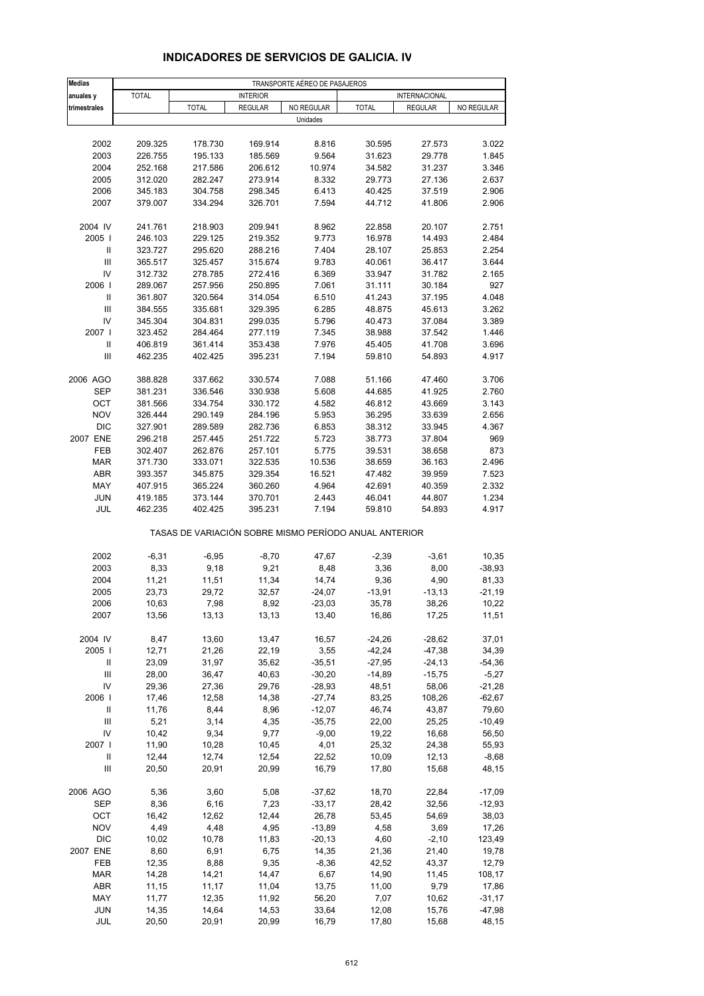| <b>Medias</b>         | TRANSPORTE AÉREO DE PASAJEROS |                                                       |                    |                |                  |                  |                |  |
|-----------------------|-------------------------------|-------------------------------------------------------|--------------------|----------------|------------------|------------------|----------------|--|
| anuales y             | <b>TOTAL</b>                  |                                                       | <b>INTERIOR</b>    |                |                  | INTERNACIONAL    |                |  |
| trimestrales          |                               | <b>TOTAL</b>                                          | <b>REGULAR</b>     | NO REGULAR     | <b>TOTAL</b>     | <b>REGULAR</b>   | NO REGULAR     |  |
|                       |                               |                                                       |                    | Unidades       |                  |                  |                |  |
|                       |                               |                                                       |                    |                |                  |                  |                |  |
| 2002                  | 209.325                       | 178.730                                               | 169.914            | 8.816          | 30.595           | 27.573           | 3.022          |  |
| 2003                  | 226.755                       | 195.133                                               | 185.569            | 9.564          | 31.623           | 29.778           | 1.845          |  |
| 2004                  | 252.168                       | 217.586                                               | 206.612            | 10.974         | 34.582           | 31.237           | 3.346          |  |
| 2005                  | 312.020<br>345.183            | 282.247                                               | 273.914            | 8.332          | 29.773<br>40.425 | 27.136           | 2.637<br>2.906 |  |
| 2006<br>2007          | 379.007                       | 304.758<br>334.294                                    | 298.345<br>326.701 | 6.413<br>7.594 | 44.712           | 37.519<br>41.806 | 2.906          |  |
|                       |                               |                                                       |                    |                |                  |                  |                |  |
| 2004 IV               | 241.761                       | 218.903                                               | 209.941            | 8.962          | 22.858           | 20.107           | 2.751          |  |
| 2005                  | 246.103                       | 229.125                                               | 219.352            | 9.773          | 16.978           | 14.493           | 2.484          |  |
| Ш                     | 323.727                       | 295.620                                               | 288.216            | 7.404          | 28.107           | 25.853           | 2.254          |  |
| $\mathsf{III}\,$      | 365.517                       | 325.457                                               | 315.674            | 9.783          | 40.061           | 36.417           | 3.644          |  |
| IV                    | 312.732                       | 278.785                                               | 272.416            | 6.369          | 33.947           | 31.782           | 2.165          |  |
| 2006                  | 289.067                       | 257.956                                               | 250.895            | 7.061          | 31.111           | 30.184           | 927            |  |
| $\mathsf{I}$          | 361.807                       | 320.564                                               | 314.054            | 6.510          | 41.243           | 37.195           | 4.048          |  |
| Ш                     | 384.555                       | 335.681                                               | 329.395            | 6.285          | 48.875           | 45.613           | 3.262          |  |
| IV<br>2007            | 345.304                       | 304.831                                               | 299.035            | 5.796          | 40.473           | 37.084           | 3.389          |  |
|                       | 323.452                       | 284.464                                               | 277.119            | 7.345          | 38.988           | 37.542<br>41.708 | 1.446          |  |
| Ш<br>$\mathsf{III}\,$ | 406.819                       | 361.414                                               | 353.438            | 7.976          | 45.405<br>59.810 | 54.893           | 3.696          |  |
|                       | 462.235                       | 402.425                                               | 395.231            | 7.194          |                  |                  | 4.917          |  |
| 2006 AGO              | 388.828                       | 337.662                                               | 330.574            | 7.088          | 51.166           | 47.460           | 3.706          |  |
| SEP                   | 381.231                       | 336.546                                               | 330.938            | 5.608          | 44.685           | 41.925           | 2.760          |  |
| OCT                   | 381.566                       | 334.754                                               | 330.172            | 4.582          | 46.812           | 43.669           | 3.143          |  |
| <b>NOV</b>            | 326.444                       | 290.149                                               | 284.196            | 5.953          | 36.295           | 33.639           | 2.656          |  |
| <b>DIC</b>            | 327.901                       | 289.589                                               | 282.736            | 6.853          | 38.312           | 33.945           | 4.367          |  |
| 2007 ENE              | 296.218                       | 257.445                                               | 251.722            | 5.723          | 38.773           | 37.804           | 969            |  |
| FEB                   | 302.407                       | 262.876                                               | 257.101            | 5.775          | 39.531           | 38.658           | 873            |  |
| <b>MAR</b>            | 371.730                       | 333.071                                               | 322.535            | 10.536         | 38.659           | 36.163           | 2.496          |  |
| <b>ABR</b>            | 393.357                       | 345.875                                               | 329.354            | 16.521         | 47.482           | 39.959           | 7.523          |  |
| MAY                   | 407.915                       | 365.224                                               | 360.260            | 4.964          | 42.691           | 40.359           | 2.332          |  |
| <b>JUN</b>            | 419.185                       | 373.144                                               | 370.701            | 2.443          | 46.041           | 44.807           | 1.234          |  |
| JUL                   | 462.235                       | 402.425                                               | 395.231            | 7.194          | 59.810           | 54.893           | 4.917          |  |
|                       |                               | TASAS DE VARIACIÓN SOBRE MISMO PERÍODO ANUAL ANTERIOR |                    |                |                  |                  |                |  |
| 2002                  | $-6,31$                       | $-6,95$                                               | $-8,70$            | 47,67          | $-2,39$          | $-3,61$          | 10,35          |  |
| 2003                  | 8,33                          | 9,18                                                  | 9,21               | 8,48           | 3,36             | 8,00             | $-38,93$       |  |
| 2004                  | 11,21                         | 11,51                                                 | 11,34              | 14,74          | 9,36             | 4,90             | 81,33          |  |
| 2005                  | 23,73                         | 29,72                                                 | 32,57              | $-24,07$       | $-13,91$         | $-13,13$         | $-21,19$       |  |
| 2006                  | 10,63                         | 7,98                                                  | 8,92               | $-23,03$       | 35,78            | 38,26            | 10,22          |  |
| 2007                  | 13,56                         | 13,13                                                 | 13,13              | 13,40          | 16,86            | 17,25            | 11,51          |  |
| 2004 IV               | 8,47                          | 13,60                                                 | 13,47              | 16,57          | $-24,26$         | $-28,62$         | 37,01          |  |
| 2005                  | 12,71                         | 21,26                                                 | 22,19              | 3,55           | $-42,24$         | $-47,38$         | 34,39          |  |
| Ш                     | 23,09                         | 31,97                                                 | 35,62              | $-35,51$       | $-27,95$         | $-24, 13$        | $-54,36$       |  |
| Ш                     | 28,00                         | 36,47                                                 | 40,63              | $-30,20$       | $-14,89$         | $-15,75$         | $-5,27$        |  |
| IV                    | 29,36                         | 27,36                                                 | 29,76              | $-28,93$       | 48,51            | 58,06            | $-21,28$       |  |
| 2006                  | 17,46                         | 12,58                                                 | 14,38              | $-27,74$       | 83,25            | 108,26           | $-62,67$       |  |
| Ш                     | 11,76                         | 8,44                                                  | 8,96               | $-12,07$       | 46,74            | 43,87            | 79,60          |  |
| Ш                     | 5,21                          | 3,14                                                  | 4,35               | $-35,75$       | 22,00            | 25,25            | $-10,49$       |  |
| IV                    | 10,42                         | 9,34                                                  | 9,77               | $-9,00$        | 19,22            | 16,68            | 56,50          |  |
| 2007 l                | 11,90                         | 10,28                                                 | 10,45              | 4,01           | 25,32            | 24,38            | 55,93          |  |
| Ш                     | 12,44                         | 12,74                                                 | 12,54              | 22,52          | 10,09            | 12, 13           | $-8,68$        |  |
| Ш                     | 20,50                         | 20,91                                                 | 20,99              | 16,79          | 17,80            | 15,68            | 48,15          |  |
| 2006 AGO              | 5,36                          | 3,60                                                  | 5,08               | $-37,62$       | 18,70            | 22,84            | $-17,09$       |  |
| SEP                   | 8,36                          | 6, 16                                                 | 7,23               | $-33,17$       | 28,42            | 32,56            | $-12,93$       |  |
| OCT                   | 16,42                         | 12,62                                                 | 12,44              | 26,78          | 53,45            | 54,69            | 38,03          |  |
| <b>NOV</b>            | 4,49                          | 4,48                                                  | 4,95               | $-13,89$       | 4,58             | 3,69             | 17,26          |  |
| <b>DIC</b>            | 10,02                         | 10,78                                                 | 11,83              | $-20,13$       | 4,60             | $-2,10$          | 123,49         |  |
| 2007 ENE              | 8,60                          | 6,91                                                  | 6,75               | 14,35          | 21,36            | 21,40            | 19,78          |  |
| FEB                   | 12,35                         | 8,88                                                  | 9,35               | $-8,36$        | 42,52            | 43,37            | 12,79          |  |
| <b>MAR</b>            | 14,28                         | 14,21                                                 | 14,47              | 6,67           | 14,90            | 11,45            | 108,17         |  |
| <b>ABR</b>            | 11,15                         | 11,17                                                 | 11,04              | 13,75          | 11,00            | 9,79             | 17,86          |  |
| MAY                   | 11,77                         | 12,35                                                 | 11,92              | 56,20          | 7,07             | 10,62            | $-31,17$       |  |
| <b>JUN</b><br>JUL     | 14,35                         | 14,64                                                 | 14,53              | 33,64          | 12,08            | 15,76            | $-47,98$       |  |
|                       | 20,50                         | 20,91                                                 | 20,99              | 16,79          | 17,80            | 15,68            | 48,15          |  |

### **INDICADORES DE SERVICIOS DE GALICIA. IV**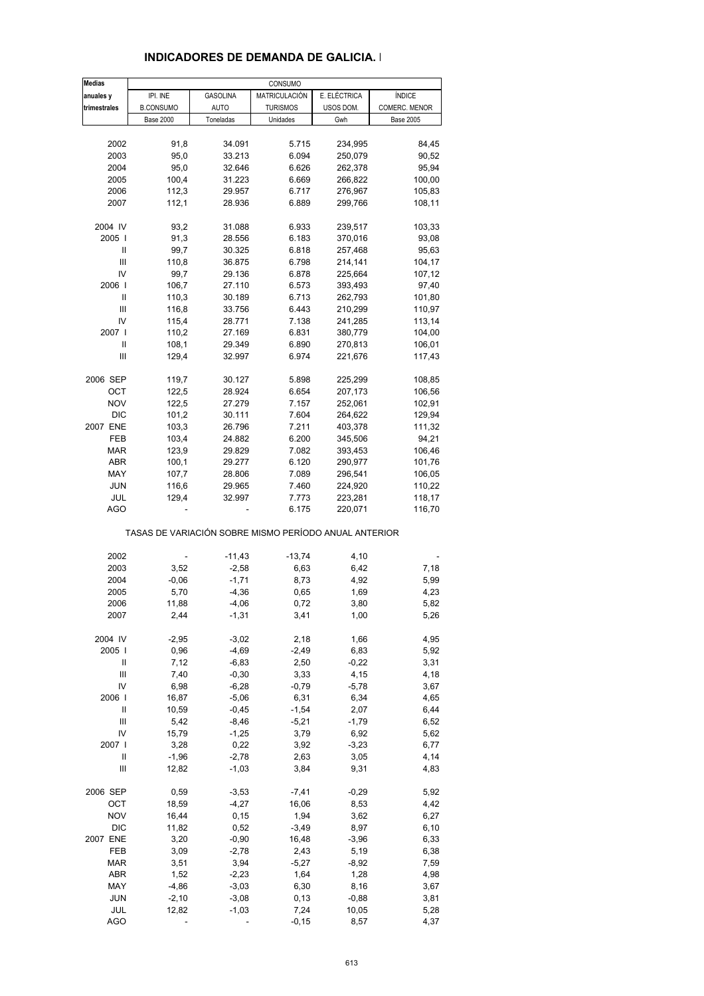| <b>Medias</b> |                                                       |                    | CONSUMO         |              |                  |
|---------------|-------------------------------------------------------|--------------------|-----------------|--------------|------------------|
| anuales y     | IPI. INE                                              | GASOLINA           | MATRICULACIÓN   | E. ELÉCTRICA | <b>ÍNDICE</b>    |
| trimestrales  | <b>B.CONSUMO</b>                                      | <b>AUTO</b>        | <b>TURISMOS</b> | USOS DOM.    | COMERC. MENOR    |
|               | <b>Base 2000</b>                                      | Toneladas          | Unidades        | Gwh          | <b>Base 2005</b> |
|               |                                                       |                    |                 |              |                  |
| 2002          | 91,8                                                  | 34.091             | 5.715           | 234,995      | 84,45            |
| 2003          | 95,0                                                  | 33.213             | 6.094           | 250,079      | 90,52            |
| 2004          | 95,0                                                  | 32.646             | 6.626           | 262,378      | 95,94            |
| 2005          | 100,4                                                 | 31.223             | 6.669           | 266,822      | 100,00           |
| 2006          | 112,3                                                 | 29.957             | 6.717           | 276,967      | 105,83           |
| 2007          | 112,1                                                 | 28.936             | 6.889           | 299,766      | 108,11           |
|               |                                                       |                    |                 |              |                  |
| 2004 IV       | 93,2                                                  | 31.088             | 6.933           | 239,517      | 103,33           |
| 2005          | 91,3                                                  | 28.556             | 6.183           | 370,016      | 93,08            |
| Ш             | 99,7                                                  | 30.325             | 6.818           | 257,468      | 95,63            |
| Ш             | 110,8                                                 | 36.875             | 6.798           | 214,141      | 104,17           |
| IV            | 99,7                                                  | 29.136             | 6.878           | 225,664      | 107,12           |
| 2006          | 106,7                                                 | 27.110             | 6.573           | 393,493      | 97,40            |
| Ш             | 110,3                                                 | 30.189             | 6.713           | 262,793      | 101,80           |
| Ш             | 116,8                                                 | 33.756             | 6.443           | 210,299      | 110,97           |
| IV            | 115,4                                                 | 28.771             | 7.138           | 241,285      | 113,14           |
| 2007 l        | 110,2                                                 | 27.169             | 6.831           | 380,779      | 104,00           |
| Ш             | 108,1                                                 | 29.349             | 6.890           | 270,813      | 106,01           |
| Ш             | 129,4                                                 | 32.997             | 6.974           | 221,676      | 117,43           |
|               |                                                       |                    |                 |              |                  |
| 2006 SEP      | 119,7                                                 | 30.127             | 5.898           | 225,299      | 108,85           |
| OCT           | 122,5                                                 | 28.924             | 6.654           | 207,173      | 106,56           |
| <b>NOV</b>    | 122,5                                                 | 27.279             | 7.157           | 252,061      | 102,91           |
| <b>DIC</b>    | 101,2                                                 | 30.111             | 7.604           | 264,622      | 129,94           |
| 2007 ENE      | 103,3                                                 | 26.796             | 7.211           | 403,378      | 111,32           |
| FEB           | 103,4                                                 | 24.882             | 6.200           | 345,506      | 94,21            |
| <b>MAR</b>    | 123,9                                                 | 29.829             | 7.082           | 393,453      | 106,46           |
| <b>ABR</b>    | 100,1                                                 | 29.277             | 6.120           | 290,977      | 101,76           |
| MAY           | 107,7                                                 | 28.806             | 7.089           | 296,541      | 106,05           |
| <b>JUN</b>    | 116,6                                                 | 29.965             | 7.460           | 224,920      | 110,22           |
| JUL           | 129,4                                                 | 32.997             | 7.773           | 223,281      | 118,17           |
| AGO           |                                                       |                    | 6.175           | 220,071      | 116,70           |
|               | TASAS DE VARIACIÓN SOBRE MISMO PERÍODO ANUAL ANTERIOR |                    |                 |              |                  |
| 2002          |                                                       | $-11,43$           | $-13,74$        | 4,10         |                  |
| 2003          | 3,52                                                  | $-2,58$            | 6,63            | 6,42         | 7,18             |
| 2004          | $-0,06$                                               | $-1,71$            | 8,73            | 4,92         | 5,99             |
| 2005          | 5,70                                                  | $-4,36$            | 0,65            | 1,69         | 4,23             |
|               | 11,88                                                 |                    |                 |              |                  |
| 2006          | 2,44                                                  | $-4,06$<br>$-1,31$ | 0,72<br>3,41    | 3,80         | 5,82             |
| 2007          |                                                       |                    |                 | 1,00         | 5,26             |
| 2004 IV       | $-2,95$                                               | $-3,02$            | 2,18            | 1,66         | 4,95             |
| 2005          | 0,96                                                  | $-4,69$            | $-2,49$         | 6,83         | 5,92             |
| Ш             | 7,12                                                  | $-6,83$            | 2,50            | $-0,22$      | 3,31             |
| Ш             | 7,40                                                  | $-0,30$            | 3,33            | 4,15         | 4,18             |
| IV            | 6,98                                                  | $-6,28$            | $-0,79$         | $-5,78$      | 3,67             |
| 2006          | 16,87                                                 | $-5,06$            | 6,31            | 6,34         | 4,65             |
| Ш             | 10,59                                                 | $-0,45$            | $-1,54$         | 2,07         | 6,44             |
| Ш             | 5,42                                                  | $-8,46$            | $-5,21$         | $-1,79$      | 6,52             |
| IV            | 15,79                                                 | $-1,25$            | 3,79            | 6,92         | 5,62             |
| 2007 l        | 3,28                                                  | 0,22               | 3,92            | $-3,23$      | 6,77             |
| Ш             | $-1,96$                                               | $-2,78$            | 2,63            | 3,05         | 4,14             |
| Ш             | 12,82                                                 | $-1,03$            | 3,84            | 9,31         | 4,83             |
|               |                                                       |                    |                 |              |                  |
| 2006 SEP      | 0,59                                                  | $-3,53$            | $-7,41$         | $-0,29$      | 5,92             |
| ОСТ           | 18,59                                                 | $-4,27$            | 16,06           | 8,53         | 4,42             |
| <b>NOV</b>    | 16,44                                                 | 0,15               | 1,94            | 3,62         | 6,27             |
| <b>DIC</b>    | 11,82                                                 | 0,52               | $-3,49$         | 8,97         | 6,10             |
| 2007 ENE      | 3,20                                                  | $-0,90$            | 16,48           | $-3,96$      | 6,33             |
| FEB           | 3,09                                                  | $-2,78$            | 2,43            | 5,19         | 6,38             |
| MAR           | 3,51                                                  | 3,94               | $-5,27$         | $-8,92$      | 7,59             |
| ABR           | 1,52                                                  | $-2,23$            | 1,64            | 1,28         | 4,98             |
| MAY           | $-4,86$                                               | $-3,03$            | 6,30            | 8,16         | 3,67             |
| <b>JUN</b>    | $-2,10$                                               | $-3,08$            | 0, 13           | $-0,88$      | 3,81             |
| JUL           | 12,82                                                 | $-1,03$            | 7,24            | 10,05        | 5,28             |
| <b>AGO</b>    |                                                       |                    | $-0, 15$        | 8,57         | 4,37             |

### **INDICADORES DE DEMANDA DE GALICIA. I**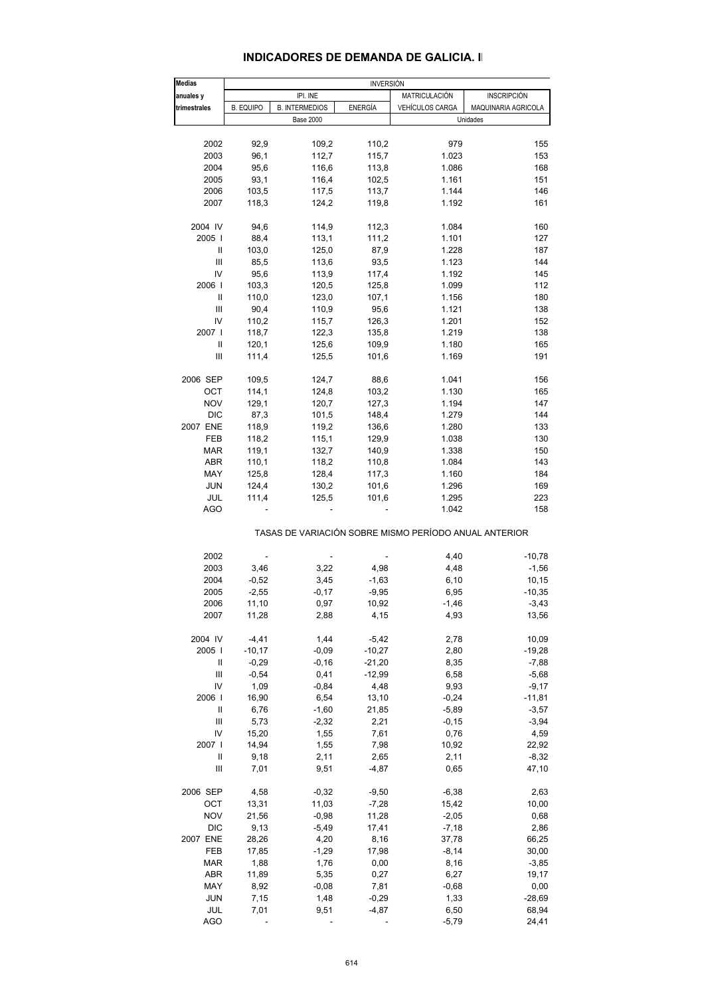### **INDICADORES DE DEMANDA DE GALICIA. II**

| <b>Medias</b>  |                  |                       | <b>INVERSIÓN</b> |                                                       |                     |
|----------------|------------------|-----------------------|------------------|-------------------------------------------------------|---------------------|
| anuales y      |                  | IPI. INE              |                  | MATRICULACIÓN                                         | <b>INSCRIPCIÓN</b>  |
| trimestrales   | <b>B. EQUIPO</b> | <b>B. INTERMEDIOS</b> | <b>ENERGÍA</b>   | VEHÍCULOS CARGA                                       | MAQUINARIA AGRICOLA |
|                |                  | <b>Base 2000</b>      |                  |                                                       | Unidades            |
|                |                  |                       |                  |                                                       |                     |
| 2002           | 92,9             | 109,2                 | 110,2            | 979                                                   | 155                 |
| 2003           | 96,1             | 112,7                 | 115,7            | 1.023                                                 | 153                 |
| 2004           | 95,6             | 116,6                 | 113,8            | 1.086                                                 | 168                 |
| 2005           | 93,1             | 116,4                 | 102,5            | 1.161                                                 | 151                 |
| 2006           | 103,5            | 117,5                 | 113,7            | 1.144                                                 | 146                 |
| 2007           | 118,3            | 124,2                 | 119,8            | 1.192                                                 | 161                 |
| 2004 IV        | 94,6             | 114,9                 | 112,3            | 1.084                                                 | 160                 |
| 2005           | 88,4             | 113,1                 | 111,2            | 1.101                                                 | 127                 |
| Ш              | 103,0            | 125,0                 | 87,9             | 1.228                                                 | 187                 |
| Ш              | 85,5             | 113,6                 | 93,5             | 1.123                                                 | 144                 |
| IV             | 95,6             | 113,9                 | 117,4            | 1.192                                                 | 145                 |
| 2006           | 103,3            | 120,5                 | 125,8            | 1.099                                                 | 112                 |
|                |                  |                       |                  |                                                       |                     |
| Ш              | 110,0            | 123,0                 | 107,1            | 1.156                                                 | 180                 |
| Ш              | 90,4             | 110,9                 | 95,6             | 1.121                                                 | 138                 |
| IV             | 110,2            | 115,7                 | 126,3            | 1.201                                                 | 152                 |
| 2007 l         | 118,7            | 122,3                 | 135,8            | 1.219                                                 | 138                 |
| $\mathbf{I}$   | 120,1            | 125,6                 | 109,9            | 1.180                                                 | 165                 |
| Ш              | 111,4            | 125,5                 | 101,6            | 1.169                                                 | 191                 |
| 2006 SEP       | 109,5            | 124,7                 | 88,6             | 1.041                                                 | 156                 |
| ОСТ            | 114,1            | 124,8                 | 103,2            | 1.130                                                 | 165                 |
| NOV            | 129,1            | 120,7                 | 127,3            | 1.194                                                 | 147                 |
|                |                  |                       |                  |                                                       |                     |
| <b>DIC</b>     | 87,3             | 101,5                 | 148,4            | 1.279                                                 | 144                 |
| 2007 ENE       | 118,9            | 119,2                 | 136,6            | 1.280                                                 | 133                 |
| FEB            | 118,2            | 115,1                 | 129,9            | 1.038                                                 | 130                 |
| <b>MAR</b>     | 119,1            | 132,7                 | 140,9            | 1.338                                                 | 150                 |
| ABR            | 110,1            | 118,2                 | 110,8            | 1.084                                                 | 143                 |
| MAY            | 125,8            | 128,4                 | 117,3            | 1.160                                                 | 184                 |
| <b>JUN</b>     | 124,4            | 130,2                 | 101,6            | 1.296                                                 | 169                 |
| JUL            | 111,4            | 125,5                 | 101,6            | 1.295                                                 | 223                 |
| <b>AGO</b>     |                  |                       |                  | 1.042                                                 | 158                 |
|                |                  |                       |                  | TASAS DE VARIACIÓN SOBRE MISMO PERÍODO ANUAL ANTERIOR |                     |
| 2002           |                  |                       |                  | 4,40                                                  | $-10,78$            |
| 2003           | 3,46             | 3,22                  | 4,98             | 4,48                                                  | $-1,56$             |
| 2004           | $-0,52$          | 3,45                  | $-1,63$          | 6, 10                                                 | 10,15               |
| 2005           | $-2,55$          | $-0,17$               | $-9,95$          | 6,95                                                  | $-10,35$            |
|                |                  |                       | 10,92            |                                                       |                     |
| 2006<br>2007   | 11,10<br>11,28   | 0,97<br>2,88          | 4,15             | $-1,46$<br>4,93                                       | $-3,43$<br>13,56    |
|                |                  |                       |                  |                                                       |                     |
| 2004 IV        | $-4, 41$         | 1,44                  | $-5,42$          | 2,78                                                  | 10,09               |
| 2005           | $-10,17$         | $-0,09$               | $-10,27$         | 2,80                                                  | $-19,28$            |
| Ш              | $-0,29$          | $-0, 16$              | $-21,20$         | 8,35                                                  | $-7,88$             |
| $\mathbf{III}$ | $-0,54$          | 0,41                  | $-12,99$         | 6,58                                                  | $-5,68$             |
| IV             | 1,09             | $-0,84$               | 4,48             | 9,93                                                  | $-9,17$             |
| 2006           | 16,90            | 6,54                  | 13,10            | $-0,24$                                               | -11,81              |
| Ш              | 6,76             | $-1,60$               | 21,85            | $-5,89$                                               | $-3,57$             |
| Ш              | 5,73             | $-2,32$               | 2,21             | $-0,15$                                               | $-3,94$             |
| IV             | 15,20            | 1,55                  | 7,61             | 0,76                                                  | 4,59                |
|                |                  |                       |                  | 10,92                                                 |                     |
| 2007           | 14,94            | 1,55                  | 7,98             |                                                       | 22,92               |
| Ш              | 9,18             | 2,11                  | 2,65             | 2,11                                                  | $-8,32$             |
| $\mathbf{III}$ | 7,01             | 9,51                  | $-4,87$          | 0,65                                                  | 47,10               |
| 2006 SEP       | 4,58             | $-0,32$               | $-9,50$          | $-6,38$                                               | 2,63                |
| ОСТ            | 13,31            | 11,03                 | $-7,28$          | 15,42                                                 | 10,00               |
| <b>NOV</b>     | 21,56            | $-0,98$               | 11,28            | $-2,05$                                               | 0,68                |
| <b>DIC</b>     | 9,13             | $-5,49$               | 17,41            | $-7,18$                                               | 2,86                |
| 2007 ENE       | 28,26            | 4,20                  | 8,16             | 37,78                                                 | 66,25               |
| FEB            | 17,85            | $-1,29$               | 17,98            | $-8,14$                                               | 30,00               |
|                |                  |                       |                  |                                                       |                     |
| MAR            | 1,88             | 1,76                  | 0,00             | 8,16                                                  | $-3,85$             |
| ABR            | 11,89            | 5,35                  | 0,27             | 6,27                                                  | 19,17               |
| MAY            | 8,92             | $-0,08$               | 7,81             | $-0,68$                                               | 0,00                |
| <b>JUN</b>     | 7,15             | 1,48                  | $-0,29$          | 1,33                                                  | $-28,69$            |
| JUL            | 7,01             | 9,51                  | $-4,87$          | 6,50                                                  | 68,94               |
| <b>AGO</b>     |                  |                       |                  | $-5,79$                                               | 24,41               |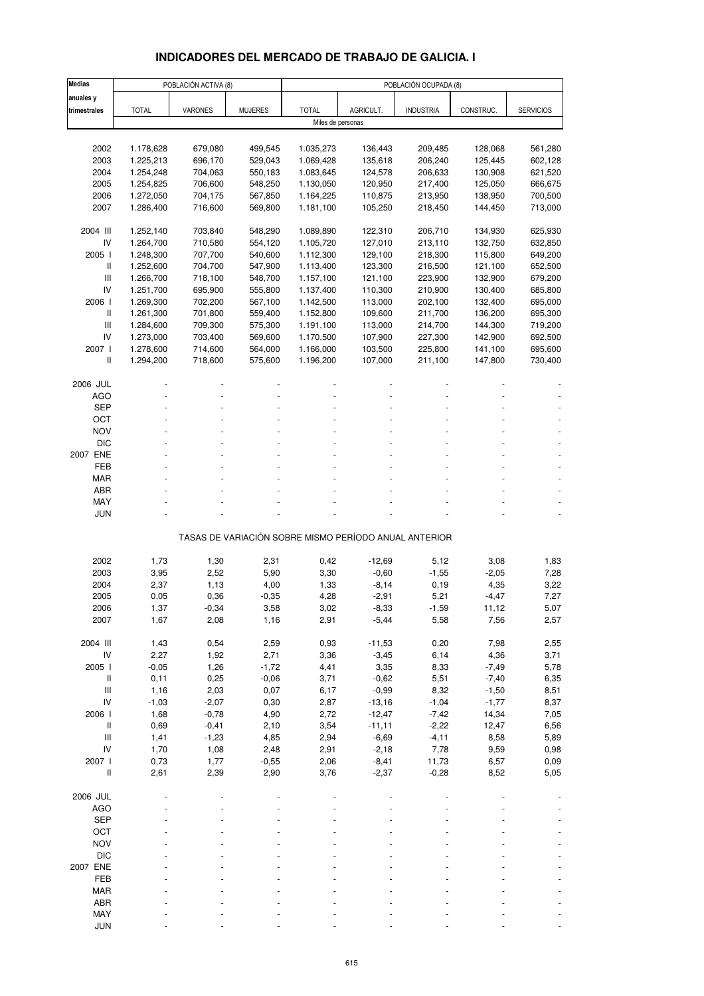## **INDICADORES DEL MERCADO DE TRABAJO DE GALICIA. I**

| <b>Medias</b>                                                             |              | POBLACIÓN ACTIVA (8) |                |                   |           | POBLACIÓN OCUPADA (8)                                 |              |                  |
|---------------------------------------------------------------------------|--------------|----------------------|----------------|-------------------|-----------|-------------------------------------------------------|--------------|------------------|
| anuales y                                                                 |              |                      |                |                   |           |                                                       |              |                  |
| trimestrales                                                              | <b>TOTAL</b> | VARONES              | <b>MUJERES</b> | <b>TOTAL</b>      | AGRICULT. | <b>INDUSTRIA</b>                                      | CONSTRUC.    | <b>SERVICIOS</b> |
|                                                                           |              |                      |                | Miles de personas |           |                                                       |              |                  |
|                                                                           |              |                      |                |                   |           |                                                       |              |                  |
| 2002                                                                      | 1.178,628    | 679,080              | 499,545        | 1.035,273         | 136,443   | 209,485                                               | 128,068      | 561,280          |
| 2003                                                                      | 1.225,213    | 696,170              | 529,043        | 1.069,428         | 135,618   | 206,240                                               | 125,445      | 602,128          |
| 2004                                                                      | 1.254,248    | 704,063              | 550,183        | 1.083,645         | 124,578   | 206,633                                               | 130,908      | 621,520          |
| 2005                                                                      | 1.254,825    | 706,600              | 548,250        | 1.130,050         | 120,950   | 217,400                                               | 125,050      | 666,675          |
| 2006                                                                      | 1.272,050    | 704,175              | 567,850        | 1.164,225         | 110,875   | 213,950                                               | 138,950      | 700,500          |
| 2007                                                                      | 1.286,400    | 716,600              | 569,800        | 1.181,100         | 105,250   | 218,450                                               | 144,450      | 713,000          |
| 2004 III                                                                  | 1.252,140    | 703,840              | 548,290        | 1.089,890         | 122,310   | 206,710                                               | 134,930      | 625,930          |
| IV                                                                        | 1.264,700    | 710,580              | 554,120        | 1.105,720         | 127,010   | 213,110                                               | 132,750      | 632,850          |
| 2005 l                                                                    | 1.248,300    | 707,700              | 540,600        | 1.112,300         | 129,100   | 218,300                                               | 115,800      | 649,200          |
| Ш                                                                         | 1.252,600    | 704,700              | 547,900        | 1.113,400         | 123,300   | 216,500                                               | 121,100      | 652,500          |
| Ш                                                                         | 1.266,700    | 718,100              | 548,700        | 1.157,100         | 121,100   | 223,900                                               | 132,900      | 679,200          |
| IV                                                                        | 1.251,700    | 695,900              | 555,800        | 1.137,400         | 110,300   | 210,900                                               | 130,400      | 685,800          |
| 2006                                                                      | 1.269,300    | 702,200              | 567,100        | 1.142,500         | 113,000   | 202,100                                               | 132,400      | 695,000          |
| Ш                                                                         | 1.261,300    | 701,800              | 559,400        | 1.152,800         | 109,600   | 211,700                                               | 136,200      | 695,300          |
| Ш                                                                         | 1.284,600    | 709,300              | 575,300        | 1.191,100         | 113,000   | 214,700                                               | 144,300      | 719,200          |
| IV                                                                        | 1.273,000    | 703,400              | 569,600        | 1.170,500         | 107,900   | 227,300                                               | 142,900      | 692,500          |
| 2007 l                                                                    | 1.278,600    | 714,600              | 564,000        | 1.166,000         | 103,500   | 225,800                                               | 141,100      | 695,600          |
| Ш                                                                         | 1.294,200    | 718,600              | 575,600        | 1.196,200         | 107,000   | 211,100                                               | 147,800      | 730,400          |
| 2006 JUL                                                                  |              |                      |                |                   |           |                                                       |              |                  |
| <b>AGO</b>                                                                |              |                      |                |                   |           |                                                       |              |                  |
| SEP                                                                       |              |                      |                |                   |           |                                                       |              |                  |
| ОСТ                                                                       |              |                      |                |                   |           |                                                       |              |                  |
| <b>NOV</b>                                                                |              |                      |                |                   |           |                                                       |              |                  |
| <b>DIC</b>                                                                |              |                      |                |                   |           |                                                       |              |                  |
| 2007 ENE                                                                  |              |                      |                |                   |           |                                                       |              |                  |
| FEB                                                                       |              |                      |                |                   |           |                                                       |              |                  |
| MAR                                                                       |              |                      |                |                   |           |                                                       |              |                  |
| ABR                                                                       |              |                      |                |                   |           |                                                       |              |                  |
| MAY                                                                       |              |                      |                |                   |           |                                                       |              |                  |
| <b>JUN</b>                                                                |              |                      |                |                   |           |                                                       |              |                  |
|                                                                           |              |                      |                |                   |           | TASAS DE VARIACIÓN SOBRE MISMO PERÍODO ANUAL ANTERIOR |              |                  |
|                                                                           |              |                      |                |                   |           |                                                       |              |                  |
| 2002                                                                      | 1,73         | 1,30                 | 2,31           | 0,42              | $-12,69$  | 5,12                                                  | 3,08         | 1,83             |
| 2003                                                                      | 3,95         | 2,52                 | 5,90           | 3,30              | $-0,60$   | $-1,55$                                               | $-2,05$      | 7,28             |
| 2004                                                                      | 2,37         | 1,13                 | 4,00           | 1,33              | $-8,14$   | 0, 19                                                 | 4,35         | 3,22             |
| 2005                                                                      | 0,05         | 0,36                 | $-0,35$        | 4,28              | $-2,91$   | 5,21                                                  | $-4,47$      | 7,27             |
| 2006                                                                      | 1,37         | -0,34                | 3,58           | 3,02              | -8,33     | -1,59                                                 | 11,12        | 5,07             |
| 2007                                                                      | 1,67         | 2,08                 | 1,16           | 2,91              | $-5,44$   | 5,58                                                  | 7,56         | 2,57             |
| 2004 III                                                                  |              |                      |                |                   | $-11,53$  |                                                       |              |                  |
| IV                                                                        | 1,43<br>2,27 | 0,54<br>1,92         | 2,59<br>2,71   | 0,93<br>3,36      | $-3,45$   | 0,20<br>6,14                                          | 7,98<br>4,36 | 2,55<br>3,71     |
| 2005 l                                                                    | $-0,05$      | 1,26                 | $-1,72$        | 4,41              | 3,35      | 8,33                                                  | $-7,49$      | 5,78             |
| $\, \parallel$                                                            | 0,11         | 0,25                 | $-0,06$        | 3,71              | $-0,62$   | 5,51                                                  | $-7,40$      | 6,35             |
| III                                                                       | 1,16         | 2,03                 | 0,07           | 6,17              | $-0,99$   | 8,32                                                  | $-1,50$      | 8,51             |
| IV                                                                        | $-1,03$      | $-2,07$              | 0,30           | 2,87              | $-13,16$  | $-1,04$                                               | $-1,77$      | 8,37             |
| 2006 l                                                                    | 1,68         | $-0,78$              | 4,90           | 2,72              | $-12,47$  | $-7,42$                                               | 14,34        | 7,05             |
| $\, \parallel$                                                            | 0,69         | $-0,41$              | 2,10           | 3,54              | $-11,11$  | $-2,22$                                               | 12,47        | 6,56             |
| III                                                                       | 1,41         | $-1,23$              | 4,85           | 2,94              | $-6,69$   | $-4, 11$                                              | 8,58         | 5,89             |
| IV                                                                        | 1,70         | 1,08                 | 2,48           | 2,91              | $-2,18$   | 7,78                                                  | 9,59         | 0,98             |
| 2007 l                                                                    | 0,73         | 1,77                 | $-0,55$        | 2,06              | $-8,41$   | 11,73                                                 | 6,57         | 0,09             |
| $\label{eq:1} \prod_{i=1}^n \left\{ \prod_{i=1}^n \frac{1}{n_i} \right\}$ | 2,61         | 2,39                 | 2,90           | 3,76              | $-2,37$   | $-0,28$                                               | 8,52         | 5,05             |
|                                                                           |              |                      |                |                   |           |                                                       |              |                  |
| 2006 JUL                                                                  |              |                      |                |                   |           |                                                       |              |                  |
| <b>AGO</b><br><b>SEP</b>                                                  |              |                      |                |                   |           |                                                       |              |                  |
| OCT                                                                       |              |                      |                |                   |           |                                                       |              |                  |
| <b>NOV</b>                                                                |              |                      |                |                   |           |                                                       |              |                  |
| <b>DIC</b>                                                                |              |                      |                |                   |           |                                                       |              |                  |
| 2007 ENE                                                                  |              |                      |                |                   |           |                                                       |              |                  |
| FEB                                                                       |              |                      |                |                   |           |                                                       |              |                  |
| <b>MAR</b>                                                                |              |                      |                |                   |           |                                                       |              |                  |
| ABR                                                                       |              |                      |                |                   |           |                                                       |              |                  |
| MAY                                                                       |              |                      |                |                   |           |                                                       |              |                  |
| <b>JUN</b>                                                                |              |                      |                |                   |           |                                                       |              |                  |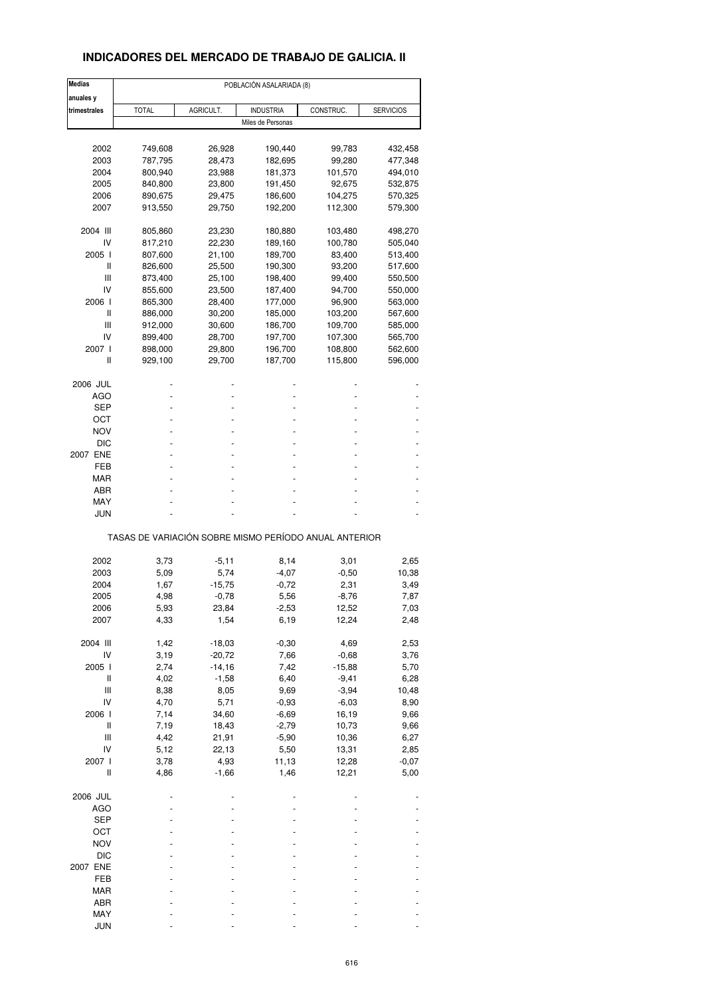### **INDICADORES DEL MERCADO DE TRABAJO DE GALICIA. II**

| <b>Medias</b>                                         | POBLACIÓN ASALARIADA (8) |                 |                   |                 |                  |  |  |  |  |
|-------------------------------------------------------|--------------------------|-----------------|-------------------|-----------------|------------------|--|--|--|--|
| anuales y                                             |                          |                 |                   |                 |                  |  |  |  |  |
| trimestrales                                          | <b>TOTAL</b>             | AGRICULT.       | <b>INDUSTRIA</b>  | CONSTRUC.       | <b>SERVICIOS</b> |  |  |  |  |
|                                                       |                          |                 | Miles de Personas |                 |                  |  |  |  |  |
|                                                       |                          |                 |                   |                 |                  |  |  |  |  |
| 2002                                                  | 749,608                  | 26,928          | 190,440           | 99,783          | 432,458          |  |  |  |  |
| 2003                                                  | 787,795                  | 28,473          | 182,695           | 99,280          | 477,348          |  |  |  |  |
| 2004                                                  | 800,940                  | 23,988          | 181,373           | 101,570         | 494,010          |  |  |  |  |
| 2005                                                  | 840,800                  | 23,800          | 191,450           | 92,675          | 532,875          |  |  |  |  |
| 2006                                                  | 890,675                  | 29,475          | 186,600           | 104,275         | 570,325          |  |  |  |  |
| 2007                                                  | 913,550                  | 29,750          | 192,200           | 112,300         | 579,300          |  |  |  |  |
| 2004 III                                              | 805,860                  | 23,230          | 180,880           | 103,480         | 498,270          |  |  |  |  |
| IV                                                    | 817,210                  | 22,230          | 189,160           | 100,780         | 505,040          |  |  |  |  |
| 2005 l                                                | 807,600                  | 21,100          | 189,700           | 83,400          | 513,400          |  |  |  |  |
| Ш                                                     | 826,600                  | 25,500          | 190,300           | 93,200          | 517,600          |  |  |  |  |
| Ш                                                     | 873,400                  | 25,100          | 198,400           | 99,400          | 550,500          |  |  |  |  |
| IV                                                    | 855,600                  | 23,500          | 187,400           | 94,700          | 550,000          |  |  |  |  |
| 2006 l                                                | 865,300                  | 28,400          | 177,000           | 96,900          | 563,000          |  |  |  |  |
| Ш                                                     | 886,000                  | 30,200          | 185,000           | 103,200         | 567,600          |  |  |  |  |
| Ш                                                     | 912,000                  | 30,600          | 186,700           | 109,700         | 585,000          |  |  |  |  |
| IV                                                    | 899,400                  | 28,700          | 197,700           | 107,300         | 565,700          |  |  |  |  |
| 2007 l                                                | 898,000                  | 29,800          | 196,700           | 108,800         | 562,600          |  |  |  |  |
| Ш                                                     | 929,100                  | 29,700          | 187,700           | 115,800         | 596,000          |  |  |  |  |
| 2006 JUL                                              |                          |                 |                   |                 |                  |  |  |  |  |
| AGO                                                   |                          |                 |                   |                 |                  |  |  |  |  |
| SEP                                                   |                          |                 |                   |                 |                  |  |  |  |  |
| ост                                                   |                          |                 |                   |                 |                  |  |  |  |  |
| <b>NOV</b>                                            |                          |                 |                   |                 |                  |  |  |  |  |
| <b>DIC</b>                                            |                          |                 |                   |                 |                  |  |  |  |  |
| 2007 ENE                                              |                          |                 |                   |                 |                  |  |  |  |  |
| FEB                                                   |                          |                 |                   |                 |                  |  |  |  |  |
| MAR                                                   |                          |                 |                   |                 |                  |  |  |  |  |
| ABR                                                   |                          |                 |                   |                 |                  |  |  |  |  |
| MAY                                                   |                          |                 |                   |                 |                  |  |  |  |  |
| JUN                                                   |                          |                 |                   |                 |                  |  |  |  |  |
| TASAS DE VARIACIÓN SOBRE MISMO PERÍODO ANUAL ANTERIOR |                          |                 |                   |                 |                  |  |  |  |  |
| 2002                                                  |                          |                 |                   |                 |                  |  |  |  |  |
| 2003                                                  | 3,73<br>5,09             | $-5,11$<br>5,74 | 8,14<br>$-4,07$   | 3,01<br>$-0,50$ | 2,65<br>10,38    |  |  |  |  |
| 2004                                                  | 1,67                     | $-15,75$        | $-0,72$           | 2,31            | 3,49             |  |  |  |  |
| 2005                                                  | 4,98                     | $-0,78$         | 5,56              | $-8,76$         | 7,87             |  |  |  |  |
|                                                       |                          |                 |                   |                 |                  |  |  |  |  |
| 2006<br>2007                                          | 5,93                     | 23,84<br>1,54   | -2,53<br>6,19     | 12,52<br>12,24  | 7,03<br>2,48     |  |  |  |  |
|                                                       | 4,33                     |                 |                   |                 |                  |  |  |  |  |
| 2004 III                                              | 1,42                     | $-18,03$        | $-0,30$           | 4,69            | 2,53             |  |  |  |  |
| IV                                                    | 3,19                     | $-20,72$        | 7,66              | $-0,68$         | 3,76             |  |  |  |  |
| 2005 l                                                | 2,74                     | $-14,16$        | 7,42              | $-15,88$        | 5,70             |  |  |  |  |
| Ш                                                     | 4,02                     | $-1,58$         | 6,40              | $-9,41$         | 6,28             |  |  |  |  |
| Ш                                                     | 8,38                     | 8,05            | 9,69              | $-3,94$         | 10,48            |  |  |  |  |
| IV                                                    | 4,70                     | 5,71            | $-0,93$           | $-6,03$         | 8,90             |  |  |  |  |
| 2006                                                  | 7,14                     | 34,60           | $-6,69$           | 16,19           | 9,66             |  |  |  |  |
| Ш                                                     | 7,19                     | 18,43           | $-2,79$           | 10,73           | 9,66             |  |  |  |  |
| $\ensuremath{\mathsf{III}}\xspace$                    | 4,42                     | 21,91           | $-5,90$           | 10,36           | 6,27             |  |  |  |  |
| IV                                                    | 5,12                     | 22,13           | 5,50              | 13,31           | 2,85             |  |  |  |  |
| 2007 l                                                | 3,78                     | 4,93            | 11,13             | 12,28           | $-0,07$          |  |  |  |  |
| Ш                                                     | 4,86                     | $-1,66$         | 1,46              | 12,21           | 5,00             |  |  |  |  |
| 2006 JUL                                              |                          |                 |                   |                 |                  |  |  |  |  |
| <b>AGO</b>                                            |                          |                 |                   |                 |                  |  |  |  |  |
| SEP                                                   |                          |                 |                   |                 |                  |  |  |  |  |
| OCT                                                   |                          |                 |                   |                 |                  |  |  |  |  |
| <b>NOV</b>                                            |                          |                 |                   |                 |                  |  |  |  |  |
| $DIC$                                                 |                          |                 |                   |                 |                  |  |  |  |  |
| 2007 ENE                                              |                          |                 |                   |                 |                  |  |  |  |  |
| FEB                                                   |                          |                 |                   |                 |                  |  |  |  |  |
| MAR                                                   |                          |                 |                   |                 |                  |  |  |  |  |
| ABR                                                   |                          |                 |                   |                 |                  |  |  |  |  |
| MAY                                                   |                          |                 |                   |                 |                  |  |  |  |  |
| <b>JUN</b>                                            |                          |                 |                   |                 |                  |  |  |  |  |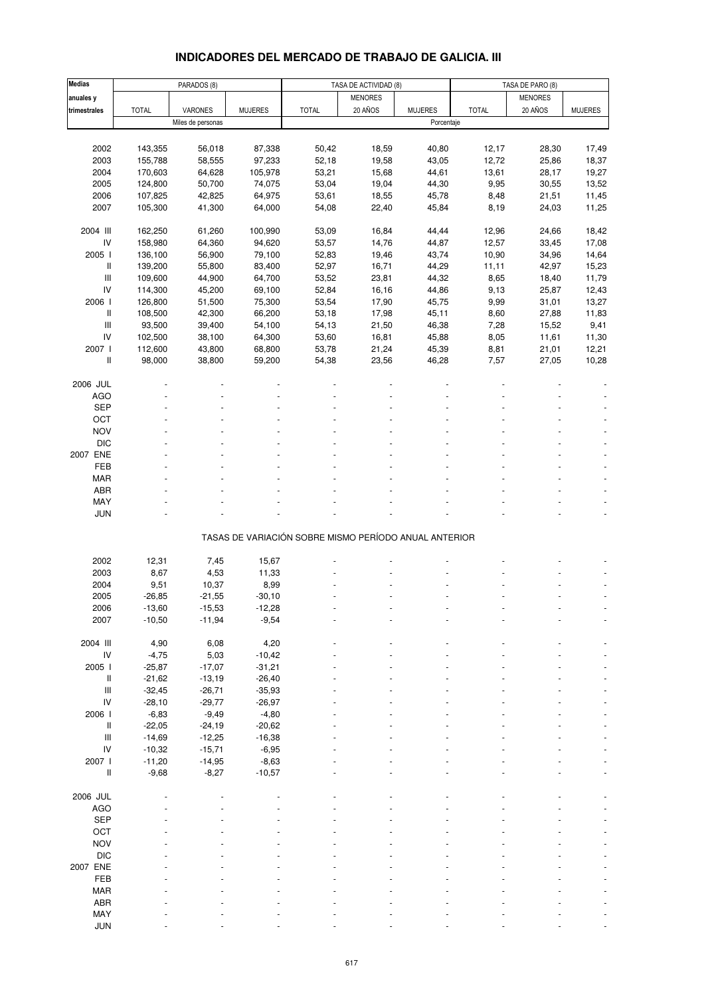## **INDICADORES DEL MERCADO DE TRABAJO DE GALICIA. III**

| <b>Medias</b>                                                             |              | PARADOS (8)       |                |                                                       | TASA DE ACTIVIDAD (8) |                |              | TASA DE PARO (8) |                |
|---------------------------------------------------------------------------|--------------|-------------------|----------------|-------------------------------------------------------|-----------------------|----------------|--------------|------------------|----------------|
| anuales y                                                                 |              |                   |                |                                                       | <b>MENORES</b>        |                |              | <b>MENORES</b>   |                |
| trimestrales                                                              | <b>TOTAL</b> | VARONES           | <b>MUJERES</b> | <b>TOTAL</b>                                          | 20 AÑOS               | <b>MUJERES</b> | <b>TOTAL</b> | 20 AÑOS          | <b>MUJERES</b> |
|                                                                           |              | Miles de personas |                |                                                       |                       | Porcentaje     |              |                  |                |
|                                                                           |              |                   |                |                                                       |                       |                |              |                  |                |
| 2002                                                                      | 143,355      | 56,018            | 87,338         | 50,42                                                 | 18,59                 | 40,80          | 12,17        | 28,30            | 17,49          |
| 2003                                                                      | 155,788      | 58,555            | 97,233         | 52,18                                                 | 19,58                 | 43,05          | 12,72        | 25,86            | 18,37          |
| 2004                                                                      | 170,603      | 64,628            | 105,978        | 53,21                                                 | 15,68                 | 44,61          | 13,61        | 28,17            | 19,27          |
| 2005                                                                      | 124,800      | 50,700            | 74,075         | 53,04                                                 | 19,04                 | 44,30          | 9,95         | 30,55            | 13,52          |
|                                                                           |              |                   |                |                                                       |                       |                |              |                  |                |
| 2006                                                                      | 107,825      | 42,825            | 64,975         | 53,61                                                 | 18,55                 | 45,78          | 8,48         | 21,51            | 11,45          |
| 2007                                                                      | 105,300      | 41,300            | 64,000         | 54,08                                                 | 22,40                 | 45,84          | 8,19         | 24,03            | 11,25          |
|                                                                           |              |                   |                |                                                       |                       |                |              |                  |                |
| 2004 III                                                                  | 162,250      | 61,260            | 100,990        | 53,09                                                 | 16,84                 | 44,44          | 12,96        | 24,66            | 18,42          |
| ${\sf IV}$                                                                | 158,980      | 64,360            | 94,620         | 53,57                                                 | 14,76                 | 44,87          | 12,57        | 33,45            | 17,08          |
| 2005 l                                                                    | 136,100      | 56,900            | 79,100         | 52,83                                                 | 19,46                 | 43,74          | 10,90        | 34,96            | 14,64          |
| Ш                                                                         | 139,200      | 55,800            | 83,400         | 52,97                                                 | 16,71                 | 44,29          | 11,11        | 42,97            | 15,23          |
| $\ensuremath{\mathsf{III}}\xspace$                                        | 109,600      | 44,900            | 64,700         | 53,52                                                 | 23,81                 | 44,32          | 8,65         | 18,40            | 11,79          |
| IV                                                                        | 114,300      | 45,200            | 69,100         | 52,84                                                 | 16,16                 | 44,86          | 9,13         | 25,87            | 12,43          |
| 2006 l                                                                    | 126,800      | 51,500            | 75,300         | 53,54                                                 | 17,90                 | 45,75          | 9,99         | 31,01            | 13,27          |
| Ш                                                                         | 108,500      | 42,300            | 66,200         | 53,18                                                 | 17,98                 | 45,11          | 8,60         | 27,88            | 11,83          |
| $\ensuremath{\mathsf{III}}\xspace$                                        | 93,500       | 39,400            | 54,100         | 54,13                                                 | 21,50                 | 46,38          | 7,28         | 15,52            | 9,41           |
| IV                                                                        | 102,500      | 38,100            | 64,300         | 53,60                                                 | 16,81                 | 45,88          | 8,05         | 11,61            | 11,30          |
| 2007 l                                                                    | 112,600      | 43,800            | 68,800         | 53,78                                                 | 21,24                 | 45,39          | 8,81         | 21,01            | 12,21          |
| Ш                                                                         | 98,000       | 38,800            | 59,200         | 54,38                                                 | 23,56                 | 46,28          | 7,57         | 27,05            | 10,28          |
|                                                                           |              |                   |                |                                                       |                       |                |              |                  |                |
| 2006 JUL                                                                  |              |                   |                |                                                       |                       |                |              |                  |                |
| <b>AGO</b>                                                                |              |                   |                |                                                       |                       |                |              |                  |                |
| <b>SEP</b>                                                                |              |                   |                |                                                       |                       |                |              |                  |                |
| OCT                                                                       |              |                   |                |                                                       |                       |                |              |                  |                |
| <b>NOV</b>                                                                |              |                   |                |                                                       |                       |                |              |                  |                |
| <b>DIC</b>                                                                |              |                   |                |                                                       |                       |                |              |                  |                |
| 2007 ENE                                                                  |              |                   |                |                                                       |                       |                |              |                  |                |
| FEB                                                                       |              |                   |                |                                                       |                       |                |              |                  |                |
| <b>MAR</b>                                                                |              |                   |                |                                                       |                       |                |              |                  |                |
| <b>ABR</b>                                                                |              |                   |                |                                                       |                       |                |              |                  |                |
| MAY                                                                       |              |                   |                |                                                       |                       |                |              |                  |                |
| <b>JUN</b>                                                                |              |                   |                |                                                       |                       |                |              |                  |                |
|                                                                           |              |                   |                |                                                       |                       |                |              |                  |                |
|                                                                           |              |                   |                | TASAS DE VARIACIÓN SOBRE MISMO PERÍODO ANUAL ANTERIOR |                       |                |              |                  |                |
|                                                                           |              |                   |                |                                                       |                       |                |              |                  |                |
| 2002                                                                      | 12,31        | 7,45              | 15,67          |                                                       |                       |                |              |                  |                |
| 2003                                                                      | 8,67         | 4,53              | 11,33          |                                                       |                       |                |              |                  |                |
| 2004                                                                      | 9,51         | 10,37             | 8,99           |                                                       |                       |                |              |                  |                |
| 2005                                                                      | $-26,85$     | $-21,55$          | $-30,10$       |                                                       |                       |                |              |                  |                |
| 2006                                                                      | $-13,60$     | $-15,53$          | -12,28         |                                                       |                       |                |              |                  |                |
| 2007                                                                      | $-10,50$     | $-11,94$          | $-9,54$        |                                                       |                       |                |              |                  |                |
|                                                                           |              |                   |                |                                                       |                       |                |              |                  |                |
| 2004 III                                                                  | 4,90         | 6,08              | 4,20           |                                                       |                       |                |              |                  |                |
| IV                                                                        | $-4,75$      | 5,03              | $-10,42$       |                                                       |                       |                |              |                  |                |
| 2005 l                                                                    | $-25,87$     | $-17,07$          | $-31,21$       |                                                       |                       |                |              |                  |                |
|                                                                           |              |                   |                |                                                       |                       |                |              |                  |                |
| $\mathop{  }$<br>$\ensuremath{\mathsf{III}}\xspace$                       | $-21,62$     | $-13,19$          | $-26,40$       |                                                       |                       |                |              |                  |                |
|                                                                           | $-32,45$     | $-26,71$          | $-35,93$       |                                                       |                       |                |              |                  |                |
| IV                                                                        | $-28,10$     | $-29,77$          | $-26,97$       |                                                       |                       |                |              |                  |                |
| 2006 l                                                                    | $-6,83$      | $-9,49$           | $-4,80$        |                                                       |                       |                |              |                  |                |
| $\mathop{  }$                                                             | $-22,05$     | $-24,19$          | $-20,62$       |                                                       |                       |                |              |                  |                |
| $\ensuremath{\mathsf{III}}\xspace$                                        | $-14,69$     | $-12,25$          | $-16,38$       |                                                       |                       |                |              |                  |                |
| IV                                                                        | $-10,32$     | $-15,71$          | $-6,95$        |                                                       |                       |                |              |                  |                |
| 2007 l                                                                    | $-11,20$     | $-14,95$          | $-8,63$        |                                                       |                       |                |              |                  |                |
| $\label{eq:1} \prod_{i=1}^n \left\{ \prod_{i=1}^n \frac{1}{n_i} \right\}$ | $-9,68$      | $-8,27$           | $-10,57$       |                                                       |                       |                |              |                  |                |
|                                                                           |              |                   |                |                                                       |                       |                |              |                  |                |
| 2006 JUL                                                                  |              |                   |                |                                                       |                       |                |              |                  |                |
| <b>AGO</b>                                                                |              |                   |                |                                                       |                       |                |              |                  |                |
| <b>SEP</b>                                                                |              |                   |                |                                                       |                       |                |              |                  |                |
| OCT                                                                       |              |                   |                |                                                       |                       |                |              |                  |                |
| <b>NOV</b>                                                                |              |                   |                |                                                       |                       |                |              |                  |                |
| <b>DIC</b>                                                                |              |                   |                |                                                       |                       |                |              |                  |                |
| 2007 ENE                                                                  |              |                   |                |                                                       |                       |                |              |                  |                |
| FEB                                                                       |              |                   |                |                                                       |                       |                |              |                  |                |
| <b>MAR</b>                                                                |              |                   |                |                                                       |                       |                |              |                  |                |
| ABR                                                                       |              |                   |                |                                                       |                       |                |              |                  |                |
| MAY                                                                       |              |                   |                |                                                       |                       |                |              |                  |                |
| <b>JUN</b>                                                                |              |                   |                |                                                       |                       |                |              |                  |                |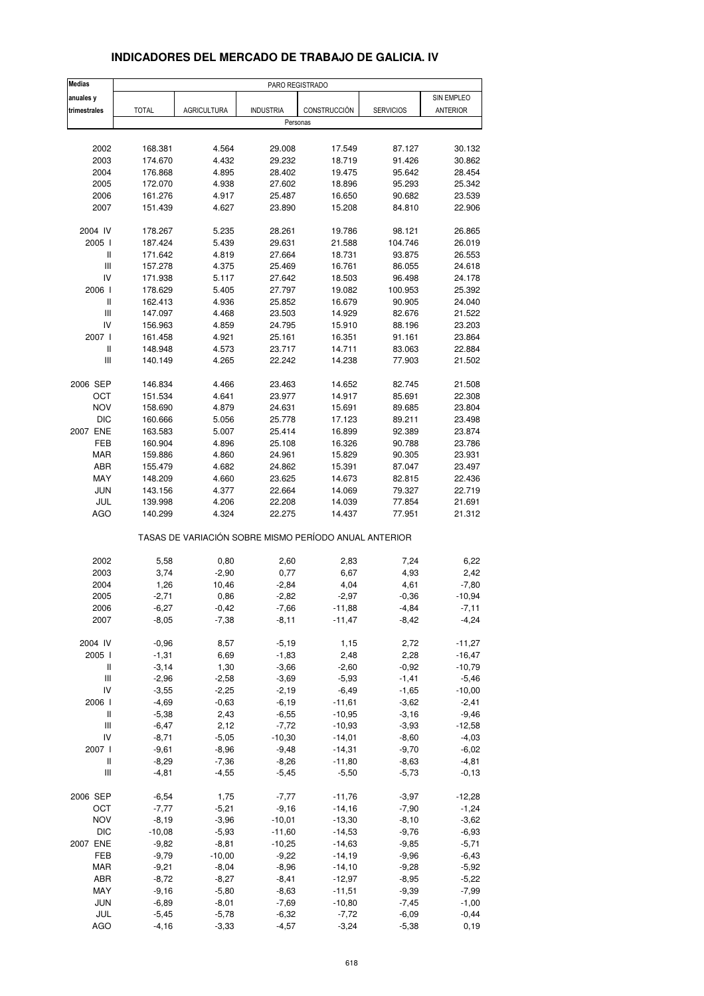| <b>Medias</b>                      |              |                    |                  | PARO REGISTRADO                                       |                  |            |
|------------------------------------|--------------|--------------------|------------------|-------------------------------------------------------|------------------|------------|
| anuales y                          |              |                    |                  |                                                       |                  | SIN EMPLEO |
| trimestrales                       | <b>TOTAL</b> | <b>AGRICULTURA</b> | <b>INDUSTRIA</b> | CONSTRUCCIÓN                                          | <b>SERVICIOS</b> | ANTERIOR   |
|                                    |              |                    |                  | Personas                                              |                  |            |
|                                    |              |                    |                  |                                                       |                  |            |
| 2002                               | 168.381      | 4.564              | 29.008           | 17.549                                                | 87.127           | 30.132     |
| 2003                               | 174.670      | 4.432              | 29.232           | 18.719                                                | 91.426           | 30.862     |
| 2004                               | 176.868      | 4.895              | 28.402           | 19.475                                                | 95.642           | 28.454     |
| 2005                               | 172.070      | 4.938              | 27.602           | 18.896                                                | 95.293           | 25.342     |
| 2006                               | 161.276      | 4.917              | 25.487           | 16.650                                                | 90.682           | 23.539     |
| 2007                               | 151.439      | 4.627              | 23.890           | 15.208                                                | 84.810           | 22.906     |
|                                    |              |                    |                  |                                                       |                  |            |
| 2004 IV                            | 178.267      | 5.235              | 28.261           | 19.786                                                | 98.121           | 26.865     |
| 2005 l                             | 187.424      | 5.439              | 29.631           | 21.588                                                | 104.746          | 26.019     |
| Ш                                  | 171.642      | 4.819              | 27.664           | 18.731                                                | 93.875           | 26.553     |
| $\ensuremath{\mathsf{III}}\xspace$ | 157.278      | 4.375              | 25.469           | 16.761                                                | 86.055           | 24.618     |
| IV                                 | 171.938      | 5.117              | 27.642           | 18.503                                                | 96.498           | 24.178     |
| 2006                               | 178.629      | 5.405              | 27.797           | 19.082                                                | 100.953          | 25.392     |
| Ш                                  | 162.413      | 4.936              | 25.852           | 16.679                                                | 90.905           | 24.040     |
| Ш                                  | 147.097      | 4.468              | 23.503           | 14.929                                                | 82.676           | 21.522     |
| IV                                 | 156.963      | 4.859              | 24.795           | 15.910                                                | 88.196           | 23.203     |
| 2007 l                             | 161.458      | 4.921              | 25.161           | 16.351                                                | 91.161           | 23.864     |
|                                    | 148.948      | 4.573              | 23.717           |                                                       |                  | 22.884     |
| Ш                                  |              |                    |                  | 14.711                                                | 83.063           |            |
| Ш                                  | 140.149      | 4.265              | 22.242           | 14.238                                                | 77.903           | 21.502     |
| 2006 SEP                           | 146.834      | 4.466              | 23.463           | 14.652                                                | 82.745           | 21.508     |
| ОСТ                                | 151.534      | 4.641              | 23.977           | 14.917                                                | 85.691           | 22.308     |
| <b>NOV</b>                         | 158.690      | 4.879              | 24.631           | 15.691                                                | 89.685           | 23.804     |
| <b>DIC</b>                         | 160.666      | 5.056              | 25.778           | 17.123                                                | 89.211           | 23.498     |
| 2007 ENE                           | 163.583      | 5.007              | 25.414           | 16.899                                                | 92.389           | 23.874     |
|                                    |              |                    |                  |                                                       |                  |            |
| FEB                                | 160.904      | 4.896              | 25.108           | 16.326                                                | 90.788           | 23.786     |
| <b>MAR</b>                         | 159.886      | 4.860              | 24.961           | 15.829                                                | 90.305           | 23.931     |
| ABR                                | 155.479      | 4.682              | 24.862           | 15.391                                                | 87.047           | 23.497     |
| MAY                                | 148.209      | 4.660              | 23.625           | 14.673                                                | 82.815           | 22.436     |
| <b>JUN</b>                         | 143.156      | 4.377              | 22.664           | 14.069                                                | 79.327           | 22.719     |
| JUL                                | 139.998      | 4.206              | 22.208           | 14.039                                                | 77.854           | 21.691     |
| <b>AGO</b>                         | 140.299      | 4.324              | 22.275           | 14.437                                                | 77.951           | 21.312     |
|                                    |              |                    |                  | TASAS DE VARIACIÓN SOBRE MISMO PERÍODO ANUAL ANTERIOR |                  |            |
| 2002                               |              |                    |                  | 2,83                                                  | 7,24             | 6,22       |
|                                    | 5,58         | 0,80               | 2,60             |                                                       |                  |            |
| 2003                               | 3,74         | $-2,90$            | 0,77             | 6,67                                                  | 4,93             | 2,42       |
| 2004                               | 1,26         | 10,46              | $-2,84$          | 4,04                                                  | 4,61             | $-7,80$    |
| 2005                               | $-2,71$      | 0,86               | $-2,82$          | $-2,97$                                               | $-0,36$          | $-10,94$   |
| 2006                               | -6,27        | $-0,42$            | -7,66            | -11,88                                                | -4,84            | -7,11      |
| 2007                               | $-8,05$      | $-7,38$            | $-8,11$          | $-11,47$                                              | -8,42            | $-4,24$    |
| 2004 IV                            | $-0,96$      | 8,57               | $-5,19$          | 1,15                                                  | 2,72             | $-11,27$   |
| 2005 l                             | $-1,31$      | 6,69               | $-1,83$          | 2,48                                                  | 2,28             | $-16,47$   |
| Ш                                  | $-3,14$      | 1,30               | $-3,66$          | $-2,60$                                               | $-0,92$          | $-10,79$   |
| Ш                                  | $-2,96$      | $-2,58$            | $-3,69$          | $-5,93$                                               | $-1,41$          | $-5,46$    |
| IV                                 | $-3,55$      |                    | $-2,19$          | $-6,49$                                               |                  | $-10,00$   |
|                                    |              | $-2,25$            |                  |                                                       | $-1,65$          |            |
| 2006 l                             | $-4,69$      | $-0,63$            | $-6,19$          | $-11,61$                                              | $-3,62$          | $-2,41$    |
| $\sf II$                           | $-5,38$      | 2,43               | $-6,55$          | $-10,95$                                              | $-3,16$          | $-9,46$    |
| $\ensuremath{\mathsf{III}}\xspace$ | $-6,47$      | 2,12               | $-7,72$          | $-10,93$                                              | $-3,93$          | $-12,58$   |
| IV                                 | $-8,71$      | $-5,05$            | $-10,30$         | $-14,01$                                              | $-8,60$          | $-4,03$    |
| 2007 l                             | $-9,61$      | $-8,96$            | $-9,48$          | $-14,31$                                              | $-9,70$          | $-6,02$    |
| Ш                                  | $-8,29$      | $-7,36$            | $-8,26$          | $-11,80$                                              | $-8,63$          | $-4,81$    |
| Ш                                  | $-4,81$      | $-4,55$            | $-5,45$          | $-5,50$                                               | $-5,73$          | $-0, 13$   |
| 2006 SEP                           | $-6,54$      | 1,75               | $-7,77$          | $-11,76$                                              | $-3,97$          | $-12,28$   |
| OCT                                | $-7,77$      | $-5,21$            | $-9,16$          | $-14,16$                                              | $-7,90$          | $-1,24$    |
|                                    |              |                    |                  |                                                       |                  |            |
| <b>NOV</b>                         | $-8,19$      | $-3,96$            | $-10,01$         | $-13,30$                                              | $-8,10$          | $-3,62$    |
| $DIC$                              | $-10,08$     | $-5,93$            | $-11,60$         | $-14,53$                                              | $-9,76$          | $-6,93$    |
| 2007 ENE                           | $-9,82$      | $-8,81$            | $-10,25$         | $-14,63$                                              | $-9,85$          | $-5,71$    |
| FEB                                | $-9,79$      | $-10,00$           | $-9,22$          | $-14,19$                                              | $-9,96$          | $-6,43$    |
| MAR                                | $-9,21$      | $-8,04$            | $-8,96$          | $-14,10$                                              | $-9,28$          | $-5,92$    |
| ABR                                | $-8,72$      | $-8,27$            | $-8,41$          | $-12,97$                                              | $-8,95$          | $-5,22$    |
| MAY                                | $-9,16$      | $-5,80$            | $-8,63$          | $-11,51$                                              | $-9,39$          | $-7,99$    |
| <b>JUN</b>                         | $-6,89$      | $-8,01$            | $-7,69$          | $-10,80$                                              | $-7,45$          | $-1,00$    |
| JUL                                | $-5,45$      | $-5,78$            | $-6,32$          | $-7,72$                                               | $-6,09$          | $-0,44$    |

### **INDICADORES DEL MERCADO DE TRABAJO DE GALICIA. IV**

AGO -4,16 -3,33 -4,57 -3,24 -5,38 0,19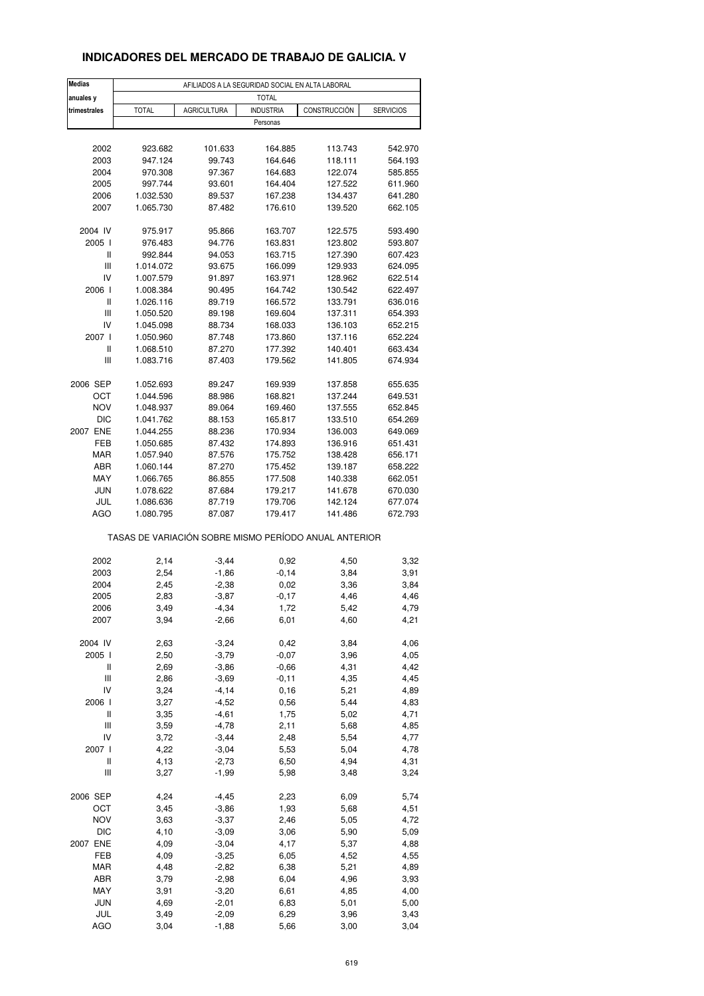### **INDICADORES DEL MERCADO DE TRABAJO DE GALICIA. V**

| <b>Medias</b> | AFILIADOS A LA SEGURIDAD SOCIAL EN ALTA LABORAL       |                    |                  |              |                  |  |  |  |
|---------------|-------------------------------------------------------|--------------------|------------------|--------------|------------------|--|--|--|
| anuales y     |                                                       |                    | <b>TOTAL</b>     |              |                  |  |  |  |
| trimestrales  | <b>TOTAL</b>                                          | <b>AGRICULTURA</b> | <b>INDUSTRIA</b> | CONSTRUCCIÓN | <b>SERVICIOS</b> |  |  |  |
|               |                                                       |                    | Personas         |              |                  |  |  |  |
|               |                                                       |                    |                  |              |                  |  |  |  |
| 2002          | 923.682                                               | 101.633            | 164.885          | 113.743      | 542.970          |  |  |  |
| 2003          | 947.124                                               | 99.743             | 164.646          | 118.111      | 564.193          |  |  |  |
| 2004          | 970.308                                               | 97.367             | 164.683          | 122.074      | 585.855          |  |  |  |
| 2005          | 997.744                                               | 93.601             | 164.404          | 127.522      | 611.960          |  |  |  |
| 2006          | 1.032.530                                             | 89.537             | 167.238          | 134.437      | 641.280          |  |  |  |
| 2007          | 1.065.730                                             |                    |                  | 139.520      |                  |  |  |  |
|               |                                                       | 87.482             | 176.610          |              | 662.105          |  |  |  |
| 2004 IV       | 975.917                                               | 95.866             | 163.707          | 122.575      | 593.490          |  |  |  |
| 2005 l        | 976.483                                               | 94.776             | 163.831          |              | 593.807          |  |  |  |
| Ш             |                                                       |                    |                  | 123.802      |                  |  |  |  |
| Ш             | 992.844                                               | 94.053             | 163.715          | 127.390      | 607.423          |  |  |  |
| IV            | 1.014.072                                             | 93.675             | 166.099          | 129.933      | 624.095          |  |  |  |
|               | 1.007.579                                             | 91.897             | 163.971          | 128.962      | 622.514          |  |  |  |
| 2006          | 1.008.384                                             | 90.495             | 164.742          | 130.542      | 622.497          |  |  |  |
| Ш             | 1.026.116                                             | 89.719             | 166.572          | 133.791      | 636.016          |  |  |  |
| Ш             | 1.050.520                                             | 89.198             | 169.604          | 137.311      | 654.393          |  |  |  |
| IV            | 1.045.098                                             | 88.734             | 168.033          | 136.103      | 652.215          |  |  |  |
| 2007 l        | 1.050.960                                             | 87.748             | 173.860          | 137.116      | 652.224          |  |  |  |
| Ш             | 1.068.510                                             | 87.270             | 177.392          | 140.401      | 663.434          |  |  |  |
| Ш             | 1.083.716                                             | 87.403             | 179.562          | 141.805      | 674.934          |  |  |  |
|               |                                                       |                    |                  |              |                  |  |  |  |
| 2006 SEP      | 1.052.693                                             | 89.247             | 169.939          | 137.858      | 655.635          |  |  |  |
| ост           | 1.044.596                                             | 88.986             | 168.821          | 137.244      | 649.531          |  |  |  |
| <b>NOV</b>    | 1.048.937                                             | 89.064             | 169.460          | 137.555      | 652.845          |  |  |  |
| DIC           | 1.041.762                                             | 88.153             | 165.817          | 133.510      | 654.269          |  |  |  |
| 2007 ENE      | 1.044.255                                             | 88.236             | 170.934          | 136.003      | 649.069          |  |  |  |
| FEB           | 1.050.685                                             | 87.432             | 174.893          | 136.916      | 651.431          |  |  |  |
| <b>MAR</b>    | 1.057.940                                             | 87.576             | 175.752          | 138.428      | 656.171          |  |  |  |
| ABR           | 1.060.144                                             | 87.270             | 175.452          | 139.187      | 658.222          |  |  |  |
| MAY           | 1.066.765                                             | 86.855             | 177.508          | 140.338      | 662.051          |  |  |  |
| <b>JUN</b>    | 1.078.622                                             | 87.684             | 179.217          | 141.678      | 670.030          |  |  |  |
| JUL           | 1.086.636                                             | 87.719             | 179.706          | 142.124      | 677.074          |  |  |  |
| <b>AGO</b>    | 1.080.795                                             | 87.087             | 179.417          | 141.486      | 672.793          |  |  |  |
|               | TASAS DE VARIACIÓN SOBRE MISMO PERÍODO ANUAL ANTERIOR |                    |                  |              |                  |  |  |  |
| 2002          |                                                       |                    |                  |              |                  |  |  |  |
|               | 2,14                                                  | $-3,44$            | 0,92             | 4,50         | 3,32             |  |  |  |
| 2003          | 2,54                                                  | $-1,86$            | $-0,14$          | 3,84         | 3,91             |  |  |  |
| 2004          | 2,45                                                  | $-2,38$            | 0,02             | 3,36         | 3,84             |  |  |  |
| 2005          | 2,83                                                  | $-3,87$            | $-0,17$          | 4,46         | 4,46             |  |  |  |
| 2006          | 3,49                                                  | -4,34              | 1,72             | 5,42         | 4,79             |  |  |  |
| 2007          | 3,94                                                  | $-2,66$            | 6,01             | 4,60         | 4,21             |  |  |  |
|               |                                                       |                    |                  |              |                  |  |  |  |
| 2004 IV       | 2,63                                                  | $-3,24$            | 0,42             | 3,84         | 4,06             |  |  |  |
| 2005 l        | 2,50                                                  | $-3,79$            | $-0,07$          | 3,96         | 4,05             |  |  |  |
| Ш             | 2,69                                                  | $-3,86$            | $-0,66$          | 4,31         | 4,42             |  |  |  |
| Ш             | 2,86                                                  | $-3,69$            | $-0,11$          | 4,35         | 4,45             |  |  |  |
| IV            | 3,24                                                  | $-4, 14$           | 0, 16            | 5,21         | 4,89             |  |  |  |
| 2006          | 3,27                                                  | $-4,52$            | 0,56             | 5,44         | 4,83             |  |  |  |
| $\sf II$      | 3,35                                                  | $-4,61$            | 1,75             | 5,02         | 4,71             |  |  |  |
| Ш             | 3,59                                                  | $-4,78$            | 2,11             | 5,68         | 4,85             |  |  |  |
| IV            | 3,72                                                  | $-3,44$            | 2,48             | 5,54         | 4,77             |  |  |  |
| 2007 l        | 4,22                                                  | $-3,04$            | 5,53             | 5,04         | 4,78             |  |  |  |
| $\sf II$      | 4,13                                                  | $-2,73$            | 6,50             | 4,94         | 4,31             |  |  |  |
| Ш             | 3,27                                                  | $-1,99$            | 5,98             | 3,48         | 3,24             |  |  |  |
|               |                                                       |                    |                  |              |                  |  |  |  |
| 2006 SEP      | 4,24                                                  | $-4,45$            | 2,23             | 6,09         | 5,74             |  |  |  |
| ОСТ           | 3,45                                                  | $-3,86$            | 1,93             | 5,68         | 4,51             |  |  |  |
| <b>NOV</b>    | 3,63                                                  | $-3,37$            | 2,46             | 5,05         | 4,72             |  |  |  |
| DIC           | 4,10                                                  | $-3,09$            | 3,06             | 5,90         | 5,09             |  |  |  |
| 2007 ENE      | 4,09                                                  | $-3,04$            | 4,17             | 5,37         | 4,88             |  |  |  |
| FEB           | 4,09                                                  | $-3,25$            | 6,05             | 4,52         | 4,55             |  |  |  |
| <b>MAR</b>    | 4,48                                                  | $-2,82$            | 6,38             | 5,21         | 4,89             |  |  |  |
| ABR           | 3,79                                                  | $-2,98$            | 6,04             | 4,96         | 3,93             |  |  |  |
| MAY           | 3,91                                                  | $-3,20$            | 6,61             | 4,85         | 4,00             |  |  |  |
| JUN           | 4,69                                                  | $-2,01$            | 6,83             | 5,01         | 5,00             |  |  |  |
| JUL           | 3,49                                                  | $-2,09$            | 6,29             | 3,96         | 3,43             |  |  |  |
| <b>AGO</b>    | 3,04                                                  | $-1,88$            | 5,66             | 3,00         | 3,04             |  |  |  |
|               |                                                       |                    |                  |              |                  |  |  |  |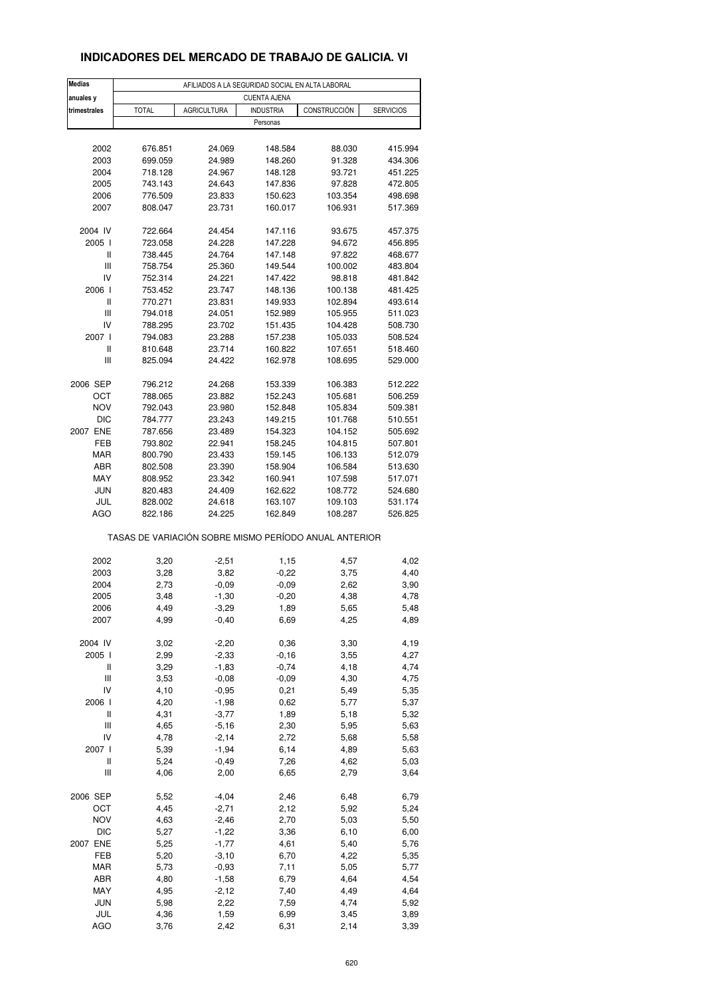### **INDICADORES DEL MERCADO DE TRABAJO DE GALICIA. VI**

| <b>Medias</b>                      | AFILIADOS A LA SEGURIDAD SOCIAL EN ALTA LABORAL       |                    |                     |                    |                    |  |  |  |  |
|------------------------------------|-------------------------------------------------------|--------------------|---------------------|--------------------|--------------------|--|--|--|--|
| anuales y                          |                                                       |                    | <b>CUENTA AJENA</b> |                    |                    |  |  |  |  |
| trimestrales                       | <b>TOTAL</b>                                          | <b>AGRICULTURA</b> | <b>INDUSTRIA</b>    | CONSTRUCCIÓN       | <b>SERVICIOS</b>   |  |  |  |  |
|                                    |                                                       |                    | Personas            |                    |                    |  |  |  |  |
|                                    |                                                       |                    |                     |                    |                    |  |  |  |  |
| 2002                               | 676.851                                               | 24.069             | 148.584             | 88.030             | 415.994            |  |  |  |  |
| 2003                               | 699.059                                               | 24.989             | 148.260             | 91.328             | 434.306            |  |  |  |  |
| 2004<br>2005                       | 718.128<br>743.143                                    | 24.967             | 148.128<br>147.836  | 93.721<br>97.828   | 451.225            |  |  |  |  |
| 2006                               | 776.509                                               | 24.643<br>23.833   | 150.623             | 103.354            | 472.805<br>498.698 |  |  |  |  |
| 2007                               | 808.047                                               | 23.731             | 160.017             | 106.931            | 517.369            |  |  |  |  |
|                                    |                                                       |                    |                     |                    |                    |  |  |  |  |
| 2004 IV                            | 722.664                                               | 24.454             | 147.116             | 93.675             | 457.375            |  |  |  |  |
| 2005                               | 723.058                                               | 24.228             | 147.228             | 94.672             | 456.895            |  |  |  |  |
| Ш                                  | 738.445                                               | 24.764             | 147.148             | 97.822             | 468.677            |  |  |  |  |
| $\ensuremath{\mathsf{III}}\xspace$ | 758.754                                               | 25.360             | 149.544             | 100.002            | 483.804            |  |  |  |  |
| IV                                 | 752.314                                               | 24.221             | 147.422             | 98.818             | 481.842            |  |  |  |  |
| 2006                               | 753.452                                               | 23.747             | 148.136             | 100.138            | 481.425            |  |  |  |  |
| $\sf II$                           | 770.271                                               | 23.831             | 149.933             | 102.894            | 493.614            |  |  |  |  |
| Ш                                  | 794.018                                               | 24.051             | 152.989             | 105.955            | 511.023            |  |  |  |  |
| IV                                 | 788.295                                               | 23.702             | 151.435             | 104.428            | 508.730            |  |  |  |  |
| 2007 l                             | 794.083                                               | 23.288             | 157.238             | 105.033            | 508.524            |  |  |  |  |
| Ш                                  | 810.648                                               | 23.714             | 160.822             | 107.651            | 518.460            |  |  |  |  |
| Ш                                  | 825.094                                               | 24.422             | 162.978             | 108.695            | 529.000            |  |  |  |  |
| 2006 SEP                           |                                                       |                    |                     |                    |                    |  |  |  |  |
| ОСТ                                | 796.212<br>788.065                                    | 24.268<br>23.882   | 153.339<br>152.243  | 106.383<br>105.681 | 512.222<br>506.259 |  |  |  |  |
| <b>NOV</b>                         | 792.043                                               | 23.980             | 152.848             | 105.834            | 509.381            |  |  |  |  |
| DIC                                | 784.777                                               | 23.243             | 149.215             | 101.768            | 510.551            |  |  |  |  |
| 2007 ENE                           | 787.656                                               | 23.489             | 154.323             | 104.152            | 505.692            |  |  |  |  |
| FEB                                | 793.802                                               | 22.941             | 158.245             | 104.815            | 507.801            |  |  |  |  |
| MAR                                | 800.790                                               | 23.433             | 159.145             | 106.133            | 512.079            |  |  |  |  |
| ABR                                | 802.508                                               | 23.390             | 158.904             | 106.584            | 513.630            |  |  |  |  |
| MAY                                | 808.952                                               | 23.342             | 160.941             | 107.598            | 517.071            |  |  |  |  |
| <b>JUN</b>                         | 820.483                                               | 24.409             | 162.622             | 108.772            | 524.680            |  |  |  |  |
| JUL                                | 828.002                                               | 24.618             | 163.107             | 109.103            | 531.174            |  |  |  |  |
| <b>AGO</b>                         | 822.186                                               | 24.225             | 162.849             | 108.287            | 526.825            |  |  |  |  |
|                                    | TASAS DE VARIACIÓN SOBRE MISMO PERÍODO ANUAL ANTERIOR |                    |                     |                    |                    |  |  |  |  |
|                                    |                                                       |                    |                     |                    |                    |  |  |  |  |
| 2002                               | 3,20                                                  | $-2,51$            | 1,15                | 4,57               | 4,02               |  |  |  |  |
| 2003                               | 3,28                                                  | 3,82               | $-0,22$             | 3,75               | 4,40               |  |  |  |  |
| 2004                               | 2,73                                                  | $-0,09$            | $-0,09$             | 2,62               | 3,90               |  |  |  |  |
| 2005                               | 3,48                                                  | $-1,30$            | $-0,20$             | 4,38               | 4,78               |  |  |  |  |
| 2006<br>2007                       | 4,49<br>4,99                                          | $-3,29$<br>$-0,40$ | 1,89<br>6,69        | 5,65<br>4,25       | 5,48<br>4,89       |  |  |  |  |
|                                    |                                                       |                    |                     |                    |                    |  |  |  |  |
| 2004 IV                            | 3,02                                                  | $-2,20$            | 0,36                | 3,30               | 4,19               |  |  |  |  |
| 2005 l                             | 2,99                                                  | $-2,33$            | $-0,16$             | 3,55               | 4,27               |  |  |  |  |
| Ш                                  | 3,29                                                  | $-1,83$            | $-0,74$             | 4,18               | 4,74               |  |  |  |  |
| Ш                                  | 3,53                                                  | $-0,08$            | $-0,09$             | 4,30               | 4,75               |  |  |  |  |
| IV                                 | 4,10                                                  | $-0,95$            | 0,21                | 5,49               | 5,35               |  |  |  |  |
| 2006                               | 4,20                                                  | $-1,98$            | 0,62                | 5,77               | 5,37               |  |  |  |  |
| $\sf II$                           | 4,31                                                  | $-3,77$            | 1,89                | 5,18               | 5,32               |  |  |  |  |
| Ш                                  | 4,65                                                  | $-5,16$            | 2,30                | 5,95               | 5,63               |  |  |  |  |
| IV                                 | 4,78                                                  | $-2,14$            | 2,72                | 5,68               | 5,58               |  |  |  |  |
| 2007 l                             | 5,39                                                  | $-1,94$            | 6,14                | 4,89               | 5,63               |  |  |  |  |
| Ш                                  | 5,24                                                  | $-0,49$            | 7,26                | 4,62               | 5,03               |  |  |  |  |
| $\ensuremath{\mathsf{III}}\xspace$ | 4,06                                                  | 2,00               | 6,65                | 2,79               | 3,64               |  |  |  |  |
| 2006 SEP                           | 5,52                                                  | $-4,04$            | 2,46                | 6,48               | 6,79               |  |  |  |  |
| OCT                                | 4,45                                                  | $-2,71$            | 2,12                | 5,92               | 5,24               |  |  |  |  |
| NOV                                | 4,63                                                  | $-2,46$            | 2,70                | 5,03               | 5,50               |  |  |  |  |
| DIC                                | 5,27                                                  | $-1,22$            | 3,36                | 6,10               | 6,00               |  |  |  |  |
| 2007 ENE                           | 5,25                                                  | $-1,77$            | 4,61                | 5,40               | 5,76               |  |  |  |  |
| FEB                                | 5,20                                                  | $-3,10$            | 6,70                | 4,22               | 5,35               |  |  |  |  |
| MAR                                | 5,73                                                  | $-0,93$            | 7,11                | 5,05               | 5,77               |  |  |  |  |
| ABR                                | 4,80                                                  | $-1,58$            | 6,79                | 4,64               | 4,54               |  |  |  |  |
| MAY                                | 4,95                                                  | $-2,12$            | 7,40                | 4,49               | 4,64               |  |  |  |  |
| <b>JUN</b>                         | 5,98                                                  | 2,22               | 7,59                | 4,74               | 5,92               |  |  |  |  |
| JUL                                | 4,36                                                  | 1,59               | 6,99                | 3,45               | 3,89               |  |  |  |  |
| <b>AGO</b>                         | 3,76                                                  | 2,42               | 6,31                | 2,14               | 3,39               |  |  |  |  |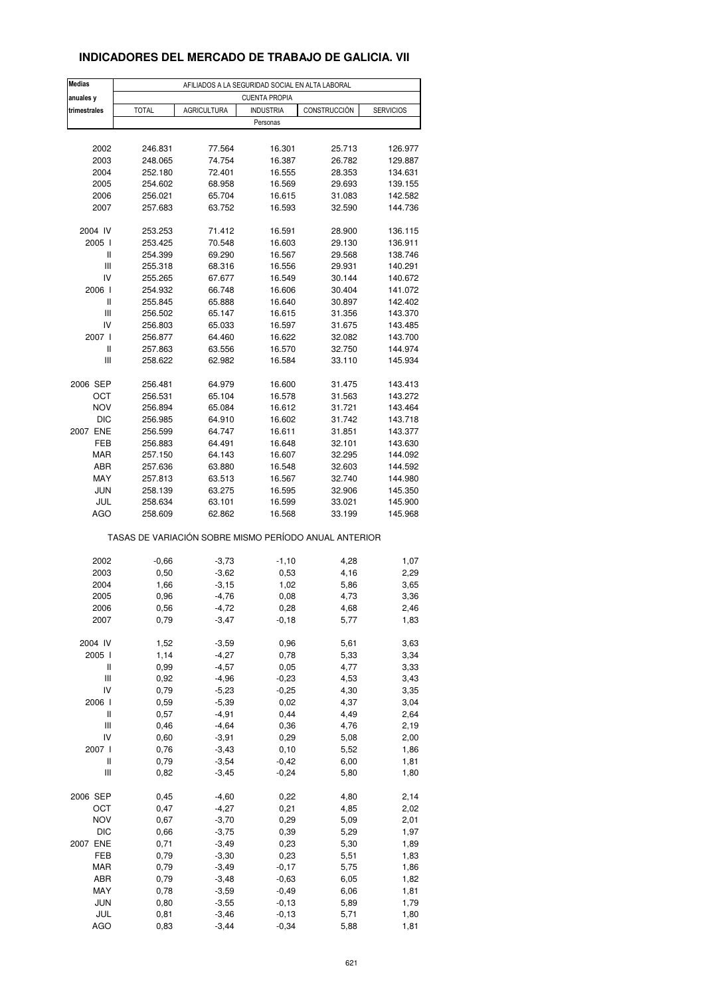### **INDICADORES DEL MERCADO DE TRABAJO DE GALICIA. VII**

| <b>Medias</b>                      | AFILIADOS A LA SEGURIDAD SOCIAL EN ALTA LABORAL       |                    |                  |                  |                    |  |  |  |  |
|------------------------------------|-------------------------------------------------------|--------------------|------------------|------------------|--------------------|--|--|--|--|
| anuales y                          | <b>CUENTA PROPIA</b>                                  |                    |                  |                  |                    |  |  |  |  |
| trimestrales                       | <b>TOTAL</b>                                          | <b>AGRICULTURA</b> | <b>INDUSTRIA</b> | CONSTRUCCIÓN     | <b>SERVICIOS</b>   |  |  |  |  |
|                                    |                                                       |                    | Personas         |                  |                    |  |  |  |  |
|                                    |                                                       |                    |                  |                  |                    |  |  |  |  |
| 2002                               | 246.831                                               | 77.564             | 16.301           | 25.713           | 126.977            |  |  |  |  |
| 2003                               | 248.065                                               | 74.754             | 16.387           | 26.782           | 129.887            |  |  |  |  |
| 2004                               | 252.180                                               | 72.401             | 16.555           | 28.353           | 134.631            |  |  |  |  |
| 2005                               | 254.602                                               | 68.958             | 16.569           | 29.693           | 139.155            |  |  |  |  |
| 2006                               | 256.021                                               | 65.704             | 16.615           | 31.083           | 142.582            |  |  |  |  |
| 2007                               | 257.683                                               | 63.752             | 16.593           | 32.590           | 144.736            |  |  |  |  |
|                                    |                                                       |                    |                  |                  |                    |  |  |  |  |
| 2004 IV                            | 253.253                                               | 71.412             | 16.591           | 28.900           | 136.115            |  |  |  |  |
| 2005 l<br>Ш                        | 253.425<br>254.399                                    | 70.548<br>69.290   | 16.603<br>16.567 | 29.130<br>29.568 | 136.911<br>138.746 |  |  |  |  |
| Ш                                  | 255.318                                               | 68.316             | 16.556           | 29.931           | 140.291            |  |  |  |  |
| IV                                 | 255.265                                               | 67.677             | 16.549           | 30.144           | 140.672            |  |  |  |  |
| 2006                               | 254.932                                               | 66.748             | 16.606           | 30.404           | 141.072            |  |  |  |  |
| Ш                                  | 255.845                                               | 65.888             | 16.640           | 30.897           | 142.402            |  |  |  |  |
| $\ensuremath{\mathsf{III}}\xspace$ | 256.502                                               | 65.147             | 16.615           | 31.356           | 143.370            |  |  |  |  |
| IV                                 | 256.803                                               | 65.033             | 16.597           | 31.675           | 143.485            |  |  |  |  |
| 2007 l                             | 256.877                                               | 64.460             | 16.622           | 32.082           | 143.700            |  |  |  |  |
| $\sf II$                           | 257.863                                               | 63.556             | 16.570           | 32.750           | 144.974            |  |  |  |  |
| Ш                                  | 258.622                                               | 62.982             | 16.584           | 33.110           | 145.934            |  |  |  |  |
|                                    |                                                       |                    |                  |                  |                    |  |  |  |  |
| 2006 SEP                           | 256.481                                               | 64.979             | 16.600           | 31.475           | 143.413            |  |  |  |  |
| ост                                | 256.531                                               | 65.104             | 16.578           | 31.563           | 143.272            |  |  |  |  |
| <b>NOV</b>                         | 256.894                                               | 65.084             | 16.612           | 31.721           | 143.464            |  |  |  |  |
| DIC                                | 256.985                                               | 64.910             | 16.602           | 31.742           | 143.718            |  |  |  |  |
| 2007 ENE<br>FEB                    | 256.599<br>256.883                                    | 64.747<br>64.491   | 16.611<br>16.648 | 31.851<br>32.101 | 143.377<br>143.630 |  |  |  |  |
| MAR                                | 257.150                                               | 64.143             | 16.607           | 32.295           | 144.092            |  |  |  |  |
| ABR                                | 257.636                                               | 63.880             | 16.548           | 32.603           | 144.592            |  |  |  |  |
| MAY                                | 257.813                                               | 63.513             | 16.567           | 32.740           | 144.980            |  |  |  |  |
| <b>JUN</b>                         | 258.139                                               | 63.275             | 16.595           | 32.906           | 145.350            |  |  |  |  |
| JUL                                | 258.634                                               | 63.101             | 16.599           | 33.021           | 145.900            |  |  |  |  |
| <b>AGO</b>                         | 258.609                                               | 62.862             | 16.568           | 33.199           | 145.968            |  |  |  |  |
|                                    | TASAS DE VARIACIÓN SOBRE MISMO PERÍODO ANUAL ANTERIOR |                    |                  |                  |                    |  |  |  |  |
| 2002                               | $-0,66$                                               | $-3,73$            | $-1,10$          | 4,28             | 1,07               |  |  |  |  |
| 2003                               | 0,50                                                  | $-3,62$            | 0,53             | 4,16             | 2,29               |  |  |  |  |
| 2004                               | 1,66                                                  | $-3,15$            | 1,02             | 5,86             | 3,65               |  |  |  |  |
| 2005                               | 0,96                                                  | $-4,76$            | 0,08             | 4,73             | 3,36               |  |  |  |  |
| 2006                               | 0,56                                                  | -4,72              | 0,28             | 4,68             | 2,46               |  |  |  |  |
| 2007                               | 0,79                                                  | $-3,47$            | $-0,18$          | 5,77             | 1,83               |  |  |  |  |
|                                    |                                                       |                    |                  |                  |                    |  |  |  |  |
| 2004 IV                            | 1,52                                                  | $-3,59$            | 0,96             | 5,61             | 3,63               |  |  |  |  |
| 2005 l                             | 1,14                                                  | $-4,27$            | 0,78             | 5,33             | 3,34               |  |  |  |  |
| Ш                                  | 0,99                                                  | $-4,57$            | 0,05             | 4,77             | 3,33               |  |  |  |  |
| $\ensuremath{\mathsf{III}}\xspace$ | 0,92                                                  | $-4,96$            | $-0,23$          | 4,53             | 3,43               |  |  |  |  |
| IV                                 | 0,79                                                  | $-5,23$            | $-0,25$          | 4,30             | 3,35               |  |  |  |  |
| 2006                               | 0,59                                                  | $-5,39$            | 0,02             | 4,37             | 3,04               |  |  |  |  |
| $\sf II$<br>Ш                      | 0,57                                                  | $-4,91$            | 0,44             | 4,49             | 2,64               |  |  |  |  |
| IV                                 | 0,46<br>0,60                                          | $-4,64$<br>$-3,91$ | 0,36<br>0,29     | 4,76<br>5,08     | 2,19<br>2,00       |  |  |  |  |
| 2007 l                             | 0,76                                                  | $-3,43$            | 0, 10            | 5,52             | 1,86               |  |  |  |  |
| Ш                                  | 0,79                                                  | $-3,54$            | $-0,42$          | 6,00             | 1,81               |  |  |  |  |
| $\ensuremath{\mathsf{III}}\xspace$ | 0,82                                                  | $-3,45$            | $-0,24$          | 5,80             | 1,80               |  |  |  |  |
|                                    |                                                       |                    |                  |                  |                    |  |  |  |  |
| 2006 SEP                           | 0,45                                                  | $-4,60$            | 0,22             | 4,80             | 2,14               |  |  |  |  |
| OCT                                | 0,47                                                  | $-4,27$            | 0,21             | 4,85             | 2,02               |  |  |  |  |
| <b>NOV</b>                         | 0,67                                                  | $-3,70$            | 0,29             | 5,09             | 2,01               |  |  |  |  |
| $DIC$                              | 0,66                                                  | $-3,75$            | 0,39             | 5,29             | 1,97               |  |  |  |  |
| 2007 ENE                           | 0,71                                                  | $-3,49$            | 0,23             | 5,30             | 1,89               |  |  |  |  |
| FEB                                | 0,79                                                  | $-3,30$            | 0,23             | 5,51             | 1,83               |  |  |  |  |
| MAR                                | 0,79                                                  | $-3,49$            | $-0,17$          | 5,75             | 1,86               |  |  |  |  |
| ABR                                | 0,79                                                  | $-3,48$            | $-0,63$          | 6,05             | 1,82               |  |  |  |  |
| MAY                                | 0,78                                                  | $-3,59$            | $-0,49$          | 6,06             | 1,81               |  |  |  |  |
| <b>JUN</b>                         | 0,80                                                  | $-3,55$            | $-0, 13$         | 5,89             | 1,79               |  |  |  |  |
| JUL                                | 0,81                                                  | $-3,46$            | $-0,13$          | 5,71             | 1,80               |  |  |  |  |
| <b>AGO</b>                         | 0,83                                                  | $-3,44$            | $-0,34$          | 5,88             | 1,81               |  |  |  |  |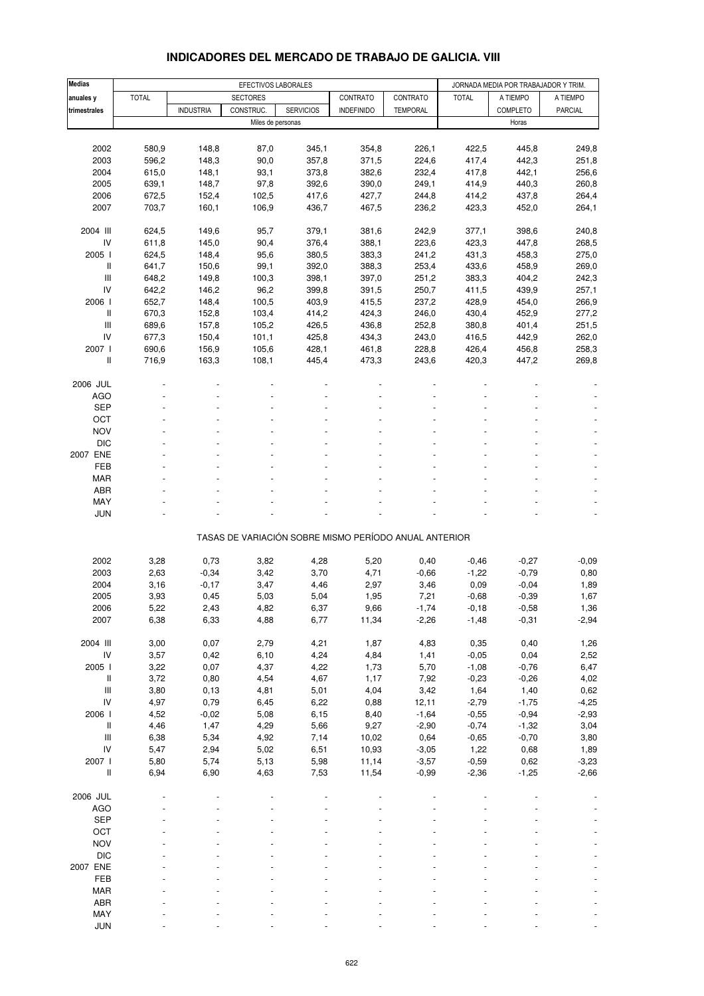## **INDICADORES DEL MERCADO DE TRABAJO DE GALICIA. VIII**

| <b>Medias</b>                                         | EFECTIVOS LABORALES<br>JORNADA MEDIA POR TRABAJADOR Y TRIM. |                  |                   |                  |                   |                 |                 |                 |                |
|-------------------------------------------------------|-------------------------------------------------------------|------------------|-------------------|------------------|-------------------|-----------------|-----------------|-----------------|----------------|
| anuales y                                             | <b>TOTAL</b>                                                |                  | <b>SECTORES</b>   |                  | CONTRATO          | CONTRATO        | <b>TOTAL</b>    | A TIEMPO        | A TIEMPO       |
| trimestrales                                          |                                                             | <b>INDUSTRIA</b> | CONSTRUC.         | <b>SERVICIOS</b> | <b>INDEFINIDO</b> | <b>TEMPORAL</b> |                 | <b>COMPLETO</b> | <b>PARCIAL</b> |
|                                                       |                                                             |                  | Miles de personas |                  |                   |                 |                 | Horas           |                |
|                                                       |                                                             |                  |                   |                  |                   |                 |                 |                 |                |
| 2002                                                  | 580,9                                                       | 148,8            | 87,0              | 345,1            | 354,8             | 226,1           | 422,5           | 445,8           | 249,8          |
| 2003                                                  | 596,2                                                       | 148,3            | 90,0              | 357,8            | 371,5             | 224,6           | 417,4           | 442,3           | 251,8          |
| 2004                                                  | 615,0                                                       | 148,1            | 93,1              | 373,8            | 382,6             | 232,4           | 417,8           | 442,1           | 256,6          |
| 2005                                                  | 639,1                                                       | 148,7            | 97,8              | 392,6            | 390,0             | 249,1           | 414,9           | 440,3           | 260,8          |
| 2006                                                  | 672,5                                                       | 152,4            | 102,5             | 417,6            | 427,7             | 244,8           | 414,2           | 437,8           | 264,4          |
| 2007                                                  | 703,7                                                       | 160,1            | 106,9             | 436,7            | 467,5             | 236,2           | 423,3           | 452,0           | 264,1          |
|                                                       |                                                             |                  |                   |                  |                   |                 |                 |                 |                |
| 2004 III                                              | 624,5                                                       | 149,6            | 95,7              | 379,1            | 381,6             | 242,9           | 377,1           | 398,6           | 240,8          |
| IV                                                    | 611,8                                                       | 145,0            | 90,4              | 376,4            | 388,1             | 223,6           | 423,3           | 447,8           | 268,5          |
| 2005 l                                                | 624,5                                                       | 148,4            | 95,6              | 380,5            | 383,3             | 241,2           | 431,3           | 458,3           | 275,0          |
| Ш                                                     | 641,7                                                       | 150,6            | 99,1              | 392,0            | 388,3             | 253,4           | 433,6           | 458,9           | 269,0          |
| $\mathbf{III}$                                        | 648,2                                                       | 149,8            | 100,3             | 398,1            | 397,0             | 251,2           | 383,3           | 404,2           | 242,3          |
| IV                                                    | 642,2                                                       | 146,2            | 96,2              | 399,8            | 391,5             | 250,7           | 411,5           | 439,9           | 257,1          |
| 2006 l                                                | 652,7                                                       | 148,4            | 100,5             | 403,9            | 415,5             | 237,2           | 428,9           | 454,0           | 266,9          |
| Ш                                                     | 670,3                                                       | 152,8            | 103,4             | 414,2            | 424,3             | 246,0           | 430,4           | 452,9           | 277,2          |
| $\mathbf{III}$                                        | 689,6                                                       | 157,8            | 105,2             | 426,5            | 436,8             | 252,8           | 380,8           | 401,4           | 251,5          |
| IV                                                    | 677,3                                                       | 150,4            | 101,1             | 425,8            | 434,3             | 243,0           | 416,5           | 442,9           | 262,0          |
| 2007 l                                                | 690,6                                                       | 156,9            | 105,6             | 428,1            | 461,8             | 228,8           | 426,4           | 456,8           | 258,3          |
| $\,$ $\,$ $\,$                                        | 716,9                                                       | 163,3            | 108,1             | 445,4            | 473,3             | 243,6           | 420,3           | 447,2           | 269,8          |
|                                                       |                                                             |                  |                   |                  |                   |                 |                 |                 |                |
| 2006 JUL                                              |                                                             |                  |                   |                  |                   |                 |                 |                 |                |
| <b>AGO</b>                                            |                                                             |                  |                   |                  |                   |                 |                 |                 |                |
| <b>SEP</b>                                            |                                                             |                  |                   |                  |                   |                 |                 |                 |                |
| OCT                                                   |                                                             |                  |                   |                  |                   |                 |                 |                 |                |
| <b>NOV</b>                                            |                                                             |                  |                   |                  |                   |                 |                 |                 |                |
| <b>DIC</b>                                            |                                                             |                  |                   |                  |                   |                 |                 |                 |                |
| 2007 ENE                                              |                                                             |                  |                   |                  |                   |                 |                 |                 |                |
| <b>FEB</b>                                            |                                                             |                  |                   |                  |                   |                 |                 |                 |                |
|                                                       |                                                             |                  |                   |                  |                   |                 |                 |                 |                |
| <b>MAR</b>                                            |                                                             |                  |                   |                  |                   |                 |                 |                 |                |
| ABR                                                   |                                                             |                  |                   |                  |                   |                 |                 |                 |                |
| MAY                                                   |                                                             |                  |                   |                  |                   |                 |                 |                 |                |
| <b>JUN</b>                                            |                                                             |                  |                   |                  |                   |                 |                 |                 | $\blacksquare$ |
| TASAS DE VARIACIÓN SOBRE MISMO PERÍODO ANUAL ANTERIOR |                                                             |                  |                   |                  |                   |                 |                 |                 |                |
|                                                       |                                                             |                  |                   |                  |                   |                 |                 |                 |                |
| 2002                                                  | 3,28                                                        | 0,73             | 3,82              | 4,28             | 5,20              | 0,40            | $-0,46$         | $-0,27$         | $-0,09$        |
| 2003<br>2004                                          | 2,63                                                        | $-0,34$          | 3,42              | 3,70             | 4,71              | $-0,66$         | $-1,22$         | $-0,79$         | 0,80           |
|                                                       | 3,16                                                        | $-0,17$          | 3,47              | 4,46             | 2,97              | 3,46            | 0,09            | $-0,04$         | 1,89           |
| 2005                                                  | 3,93                                                        | 0,45             | 5,03              | 5,04             | 1,95              | 7,21            | $-0,68$         | $-0,39$         | 1,67           |
| 2006                                                  | 5,22                                                        | 2,43             | 4,82              | 6,37             | 9,66              | $-1,74$         | $-0,18$         | $-0,58$         | 1,36           |
| 2007                                                  | 6,38                                                        | 6,33             | 4,88              | 6,77             | 11,34             | $-2,26$         | $-1,48$         | $-0,31$         | $-2,94$        |
| 2004 III                                              | 3,00                                                        | 0,07             | 2,79              | 4,21             | 1,87              | 4,83            | 0,35            | 0,40            |                |
| ${\sf IV}$                                            |                                                             |                  |                   | 4,24             |                   |                 |                 |                 | 1,26           |
|                                                       | 3,57                                                        | 0,42             | 6,10              |                  | 4,84              | 1,41            | $-0,05$         | 0,04            | 2,52           |
| 2005 l                                                | 3,22                                                        | 0,07             | 4,37              | 4,22             | 1,73              | 5,70            | $-1,08$         | $-0,76$         | 6,47           |
| Ш<br>$\ensuremath{\mathsf{III}}\xspace$               | 3,72<br>3,80                                                | 0,80<br>0, 13    | 4,54<br>4,81      | 4,67<br>5,01     | 1,17<br>4,04      | 7,92<br>3,42    | $-0,23$<br>1,64 | $-0,26$<br>1,40 | 4,02<br>0,62   |
|                                                       |                                                             |                  |                   |                  |                   |                 |                 |                 |                |
| ${\sf IV}$                                            | 4,97                                                        | 0,79             | 6,45              | 6,22             | 0,88              | 12,11           | $-2,79$         | $-1,75$         | $-4,25$        |
| 2006 l                                                | 4,52                                                        | $-0,02$          | 5,08              | 6,15             | 8,40              | $-1,64$         | $-0,55$         | $-0,94$         | $-2,93$        |
| Ш                                                     | 4,46                                                        | 1,47             | 4,29              | 5,66             | 9,27              | $-2,90$         | $-0,74$         | $-1,32$         | 3,04           |
| $\ensuremath{\mathsf{III}}\xspace$                    | 6,38                                                        | 5,34             | 4,92              | 7,14             | 10,02             | 0,64            | $-0,65$         | $-0,70$         | 3,80           |
| IV                                                    | 5,47                                                        | 2,94             | 5,02              | 6,51             | 10,93             | $-3,05$         | 1,22            | 0,68            | 1,89           |
| 2007 l                                                | 5,80                                                        | 5,74             | 5,13              | 5,98             | 11,14             | $-3,57$         | $-0,59$         | 0,62            | $-3,23$        |
| $\, \parallel$                                        | 6,94                                                        | 6,90             | 4,63              | 7,53             | 11,54             | $-0,99$         | $-2,36$         | $-1,25$         | $-2,66$        |
| 2006 JUL                                              |                                                             |                  |                   |                  |                   |                 |                 |                 |                |
| <b>AGO</b>                                            |                                                             |                  |                   |                  |                   |                 |                 |                 |                |
| <b>SEP</b>                                            |                                                             |                  |                   |                  |                   |                 |                 |                 |                |
| OCT                                                   |                                                             |                  |                   |                  |                   |                 |                 |                 |                |
| <b>NOV</b>                                            |                                                             |                  |                   |                  |                   |                 |                 |                 |                |
| <b>DIC</b>                                            |                                                             |                  |                   |                  |                   |                 |                 |                 |                |
| 2007 ENE                                              |                                                             |                  |                   |                  |                   |                 |                 |                 |                |
| FEB                                                   |                                                             |                  |                   |                  |                   |                 |                 |                 |                |
| MAR                                                   |                                                             |                  |                   |                  |                   |                 |                 |                 |                |
| ABR                                                   |                                                             |                  |                   |                  |                   |                 |                 |                 |                |
| MAY                                                   |                                                             |                  |                   |                  |                   |                 |                 |                 |                |
| <b>JUN</b>                                            |                                                             |                  |                   |                  |                   |                 |                 |                 |                |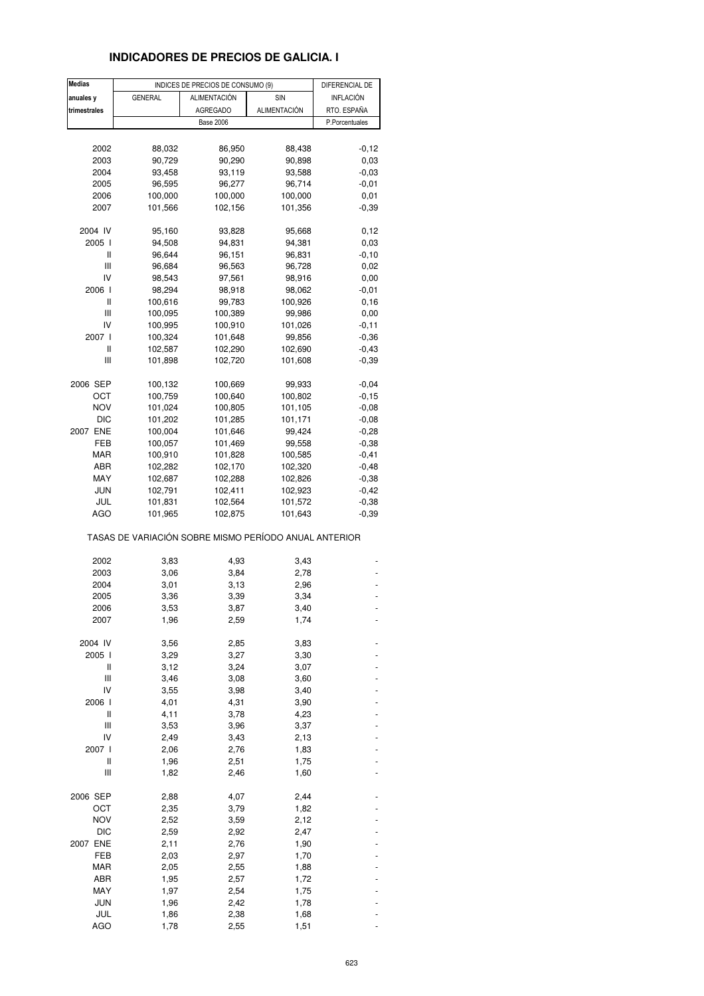## **INDICADORES DE PRECIOS DE GALICIA. I**

| <b>Medias</b> |                                                       | INDICES DE PRECIOS DE CONSUMO (9) |              | DIFERENCIAL DE   |
|---------------|-------------------------------------------------------|-----------------------------------|--------------|------------------|
| anuales y     | <b>GENERAL</b>                                        | <b>ALIMENTACIÓN</b>               | SIN          | <b>INFLACIÓN</b> |
| trimestrales  |                                                       | <b>AGREGADO</b>                   | ALIMENTACIÓN | RTO. ESPAÑA      |
|               |                                                       | <b>Base 2006</b>                  |              | P.Porcentuales   |
|               |                                                       |                                   |              |                  |
| 2002          | 88,032                                                | 86,950                            | 88,438       | $-0,12$          |
| 2003          | 90,729                                                | 90,290                            | 90,898       | 0,03             |
| 2004          | 93,458                                                | 93,119                            | 93,588       | $-0,03$          |
| 2005          | 96,595                                                | 96,277                            | 96,714       | $-0,01$          |
| 2006          | 100,000                                               | 100,000                           | 100,000      | 0,01             |
| 2007          | 101,566                                               | 102,156                           | 101,356      | $-0.39$          |
|               |                                                       |                                   |              |                  |
| 2004 IV       | 95,160                                                | 93,828                            | 95,668       | 0,12             |
| 2005 l        | 94,508                                                | 94,831                            | 94,381       | 0,03             |
| Ш             | 96,644                                                | 96,151                            | 96,831       | $-0, 10$         |
| Ш             | 96,684                                                | 96,563                            | 96,728       | 0,02             |
| IV            | 98,543                                                | 97,561                            | 98,916       | 0,00             |
| 2006 l        | 98,294                                                | 98,918                            | 98,062       | $-0,01$          |
| Ш             | 100,616                                               | 99,783                            | 100,926      | 0, 16            |
| Ш             | 100,095                                               | 100,389                           | 99,986       | 0,00             |
| IV            | 100,995                                               | 100,910                           | 101,026      | $-0,11$          |
| 2007 l        | 100,324                                               | 101,648                           | 99,856       | $-0.36$          |
| Ш             | 102,587                                               | 102,290                           | 102,690      | $-0,43$          |
| Ш             | 101,898                                               | 102,720                           | 101,608      | $-0,39$          |
|               |                                                       |                                   |              |                  |
| 2006 SEP      | 100,132                                               | 100,669                           | 99,933       | $-0,04$          |
| ост           | 100,759                                               | 100,640                           | 100,802      | $-0,15$          |
| <b>NOV</b>    | 101,024                                               | 100,805                           | 101,105      | $-0,08$          |
| <b>DIC</b>    | 101,202                                               | 101,285                           | 101,171      | $-0,08$          |
| 2007 ENE      | 100,004                                               | 101,646                           | 99,424       | $-0,28$          |
| FEB           | 100,057                                               | 101,469                           | 99,558       | $-0,38$          |
| MAR           | 100,910                                               | 101,828                           | 100,585      | $-0,41$          |
| ABR           | 102,282                                               | 102,170                           | 102,320      | $-0,48$          |
| MAY           | 102,687                                               | 102,288                           | 102,826      | $-0,38$          |
| <b>JUN</b>    | 102,791                                               | 102,411                           | 102,923      | $-0,42$          |
| JUL           | 101,831                                               | 102,564                           | 101,572      | $-0,38$          |
| <b>AGO</b>    | 101,965                                               | 102,875                           | 101,643      | $-0,39$          |
|               | TASAS DE VARIACIÓN SOBRE MISMO PERÍODO ANUAL ANTERIOR |                                   |              |                  |
| 2002          | 3,83                                                  | 4,93                              | 3,43         |                  |
| 2003          | 3,06                                                  | 3,84                              | 2,78         |                  |
| 2004          | 3,01                                                  | 3,13                              | 2,96         |                  |
| 2005          | 3,36                                                  | 3,39                              | 3,34         |                  |
| 2006          | 3,53                                                  | 3,87                              | 3,40         |                  |
| 2007          | 1,96                                                  | 2,59                              | 1,74         |                  |
|               |                                                       |                                   |              |                  |
| 2004 IV       | 3,56                                                  | 2,85                              | 3,83         |                  |
| 2005 l        | 3,29                                                  | 3,27                              | 3,30         |                  |
| Ш             | 3,12                                                  | 3,24                              | 3,07         |                  |
| Ш             | 3,46                                                  | 3,08                              | 3,60         |                  |
| IV            | 3,55                                                  | 3,98                              | 3,40         |                  |
| 2006 l        | 4,01                                                  | 4,31                              | 3,90         |                  |
| Ш             | 4,11                                                  | 3,78                              | 4,23         |                  |
| Ш             | 3,53                                                  | 3,96                              | 3,37         |                  |
| IV            | 2,49                                                  | 3,43                              | 2,13         |                  |
| 2007 l        | 2,06                                                  | 2,76                              | 1,83         |                  |
| Ш             | 1,96                                                  | 2,51                              | 1,75         |                  |
| Ш             | 1,82                                                  | 2,46                              | 1,60         |                  |
|               |                                                       |                                   |              |                  |
| 2006 SEP      | 2,88                                                  | 4,07                              | 2,44         |                  |
| OCT           | 2,35                                                  | 3,79                              | 1,82         |                  |
| <b>NOV</b>    | 2,52                                                  | 3,59                              | 2,12         |                  |
| DIC           | 2,59                                                  | 2,92                              | 2,47         |                  |
| 2007 ENE      | 2,11                                                  | 2,76                              | 1,90         |                  |
| FEB           | 2,03                                                  | 2,97                              | 1,70         |                  |
| MAR           | 2,05                                                  | 2,55                              | 1,88         |                  |
| ABR           | 1,95                                                  | 2,57                              | 1,72         |                  |
| MAY           | 1,97                                                  | 2,54                              | 1,75         |                  |
| <b>JUN</b>    | 1,96                                                  | 2,42                              | 1,78         |                  |
| JUL           | 1,86                                                  | 2,38                              | 1,68         |                  |
| <b>AGO</b>    | 1,78                                                  | 2,55                              | 1,51         |                  |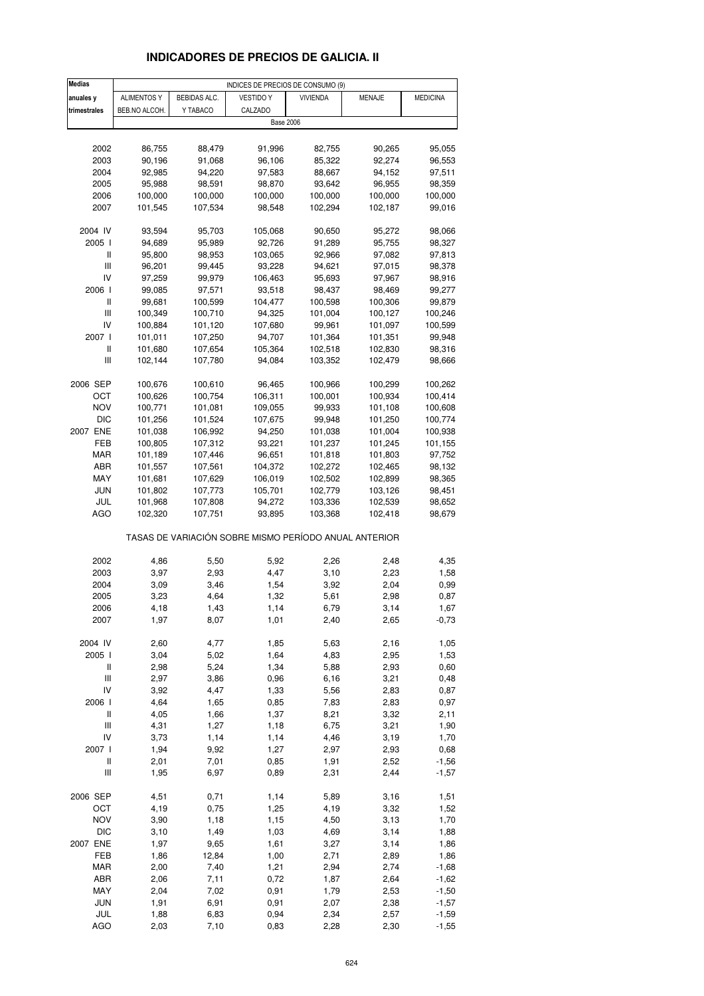## **INDICADORES DE PRECIOS DE GALICIA. II**

| <b>Medias</b>                                         | INDICES DE PRECIOS DE CONSUMO (9) |              |                  |                  |               |                 |  |
|-------------------------------------------------------|-----------------------------------|--------------|------------------|------------------|---------------|-----------------|--|
| anuales y                                             | ALIMENTOS Y                       | BEBIDAS ALC. | <b>VESTIDO Y</b> | <b>VIVIENDA</b>  | <b>MENAJE</b> | <b>MEDICINA</b> |  |
| trimestrales                                          | BEB.NO ALCOH.                     | Y TABACO     | CALZADO          |                  |               |                 |  |
|                                                       |                                   |              | <b>Base 2006</b> |                  |               |                 |  |
|                                                       |                                   |              |                  |                  |               |                 |  |
| 2002                                                  | 86,755                            | 88,479       | 91,996           | 82,755           | 90,265        | 95,055          |  |
| 2003                                                  | 90,196                            | 91,068       | 96,106           | 85,322           | 92,274        | 96,553          |  |
| 2004                                                  | 92,985                            | 94,220       | 97,583           | 88,667           | 94,152        | 97,511          |  |
|                                                       |                                   |              |                  |                  |               |                 |  |
| 2005                                                  | 95,988                            | 98,591       | 98,870           | 93,642           | 96,955        | 98,359          |  |
| 2006                                                  | 100,000                           | 100,000      | 100,000          | 100,000          | 100,000       | 100,000         |  |
| 2007                                                  | 101,545                           | 107,534      | 98,548           | 102,294          | 102,187       | 99,016          |  |
| 2004 IV                                               | 93,594                            |              | 105,068          |                  |               |                 |  |
|                                                       |                                   | 95,703       | 92,726           | 90,650<br>91,289 | 95,272        | 98,066          |  |
| 2005 l                                                | 94,689                            | 95,989       |                  |                  | 95,755        | 98,327          |  |
| Ш<br>$\mathsf{III}$                                   | 95,800                            | 98,953       | 103,065          | 92,966           | 97,082        | 97,813          |  |
| IV                                                    | 96,201                            | 99,445       | 93,228           | 94,621           | 97,015        | 98,378          |  |
|                                                       | 97,259                            | 99,979       | 106,463          | 95,693           | 97,967        | 98,916          |  |
| 2006                                                  | 99,085                            | 97,571       | 93,518           | 98,437           | 98,469        | 99,277          |  |
| Ш                                                     | 99,681                            | 100,599      | 104,477          | 100,598          | 100,306       | 99,879          |  |
| $\mathbf{III}$                                        | 100,349                           | 100,710      | 94,325           | 101,004          | 100,127       | 100,246         |  |
| IV                                                    | 100,884                           | 101,120      | 107,680          | 99,961           | 101,097       | 100,599         |  |
| 2007 l                                                | 101,011                           | 107,250      | 94,707           | 101,364          | 101,351       | 99,948          |  |
| $\sf II$                                              | 101,680                           | 107,654      | 105,364          | 102,518          | 102,830       | 98,316          |  |
| $\ensuremath{\mathsf{III}}\xspace$                    | 102,144                           | 107,780      | 94,084           | 103,352          | 102,479       | 98,666          |  |
|                                                       |                                   |              |                  |                  |               |                 |  |
| 2006 SEP                                              | 100,676                           | 100,610      | 96,465           | 100,966          | 100,299       | 100,262         |  |
| OCT                                                   | 100,626                           | 100,754      | 106,311          | 100,001          | 100,934       | 100,414         |  |
| <b>NOV</b>                                            | 100,771                           | 101,081      | 109,055          | 99,933           | 101,108       | 100,608         |  |
| <b>DIC</b>                                            | 101,256                           | 101,524      | 107,675          | 99,948           | 101,250       | 100,774         |  |
| 2007 ENE                                              | 101,038                           | 106,992      | 94,250           | 101,038          | 101,004       | 100,938         |  |
| FEB                                                   | 100,805                           | 107,312      | 93,221           | 101,237          | 101,245       | 101,155         |  |
| MAR                                                   | 101,189                           | 107,446      | 96,651           | 101,818          | 101,803       | 97,752          |  |
| ABR                                                   | 101,557                           | 107,561      | 104,372          | 102,272          | 102,465       | 98,132          |  |
| MAY                                                   | 101,681                           | 107,629      | 106,019          | 102,502          | 102,899       | 98,365          |  |
| JUN                                                   | 101,802                           | 107,773      | 105,701          | 102,779          | 103,126       | 98,451          |  |
| JUL                                                   | 101,968                           | 107,808      | 94,272           | 103,336          | 102,539       | 98,652          |  |
| <b>AGO</b>                                            | 102,320                           | 107,751      | 93,895           | 103,368          | 102,418       | 98,679          |  |
| TASAS DE VARIACIÓN SOBRE MISMO PERÍODO ANUAL ANTERIOR |                                   |              |                  |                  |               |                 |  |
|                                                       |                                   |              |                  |                  |               |                 |  |
| 2002                                                  | 4,86                              | 5,50         | 5,92             | 2,26             | 2,48          | 4,35            |  |
| 2003                                                  | 3,97                              | 2,93         | 4,47             | 3,10             | 2,23          | 1,58            |  |
| 2004                                                  | 3,09                              | 3,46         | 1,54             | 3,92             | 2,04          | 0,99            |  |
| 2005                                                  | 3,23                              | 4,64         | 1,32             | 5,61             | 2,98          | 0,87            |  |
| 2006                                                  | 4,18                              | 1,43         | 1,14             | 6,79             | 3,14          | 1,67            |  |
| 2007                                                  | 1,97                              | 8,07         | 1,01             | 2,40             | 2,65          | $-0,73$         |  |
|                                                       |                                   |              |                  |                  |               |                 |  |
| 2004 IV                                               | 2,60                              | 4,77         | 1,85             | 5,63             | 2,16          | 1,05            |  |
| 2005 l                                                | 3,04                              | 5,02         | 1,64             | 4,83             | 2,95          | 1,53            |  |
| Ш                                                     | 2,98                              | 5,24         | 1,34             | 5,88             | 2,93          | 0,60            |  |
| $\ensuremath{\mathsf{III}}\xspace$                    | 2,97                              | 3,86         | 0,96             | 6,16             | 3,21          | 0,48            |  |
| IV                                                    | 3,92                              | 4,47         | 1,33             | 5,56             | 2,83          | 0,87            |  |
| 2006 l                                                | 4,64                              | 1,65         | 0,85             | 7,83             | 2,83          | 0,97            |  |
| $\sf II$                                              | 4,05                              | 1,66         | 1,37             | 8,21             | 3,32          | 2,11            |  |
| $\ensuremath{\mathsf{III}}\xspace$                    | 4,31                              | 1,27         | 1,18             | 6,75             | 3,21          | 1,90            |  |
| IV                                                    | 3,73                              | 1,14         | 1,14             | 4,46             | 3,19          | 1,70            |  |
| 2007 l                                                | 1,94                              | 9,92         | 1,27             | 2,97             | 2,93          | 0,68            |  |
| $\sf II$                                              | 2,01                              | 7,01         | 0,85             | 1,91             | 2,52          | $-1,56$         |  |
| $\ensuremath{\mathsf{III}}\xspace$                    | 1,95                              | 6,97         | 0,89             | 2,31             | 2,44          | $-1,57$         |  |
| 2006 SEP                                              | 4,51                              | 0,71         | 1,14             | 5,89             | 3,16          | 1,51            |  |
| OCT                                                   | 4,19                              | 0,75         | 1,25             | 4,19             | 3,32          | 1,52            |  |
| <b>NOV</b>                                            | 3,90                              | 1,18         | 1,15             | 4,50             | 3,13          | 1,70            |  |
| <b>DIC</b>                                            | 3,10                              | 1,49         | 1,03             | 4,69             | 3,14          | 1,88            |  |
| 2007 ENE                                              | 1,97                              | 9,65         | 1,61             | 3,27             | 3,14          | 1,86            |  |
| FEB                                                   | 1,86                              | 12,84        | 1,00             | 2,71             | 2,89          | 1,86            |  |
| <b>MAR</b>                                            | 2,00                              | 7,40         | 1,21             | 2,94             | 2,74          | $-1,68$         |  |
| ABR                                                   | 2,06                              | 7,11         | 0,72             | 1,87             | 2,64          | $-1,62$         |  |
| MAY                                                   | 2,04                              | 7,02         | 0,91             | 1,79             | 2,53          | $-1,50$         |  |
| JUN                                                   | 1,91                              | 6,91         | 0,91             | 2,07             | 2,38          | $-1,57$         |  |
| JUL                                                   | 1,88                              | 6,83         | 0,94             | 2,34             | 2,57          | $-1,59$         |  |
| <b>AGO</b>                                            | 2,03                              | 7,10         | 0,83             | 2,28             | 2,30          | $-1,55$         |  |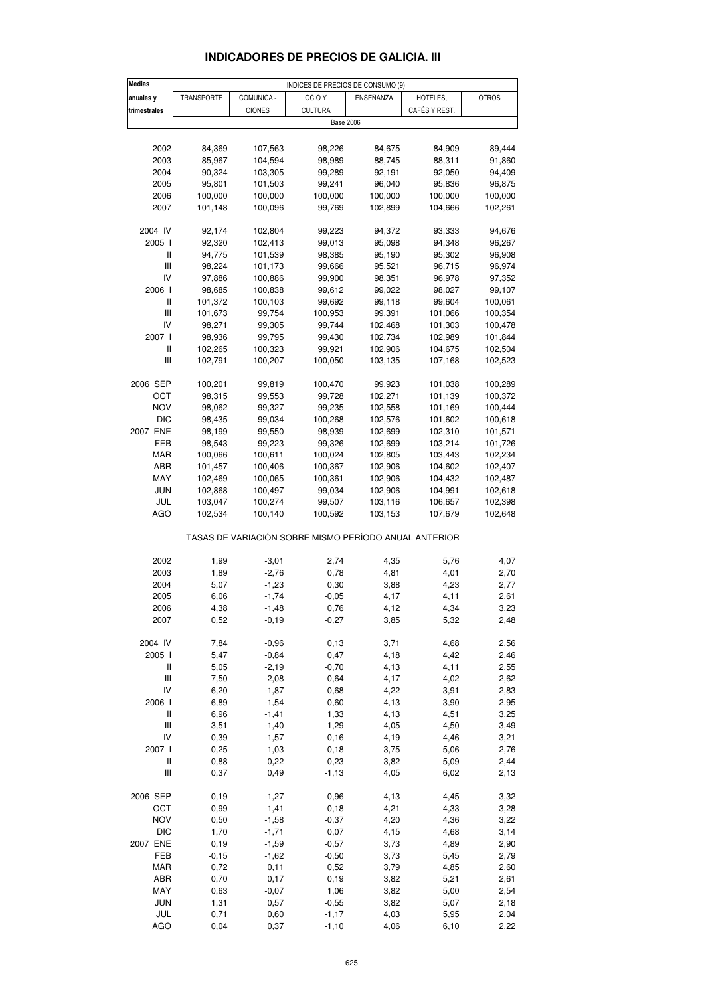| <b>Medias</b>                             |                   |                  | INDICES DE PRECIOS DE CONSUMO (9)                     |                  |                    |                    |
|-------------------------------------------|-------------------|------------------|-------------------------------------------------------|------------------|--------------------|--------------------|
| anuales y                                 | <b>TRANSPORTE</b> | COMUNICA -       | OCIO <sub>Y</sub>                                     | ENSEÑANZA        | HOTELES,           | <b>OTROS</b>       |
| trimestrales                              |                   | <b>CIONES</b>    | <b>CULTURA</b>                                        |                  | CAFÉS Y REST.      |                    |
|                                           |                   |                  |                                                       | <b>Base 2006</b> |                    |                    |
|                                           |                   |                  |                                                       |                  |                    |                    |
| 2002                                      | 84,369            | 107,563          | 98,226                                                | 84,675           | 84,909             | 89,444             |
| 2003                                      | 85,967            | 104,594          | 98,989                                                | 88,745           | 88,311             | 91,860             |
| 2004                                      | 90,324            | 103,305          | 99,289                                                | 92,191           | 92,050             | 94,409             |
| 2005                                      | 95,801            | 101,503          | 99,241                                                | 96,040           | 95,836             | 96,875             |
| 2006                                      | 100,000           | 100,000          | 100,000                                               | 100,000          | 100,000            | 100,000            |
| 2007                                      | 101,148           | 100,096          | 99,769                                                | 102,899          | 104,666            | 102,261            |
|                                           |                   |                  |                                                       |                  |                    |                    |
| 2004 IV                                   | 92,174            | 102,804          | 99,223                                                | 94,372           | 93,333             | 94,676             |
| 2005 l                                    | 92,320            | 102,413          | 99,013                                                | 95,098           | 94,348             | 96,267             |
| Ш                                         | 94,775            | 101,539          | 98,385                                                | 95,190           | 95,302             | 96,908             |
| Ш                                         | 98,224            | 101,173          | 99,666                                                | 95,521           | 96,715             | 96,974             |
| IV                                        | 97,886            | 100,886          | 99,900                                                | 98,351           | 96,978             | 97,352             |
| 2006                                      | 98,685            | 100,838          | 99,612                                                | 99,022           | 98,027             | 99,107             |
| $\mathbf{I}$<br>Ш                         | 101,372           | 100,103          | 99,692                                                | 99,118<br>99,391 | 99,604             | 100,061            |
| IV                                        | 101,673<br>98,271 | 99,754<br>99,305 | 100,953<br>99,744                                     | 102,468          | 101,066<br>101,303 | 100,354<br>100,478 |
| 2007 l                                    | 98,936            | 99,795           | 99,430                                                | 102,734          | 102,989            | 101,844            |
| $\sf II$                                  | 102,265           | 100,323          | 99,921                                                | 102,906          | 104,675            | 102,504            |
| Ш                                         | 102,791           | 100,207          | 100,050                                               | 103,135          | 107,168            | 102,523            |
|                                           |                   |                  |                                                       |                  |                    |                    |
| 2006 SEP                                  | 100,201           | 99,819           | 100,470                                               | 99,923           | 101,038            | 100,289            |
| ОСТ                                       | 98,315            | 99,553           | 99,728                                                | 102,271          | 101,139            | 100,372            |
| <b>NOV</b>                                | 98,062            | 99,327           | 99,235                                                | 102,558          | 101,169            | 100,444            |
| <b>DIC</b>                                | 98,435            | 99,034           | 100,268                                               | 102,576          | 101,602            | 100,618            |
| 2007 ENE                                  | 98,199            | 99,550           | 98,939                                                | 102,699          | 102,310            | 101,571            |
| FEB                                       | 98,543            | 99,223           | 99,326                                                | 102,699          | 103,214            | 101,726            |
| <b>MAR</b>                                | 100,066           | 100,611          | 100,024                                               | 102,805          | 103,443            | 102,234            |
| ABR                                       | 101,457           | 100,406          | 100,367                                               | 102,906          | 104,602            | 102,407            |
| MAY                                       | 102,469           | 100,065          | 100,361                                               | 102,906          | 104,432            | 102,487            |
| <b>JUN</b>                                | 102,868           | 100,497          | 99,034                                                | 102,906          | 104,991            | 102,618            |
| JUL                                       | 103,047           | 100,274          | 99,507                                                | 103,116          | 106,657            | 102,398            |
| <b>AGO</b>                                | 102,534           | 100,140          | 100,592                                               | 103,153          | 107,679            | 102,648            |
|                                           |                   |                  | TASAS DE VARIACIÓN SOBRE MISMO PERÍODO ANUAL ANTERIOR |                  |                    |                    |
|                                           |                   |                  |                                                       |                  |                    |                    |
| 2002                                      | 1,99              | $-3,01$          | 2,74                                                  | 4,35             | 5,76               | 4,07               |
| 2003                                      | 1,89              | $-2,76$          | 0,78                                                  | 4,81             | 4,01               | 2,70               |
| 2004                                      | 5,07              | $-1,23$          | 0,30                                                  | 3,88             | 4,23               | 2,77               |
| 2005                                      | 6,06              | $-1,74$          | $-0,05$                                               | 4,17             | 4,11               | 2,61               |
| 2006                                      | 4,38              | -1,48            | 0,76                                                  | 4,12             | 4,34               | 3,23               |
| 2007                                      | 0,52              | $-0,19$          | $-0,27$                                               | 3,85             | 5,32               | 2,48               |
|                                           |                   |                  |                                                       |                  |                    |                    |
| 2004 IV                                   | 7,84              | $-0,96$          | 0, 13                                                 | 3,71             | 4,68               | 2,56               |
| 2005 l                                    | 5,47              | $-0,84$          | 0,47                                                  | 4,18             | 4,42               | 2,46               |
| Ш                                         | 5,05              | $-2,19$          | $-0,70$                                               | 4,13             | 4,11               | 2,55               |
| $\begin{array}{c} \hline \end{array}$     | 7,50              | $-2,08$          | $-0,64$                                               | 4,17             | 4,02               | 2,62               |
| IV                                        | 6,20              | $-1,87$          | 0,68                                                  | 4,22             | 3,91               | 2,83               |
| 2006 l                                    | 6,89              | $-1,54$          | 0,60                                                  | 4,13             | 3,90               | 2,95               |
| $\label{eq:1} \prod_{i=1}^n \mathbb{I}^i$ | 6,96              | $-1,41$          | 1,33                                                  | 4,13             | 4,51               | 3,25               |
| $\begin{array}{c} \hline \end{array}$     | 3,51              | $-1,40$          | 1,29                                                  | 4,05             | 4,50               | 3,49               |
| IV                                        | 0,39              | $-1,57$          | $-0, 16$                                              | 4,19             | 4,46               | 3,21               |
| 2007 l                                    | 0,25              | $-1,03$          | $-0,18$                                               | 3,75             | 5,06               | 2,76               |
| $\sf II$                                  | 0,88              | 0,22             | 0,23                                                  | 3,82             | 5,09               | 2,44               |
| Ш                                         | 0,37              | 0,49             | $-1, 13$                                              | 4,05             | 6,02               | 2,13               |
| 2006 SEP                                  | 0,19              | $-1,27$          | 0,96                                                  | 4,13             | 4,45               | 3,32               |
| OCT                                       | $-0,99$           | $-1,41$          | $-0,18$                                               | 4,21             | 4,33               | 3,28               |
| <b>NOV</b>                                | 0,50              | $-1,58$          | $-0,37$                                               | 4,20             | 4,36               | 3,22               |
| <b>DIC</b>                                | 1,70              | $-1,71$          | 0,07                                                  | 4,15             | 4,68               | 3,14               |
| 2007 ENE                                  | 0, 19             | $-1,59$          | $-0,57$                                               | 3,73             | 4,89               | 2,90               |
| FEB                                       | $-0,15$           | $-1,62$          | $-0,50$                                               | 3,73             | 5,45               | 2,79               |
| <b>MAR</b>                                | 0,72              | 0,11             | 0,52                                                  | 3,79             | 4,85               | 2,60               |
| ABR                                       | 0,70              | 0,17             | 0, 19                                                 | 3,82             | 5,21               | 2,61               |
| MAY                                       | 0,63              | $-0,07$          | 1,06                                                  | 3,82             | 5,00               | 2,54               |
| <b>JUN</b>                                | 1,31              | 0,57             | $-0.55$                                               | 3,82             | 5,07               | 2,18               |

#### **INDICADORES DE PRECIOS DE GALICIA. III**

 JUL 0,71 0,60 -1,17 4,03 5,95 2,04 AGO 0,04 0,37 -1,10 4,06 6,10 2,22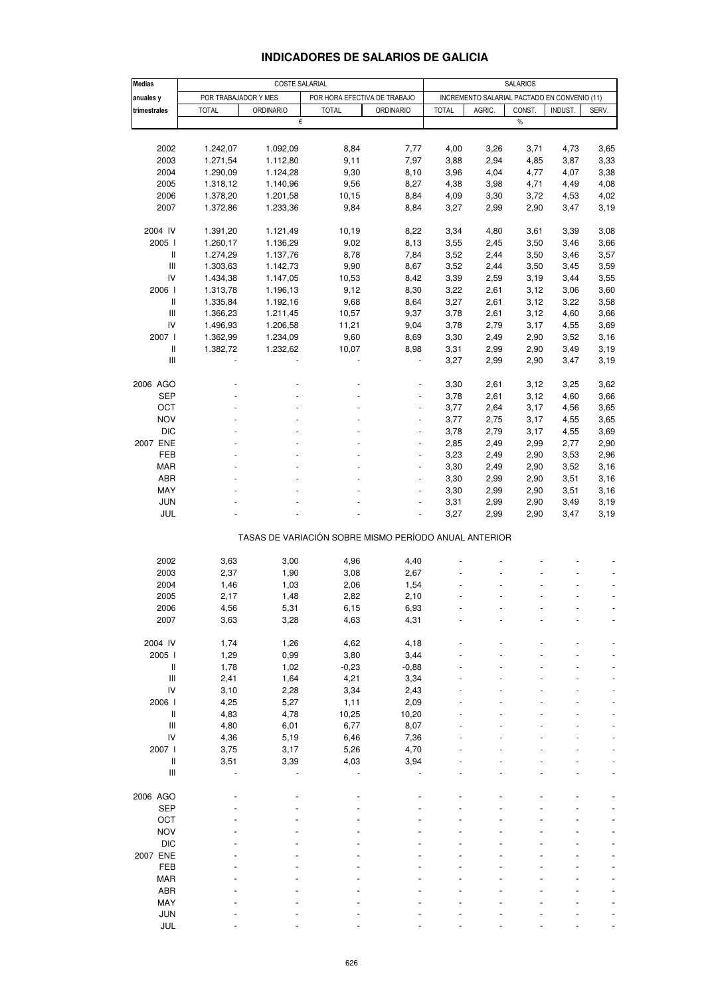## **INDICADORES DE SALARIOS DE GALICIA**

| Medias                                                | COSTE SALARIAL                                       |                  |                |                                              | <b>SALARIOS</b> |        |        |         |       |  |  |
|-------------------------------------------------------|------------------------------------------------------|------------------|----------------|----------------------------------------------|-----------------|--------|--------|---------|-------|--|--|
| anuales y                                             | POR TRABAJADOR Y MES<br>POR HORA EFECTIVA DE TRABAJO |                  |                | INCREMENTO SALARIAL PACTADO EN CONVENIO (11) |                 |        |        |         |       |  |  |
| trimestrales                                          | <b>TOTAL</b>                                         | <b>ORDINARIO</b> | <b>TOTAL</b>   | <b>ORDINARIO</b>                             | <b>TOTAL</b>    | AGRIC. | CONST. | INDUST. | SERV. |  |  |
|                                                       |                                                      | €                |                |                                              |                 |        | $\%$   |         |       |  |  |
|                                                       |                                                      |                  |                |                                              |                 |        |        |         |       |  |  |
| 2002                                                  | 1.242,07                                             | 1.092,09         | 8,84           | 7,77                                         | 4,00            | 3,26   | 3,71   | 4,73    | 3,65  |  |  |
| 2003                                                  | 1.271,54                                             | 1.112,80         | 9,11           | 7,97                                         | 3,88            | 2,94   | 4,85   | 3,87    | 3,33  |  |  |
| 2004                                                  | 1.290,09                                             | 1.124,28         | 9,30           | 8,10                                         | 3,96            | 4,04   | 4,77   | 4,07    | 3,38  |  |  |
| 2005                                                  | 1.318,12                                             | 1.140,96         | 9,56           | 8,27                                         | 4,38            | 3,98   | 4,71   | 4,49    | 4,08  |  |  |
| 2006                                                  | 1.378,20                                             | 1.201,58         | 10,15          | 8,84                                         | 4,09            | 3,30   | 3,72   | 4,53    | 4,02  |  |  |
| 2007                                                  | 1.372,86                                             | 1.233,36         | 9,84           | 8,84                                         | 3,27            | 2,99   | 2,90   | 3,47    | 3,19  |  |  |
|                                                       |                                                      |                  |                |                                              |                 |        |        |         |       |  |  |
| 2004 IV                                               | 1.391,20                                             | 1.121,49         | 10,19          | 8,22                                         | 3,34            | 4,80   | 3,61   | 3,39    | 3,08  |  |  |
| 2005                                                  | 1.260,17                                             | 1.136,29         | 9,02           | 8,13                                         | 3,55            | 2,45   | 3,50   | 3,46    | 3,66  |  |  |
| $\ensuremath{\mathsf{II}}$                            | 1.274,29                                             | 1.137,76         | 8,78           | 7,84                                         | 3,52            | 2,44   | 3,50   | 3,46    | 3,57  |  |  |
| $\ensuremath{\mathsf{III}}\xspace$                    | 1.303,63                                             | 1.142,73         | 9,90           | 8,67                                         | 3,52            | 2,44   | 3,50   | 3,45    | 3,59  |  |  |
| IV                                                    | 1.434,38                                             | 1.147,05         | 10,53          | 8,42                                         | 3,39            | 2,59   | 3,19   | 3,44    | 3,55  |  |  |
| 2006 l                                                | 1.313,78                                             | 1.196,13         | 9,12           | 8,30                                         | 3,22            | 2,61   | 3,12   | 3,06    | 3,60  |  |  |
| $\ensuremath{\mathsf{II}}$                            | 1.335,84                                             | 1.192,16         | 9,68           | 8,64                                         | 3,27            | 2,61   | 3,12   | 3,22    | 3,58  |  |  |
| Ш                                                     | 1.366,23                                             | 1.211,45         | 10,57          | 9,37                                         | 3,78            | 2,61   |        | 4,60    | 3,66  |  |  |
|                                                       |                                                      |                  |                |                                              |                 |        | 3,12   |         |       |  |  |
| IV                                                    | 1.496,93                                             | 1.206,58         | 11,21          | 9,04                                         | 3,78            | 2,79   | 3,17   | 4,55    | 3,69  |  |  |
| 2007 l                                                | 1.362,99                                             | 1.234,09         | 9,60           | 8,69                                         | 3,30            | 2,49   | 2,90   | 3,52    | 3,16  |  |  |
| Ш                                                     | 1.382,72                                             | 1.232,62         | 10,07          | 8,98                                         | 3,31            | 2,99   | 2,90   | 3,49    | 3,19  |  |  |
| $\ensuremath{\mathsf{III}}\xspace$                    |                                                      |                  |                |                                              | 3,27            | 2,99   | 2,90   | 3,47    | 3,19  |  |  |
|                                                       |                                                      |                  |                |                                              |                 |        |        |         |       |  |  |
| 2006 AGO                                              |                                                      |                  |                |                                              | 3,30            | 2,61   | 3,12   | 3,25    | 3,62  |  |  |
| <b>SEP</b>                                            |                                                      |                  |                |                                              | 3,78            | 2,61   | 3,12   | 4,60    | 3,66  |  |  |
| OCT                                                   |                                                      |                  | L,             | $\blacksquare$                               | 3,77            | 2,64   | 3,17   | 4,56    | 3,65  |  |  |
| <b>NOV</b>                                            |                                                      |                  |                | $\blacksquare$                               | 3,77            | 2,75   | 3,17   | 4,55    | 3,65  |  |  |
| $DIC$                                                 |                                                      |                  |                |                                              | 3,78            | 2,79   | 3,17   | 4,55    | 3,69  |  |  |
| 2007 ENE                                              |                                                      |                  | $\blacksquare$ | $\frac{1}{2}$                                | 2,85            | 2,49   | 2,99   | 2,77    | 2,90  |  |  |
| FEB                                                   |                                                      |                  |                | ä,                                           | 3,23            | 2,49   | 2,90   | 3,53    | 2,96  |  |  |
| MAR                                                   |                                                      |                  |                |                                              | 3,30            | 2,49   | 2,90   | 3,52    | 3,16  |  |  |
| ABR                                                   |                                                      |                  | $\blacksquare$ | $\blacksquare$                               | 3,30            | 2,99   | 2,90   | 3,51    | 3,16  |  |  |
| MAY                                                   |                                                      |                  |                | ä,                                           | 3,30            | 2,99   | 2,90   | 3,51    | 3,16  |  |  |
| <b>JUN</b>                                            |                                                      |                  |                |                                              | 3,31            | 2,99   | 2,90   | 3,49    | 3,19  |  |  |
| JUL                                                   |                                                      |                  |                | ٠                                            | 3,27            | 2,99   | 2,90   | 3,47    | 3,19  |  |  |
| TASAS DE VARIACIÓN SOBRE MISMO PERÍODO ANUAL ANTERIOR |                                                      |                  |                |                                              |                 |        |        |         |       |  |  |
|                                                       |                                                      |                  |                |                                              |                 |        |        |         |       |  |  |
| 2002                                                  | 3,63                                                 | 3,00             | 4,96           | 4,40                                         |                 |        |        |         |       |  |  |
| 2003                                                  | 2,37                                                 | 1,90             | 3,08           | 2,67                                         |                 |        |        |         |       |  |  |
| 2004                                                  | 1,46                                                 | 1,03             | 2,06           | 1,54                                         |                 |        |        |         |       |  |  |
| 2005                                                  | 2,17                                                 | 1,48             | 2,82           | 2,10                                         |                 |        |        |         |       |  |  |
| 2006                                                  | 4,56                                                 | 5,31             | 6,15           | 6,93                                         |                 |        |        |         |       |  |  |
| 2007                                                  | 3,63                                                 | 3,28             | 4,63           | 4,31                                         |                 |        |        |         |       |  |  |
|                                                       |                                                      |                  |                |                                              |                 |        |        |         |       |  |  |
| 2004 IV                                               | 1,74                                                 | 1,26             | 4,62           | 4,18                                         |                 |        |        |         |       |  |  |
| 2005                                                  | 1,29                                                 | 0,99             | 3,80           | 3,44                                         |                 |        |        |         |       |  |  |
| $\mathop{  }$                                         | 1,78                                                 | 1,02             | $-0,23$        | $-0,88$                                      |                 |        |        |         |       |  |  |
| $\ensuremath{\mathsf{III}}\xspace$                    | 2,41                                                 | 1,64             | 4,21           | 3,34                                         |                 |        |        |         |       |  |  |
| IV                                                    | 3,10                                                 | 2,28             | 3,34           | 2,43                                         |                 |        |        |         |       |  |  |
| 2006 l                                                | 4,25                                                 | 5,27             | 1,11           | 2,09                                         |                 |        |        |         |       |  |  |
| $\ensuremath{\mathsf{II}}$                            | 4,83                                                 | 4,78             | 10,25          | 10,20                                        |                 |        |        |         |       |  |  |
| $\ensuremath{\mathsf{III}}\xspace$                    | 4,80                                                 | 6,01             | 6,77           | 8,07                                         |                 |        |        |         |       |  |  |
| IV                                                    | 4,36                                                 | 5,19             | 6,46           | 7,36                                         |                 |        |        |         |       |  |  |
| 2007 l                                                | 3,75                                                 | 3,17             | 5,26           | 4,70                                         |                 |        |        |         |       |  |  |
| $\sf II$                                              | 3,51                                                 | 3,39             | 4,03           | 3,94                                         |                 |        |        |         |       |  |  |
| $\ensuremath{\mathsf{III}}\xspace$                    |                                                      |                  |                |                                              |                 |        |        |         |       |  |  |
|                                                       |                                                      |                  |                |                                              |                 |        |        |         |       |  |  |
| 2006 AGO                                              |                                                      |                  |                |                                              |                 |        |        |         |       |  |  |
| <b>SEP</b>                                            |                                                      |                  |                |                                              |                 |        |        |         |       |  |  |
| OCT                                                   |                                                      |                  |                |                                              |                 |        |        |         |       |  |  |
| <b>NOV</b>                                            |                                                      |                  |                |                                              |                 |        |        |         |       |  |  |
| <b>DIC</b>                                            |                                                      |                  |                |                                              |                 |        |        |         |       |  |  |
| 2007 ENE                                              |                                                      |                  |                |                                              |                 |        |        |         |       |  |  |
| FEB                                                   |                                                      |                  |                |                                              |                 |        |        |         |       |  |  |
| MAR                                                   |                                                      |                  |                |                                              |                 |        |        |         |       |  |  |
| ABR                                                   |                                                      |                  |                |                                              |                 |        |        |         |       |  |  |
| MAY                                                   |                                                      |                  |                |                                              |                 |        |        |         |       |  |  |
| JUN                                                   |                                                      |                  |                |                                              |                 |        |        |         |       |  |  |
| JUL                                                   |                                                      |                  |                |                                              |                 |        |        |         |       |  |  |
|                                                       |                                                      |                  |                |                                              |                 |        |        |         |       |  |  |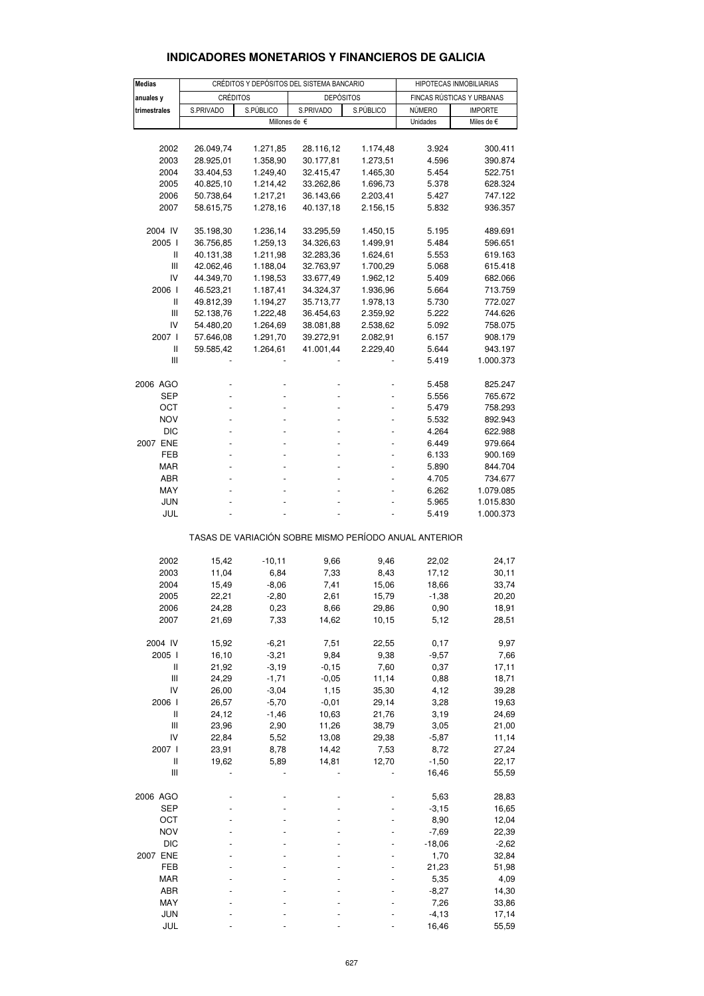| <b>INDICADORES MONETARIOS Y FINANCIEROS DE GALICIA</b> |
|--------------------------------------------------------|
|--------------------------------------------------------|

| <b>Medias</b>                                         |                        | CRÉDITOS Y DEPÓSITOS DEL SISTEMA BANCARIO | HIPOTECAS INMOBILIARIAS |                |                           |                |  |  |
|-------------------------------------------------------|------------------------|-------------------------------------------|-------------------------|----------------|---------------------------|----------------|--|--|
| anuales y                                             | CRÉDITOS               |                                           | <b>DEPÓSITOS</b>        |                | FINCAS RÚSTICAS Y URBANAS |                |  |  |
| trimestrales                                          | S.PRIVADO<br>S.PÚBLICO |                                           | S.PRIVADO<br>S.PÚBLICO  |                | NÚMERO                    | <b>IMPORTE</b> |  |  |
|                                                       | Millones de €          |                                           |                         |                | Unidades                  | Miles de €     |  |  |
|                                                       |                        |                                           |                         |                |                           |                |  |  |
| 2002                                                  | 26.049,74              | 1.271,85                                  | 28.116,12               | 1.174,48       | 3.924                     | 300.411        |  |  |
| 2003                                                  | 28.925,01              | 1.358,90                                  | 30.177,81               | 1.273,51       | 4.596                     | 390.874        |  |  |
| 2004                                                  | 33.404,53              | 1.249,40                                  | 32.415,47               | 1.465,30       | 5.454                     | 522.751        |  |  |
| 2005                                                  | 40.825,10              | 1.214,42                                  | 33.262,86               | 1.696,73       | 5.378                     | 628.324        |  |  |
| 2006                                                  | 50.738,64              | 1.217,21                                  | 36.143,66               | 2.203,41       | 5.427                     | 747.122        |  |  |
| 2007                                                  | 58.615,75              | 1.278,16                                  | 40.137,18               | 2.156,15       | 5.832                     | 936.357        |  |  |
|                                                       |                        |                                           |                         |                |                           |                |  |  |
| 2004 IV                                               | 35.198,30              | 1.236,14                                  | 33.295,59               | 1.450,15       | 5.195                     | 489.691        |  |  |
| 2005 l                                                | 36.756,85              | 1.259,13                                  | 34.326,63               | 1.499,91       | 5.484                     | 596.651        |  |  |
| Ш                                                     | 40.131,38              | 1.211,98                                  | 32.283,36               | 1.624,61       | 5.553                     | 619.163        |  |  |
| Ш                                                     | 42.062,46              | 1.188,04                                  | 32.763,97               | 1.700,29       | 5.068                     | 615.418        |  |  |
| IV                                                    | 44.349,70              | 1.198,53                                  | 33.677,49               | 1.962,12       | 5.409                     | 682.066        |  |  |
| 2006                                                  | 46.523,21              | 1.187,41                                  | 34.324,37               | 1.936,96       | 5.664                     | 713.759        |  |  |
| Ш                                                     | 49.812,39              | 1.194,27                                  | 35.713,77               | 1.978,13       | 5.730                     | 772.027        |  |  |
| Ш                                                     | 52.138,76              | 1.222,48                                  | 36.454,63               | 2.359,92       | 5.222                     | 744.626        |  |  |
| IV                                                    | 54.480,20              | 1.264,69                                  | 38.081,88               | 2.538,62       | 5.092                     | 758.075        |  |  |
| 2007 l                                                | 57.646,08              | 1.291,70                                  | 39.272,91               | 2.082,91       | 6.157                     | 908.179        |  |  |
| Ш                                                     | 59.585,42              | 1.264,61                                  | 41.001,44               | 2.229,40       | 5.644                     | 943.197        |  |  |
| Ш                                                     |                        |                                           |                         |                | 5.419                     | 1.000.373      |  |  |
|                                                       |                        |                                           |                         |                |                           |                |  |  |
| 2006 AGO                                              |                        |                                           |                         |                | 5.458                     | 825.247        |  |  |
| SEP                                                   |                        |                                           |                         |                | 5.556                     | 765.672        |  |  |
| ОСТ                                                   |                        |                                           |                         |                | 5.479                     | 758.293        |  |  |
| <b>NOV</b>                                            |                        |                                           |                         |                | 5.532                     | 892.943        |  |  |
| <b>DIC</b>                                            |                        |                                           |                         |                | 4.264                     | 622.988        |  |  |
| 2007 ENE                                              |                        |                                           |                         | $\overline{a}$ | 6.449                     | 979.664        |  |  |
| FEB                                                   |                        |                                           |                         |                | 6.133                     | 900.169        |  |  |
| MAR                                                   |                        |                                           |                         |                | 5.890                     | 844.704        |  |  |
| ABR                                                   |                        |                                           |                         |                | 4.705                     | 734.677        |  |  |
| MAY                                                   |                        |                                           |                         |                | 6.262                     | 1.079.085      |  |  |
| JUN                                                   |                        |                                           |                         |                | 5.965                     | 1.015.830      |  |  |
| JUL                                                   |                        |                                           |                         |                | 5.419                     | 1.000.373      |  |  |
| TASAS DE VARIACIÓN SOBRE MISMO PERÍODO ANUAL ANTERIOR |                        |                                           |                         |                |                           |                |  |  |
|                                                       |                        |                                           |                         |                |                           |                |  |  |
| 2002<br>2003                                          | 15,42                  | $-10,11$<br>6,84                          | 9,66<br>7,33            | 9,46           | 22,02<br>17,12            | 24,17          |  |  |
| 2004                                                  | 11,04<br>15,49         | $-8,06$                                   | 7,41                    | 8,43<br>15,06  | 18,66                     | 30,11<br>33,74 |  |  |
| 2005                                                  | 22,21                  | $-2,80$                                   | 2,61                    | 15,79          | $-1,38$                   | 20,20          |  |  |
| 2006                                                  | 24,28                  | 0,23                                      | 8,66                    | 29,86          | 0,90                      | 18,91          |  |  |
| 2007                                                  | 21,69                  | 7,33                                      | 14,62                   | 10,15          | 5,12                      | 28,51          |  |  |
|                                                       |                        |                                           |                         |                |                           |                |  |  |
| 2004 IV                                               | 15,92                  | $-6,21$                                   | 7,51                    | 22,55          | 0,17                      | 9,97           |  |  |
| 2005 l                                                | 16,10                  | $-3,21$                                   | 9,84                    | 9,38           | $-9,57$                   | 7,66           |  |  |
| Ш                                                     | 21,92                  | $-3,19$                                   | $-0,15$                 | 7,60           | 0,37                      | 17,11          |  |  |
| Ш                                                     | 24,29                  | $-1,71$                                   | $-0,05$                 | 11,14          | 0,88                      | 18,71          |  |  |
| IV                                                    | 26,00                  | $-3,04$                                   | 1,15                    | 35,30          | 4,12                      | 39,28          |  |  |
| 2006 l                                                | 26,57                  | $-5,70$                                   | $-0,01$                 | 29,14          | 3,28                      | 19,63          |  |  |
| Ш                                                     | 24,12                  | $-1,46$                                   | 10,63                   | 21,76          | 3,19                      | 24,69          |  |  |
| Ш                                                     | 23,96                  | 2,90                                      | 11,26                   | 38,79          | 3,05                      | 21,00          |  |  |
| IV                                                    | 22,84                  | 5,52                                      | 13,08                   | 29,38          | $-5,87$                   | 11,14          |  |  |
| 2007 l                                                | 23,91                  | 8,78                                      | 14,42                   | 7,53           | 8,72                      | 27,24          |  |  |
| $\label{eq:1} \prod_{i=1}^n \mathbb{I}^i$             | 19,62                  | 5,89                                      | 14,81                   | 12,70          | $-1,50$                   | 22,17          |  |  |
| $\ensuremath{\mathsf{III}}\xspace$                    |                        |                                           |                         |                | 16,46                     | 55,59          |  |  |
| 2006 AGO                                              |                        |                                           |                         |                | 5,63                      | 28,83          |  |  |
| <b>SEP</b>                                            |                        |                                           |                         |                | $-3,15$                   | 16,65          |  |  |
| ОСТ                                                   |                        |                                           |                         |                | 8,90                      | 12,04          |  |  |
| <b>NOV</b>                                            |                        |                                           |                         |                | $-7,69$                   | 22,39          |  |  |
| <b>DIC</b>                                            |                        |                                           |                         |                | $-18,06$                  | $-2,62$        |  |  |
| 2007 ENE                                              |                        |                                           |                         |                | 1,70                      | 32,84          |  |  |
| FEB                                                   |                        |                                           |                         |                | 21,23                     | 51,98          |  |  |
| <b>MAR</b>                                            |                        |                                           |                         |                | 5,35                      | 4,09           |  |  |
| ABR                                                   |                        |                                           |                         |                | $-8,27$                   | 14,30          |  |  |
| MAY                                                   |                        |                                           |                         |                | 7,26                      | 33,86          |  |  |
| <b>JUN</b>                                            |                        |                                           |                         |                | $-4, 13$                  | 17,14          |  |  |
| <b>JUL</b>                                            |                        |                                           |                         |                | 16,46                     | 55,59          |  |  |